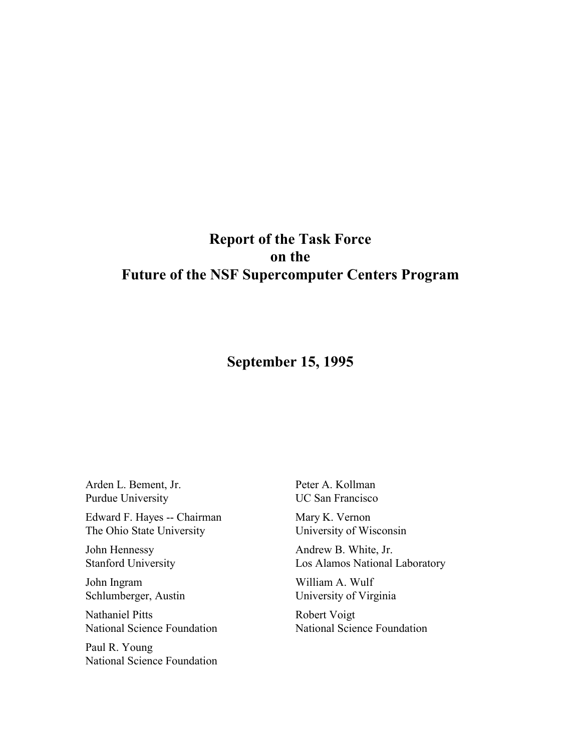# **Report of the Task Force on the Future of the NSF Supercomputer Centers Program**

# **September 15, 1995**

Arden L. Bement, Jr. Purdue University

Edward F. Hayes -- Chairman The Ohio State University

John Hennessy Stanford University

John Ingram Schlumberger, Austin

Nathaniel Pitts National Science Foundation

Paul R. Young National Science Foundation Peter A. Kollman UC San Francisco

Mary K. Vernon University of Wisconsin

Andrew B. White, Jr. Los Alamos National Laboratory

William A. Wulf University of Virginia

Robert Voigt National Science Foundation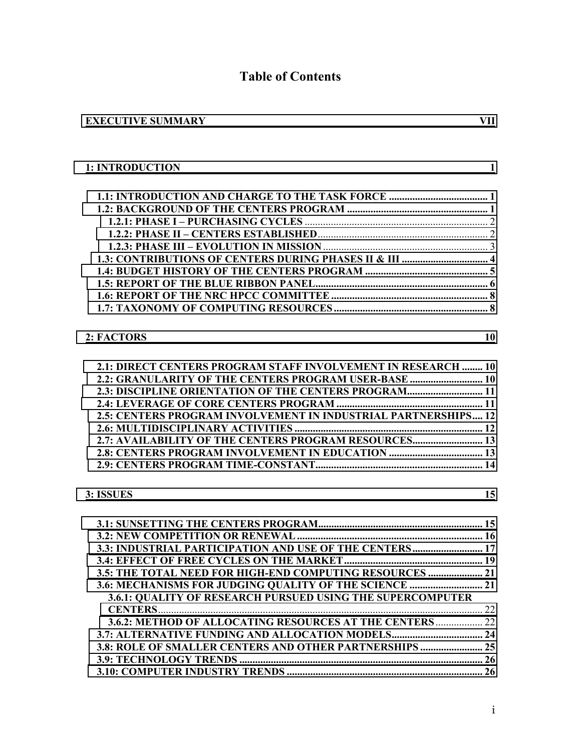# **Table of Contents**

| <b>EXECUTIVE SUMMARY</b> |  |
|--------------------------|--|
|--------------------------|--|

| 1: INTRODUCTION                                                |    |
|----------------------------------------------------------------|----|
|                                                                |    |
|                                                                |    |
|                                                                |    |
|                                                                |    |
|                                                                |    |
|                                                                |    |
|                                                                |    |
|                                                                |    |
|                                                                |    |
|                                                                |    |
|                                                                |    |
| 2: FACTORS                                                     | 10 |
| 2.1: DIRECT CENTERS PROGRAM STAFF INVOLVEMENT IN RESEARCH  10  |    |
| 2.2: GRANULARITY OF THE CENTERS PROGRAM USER-BASE  10          |    |
| 2.3: DISCIPLINE ORIENTATION OF THE CENTERS PROGRAM 11          |    |
|                                                                |    |
|                                                                |    |
| 2.5: CENTERS PROGRAM INVOLVEMENT IN INDUSTRIAL PARTNERSHIPS 12 |    |
|                                                                |    |
| 2.7: AVAILABILITY OF THE CENTERS PROGRAM RESOURCES 13          |    |
|                                                                |    |
|                                                                |    |
|                                                                |    |
| 3: ISSUES                                                      | 15 |

| 3.3: INDUSTRIAL PARTICIPATION AND USE OF THE CENTERS 17    |  |
|------------------------------------------------------------|--|
|                                                            |  |
| 3.5: THE TOTAL NEED FOR HIGH-END COMPUTING RESOURCES  21   |  |
| 3.6: MECHANISMS FOR JUDGING QUALITY OF THE SCIENCE  21     |  |
| 3.6.1: QUALITY OF RESEARCH PURSUED USING THE SUPERCOMPUTER |  |
|                                                            |  |
| 3.6.2: METHOD OF ALLOCATING RESOURCES AT THE CENTERS  22   |  |
| 3.7: ALTERNATIVE FUNDING AND ALLOCATION MODELS 24          |  |
| 3.8: ROLE OF SMALLER CENTERS AND OTHER PARTNERSHIPS  25    |  |
|                                                            |  |
|                                                            |  |
|                                                            |  |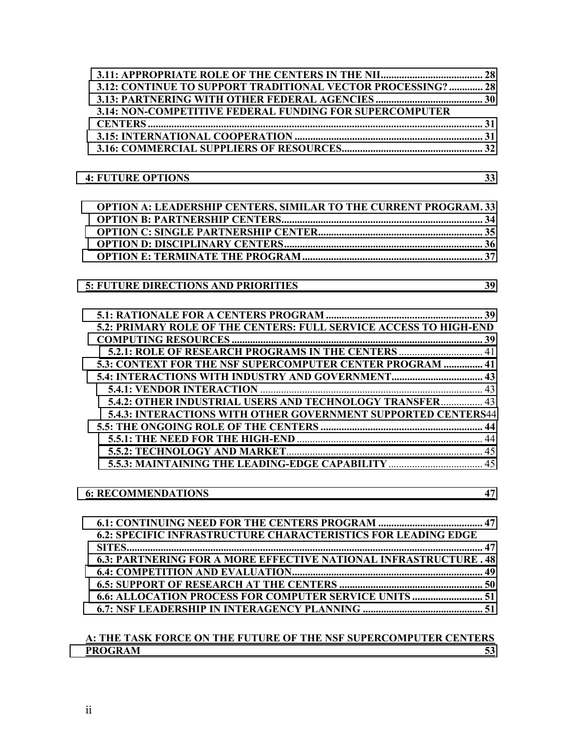| 3.12: CONTINUE TO SUPPORT TRADITIONAL VECTOR PROCESSING?  28            |    |
|-------------------------------------------------------------------------|----|
|                                                                         |    |
| 3.14: NON-COMPETITIVE FEDERAL FUNDING FOR SUPERCOMPUTER                 |    |
|                                                                         |    |
|                                                                         |    |
|                                                                         |    |
| <b>4: FUTURE OPTIONS</b><br>$\overline{33}$                             |    |
| <b>OPTION A: LEADERSHIP CENTERS, SIMILAR TO THE CURRENT PROGRAM. 33</b> |    |
|                                                                         |    |
|                                                                         |    |
|                                                                         |    |
|                                                                         |    |
|                                                                         |    |
| 5: FUTURE DIRECTIONS AND PRIORITIES 39                                  |    |
|                                                                         |    |
|                                                                         |    |
| 5.2: PRIMARY ROLE OF THE CENTERS: FULL SERVICE ACCESS TO HIGH-END       |    |
|                                                                         |    |
| 5.2.1: ROLE OF RESEARCH PROGRAMS IN THE CENTERS  41                     |    |
| 5.3: CONTEXT FOR THE NSF SUPERCOMPUTER CENTER PROGRAM  41               |    |
|                                                                         |    |
|                                                                         |    |
| 5.4.2: OTHER INDUSTRIAL USERS AND TECHNOLOGY TRANSFER 43                |    |
| 5.4.3: INTERACTIONS WITH OTHER GOVERNMENT SUPPORTED CENTERS44           |    |
|                                                                         |    |
|                                                                         |    |
|                                                                         |    |
|                                                                         |    |
| <b>6: RECOMMENDATIONS</b>                                               | 47 |
|                                                                         |    |
| <b>6.2: SPECIFIC INFRASTRUCTURE CHARACTERISTICS FOR LEADING EDGE</b>    |    |
|                                                                         |    |
| 6.3: PARTNERING FOR A MORE EFFECTIVE NATIONAL INFRASTRUCTURE . 48       |    |
|                                                                         |    |
|                                                                         |    |
| 6.6: ALLOCATION PROCESS FOR COMPUTER SERVICE UNITS  51                  |    |
|                                                                         |    |
| A: THE TASK FORCE ON THE FUTURE OF THE NSF SUPERCOMPUTER CENTERS        |    |
| <b>PROGRAM</b>                                                          | 53 |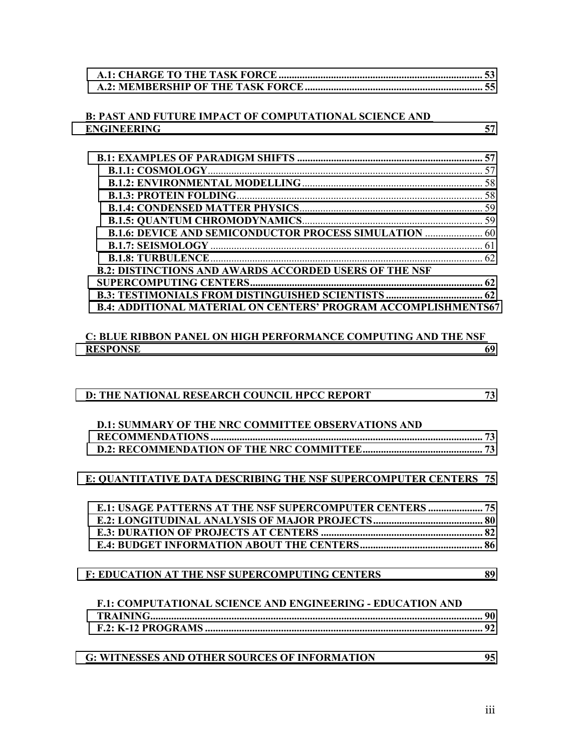#### **B: PAST AND FUTURE IMPACT OF COMPUTATIONAL SCIENCE AND [ENGINEERING 57](#page-68-0)**

| <b>B.1.6: DEVICE AND SEMICONDUCTOR PROCESS SIMULATION  60</b>         |  |
|-----------------------------------------------------------------------|--|
|                                                                       |  |
|                                                                       |  |
| <b>B.2: DISTINCTIONS AND AWARDS ACCORDED USERS OF THE NSF</b>         |  |
|                                                                       |  |
|                                                                       |  |
| <b>B.4: ADDITIONAL MATERIAL ON CENTERS' PROGRAM ACCOMPLISHMENTS67</b> |  |

#### **C: BLUE RIBBON PANEL ON HIGH PERFORMANCE COMPUTING AND THE NSF RESPONSE** 69

| D: THE NATIONAL RESEARCH COUNCIL HPCC REPORT                      | 73 |
|-------------------------------------------------------------------|----|
| <b>D.1: SUMMARY OF THE NRC COMMITTEE OBSERVATIONS AND</b>         |    |
|                                                                   |    |
|                                                                   |    |
| E: QUANTITATIVE DATA DESCRIBING THE NSF SUPERCOMPUTER CENTERS 75  |    |
| <b>E.1: USAGE PATTERNS AT THE NSF SUPERCOMPUTER CENTERS  75</b>   |    |
|                                                                   |    |
|                                                                   |    |
|                                                                   |    |
| <b>F: EDUCATION AT THE NSF SUPERCOMPUTING CENTERS</b><br>89       |    |
| <b>F.1: COMPUTATIONAL SCIENCE AND ENGINEERING - EDUCATION AND</b> |    |
|                                                                   |    |
|                                                                   |    |
| <b>G: WITNESSES AND OTHER SOURCES OF INFORMATION</b>              | 95 |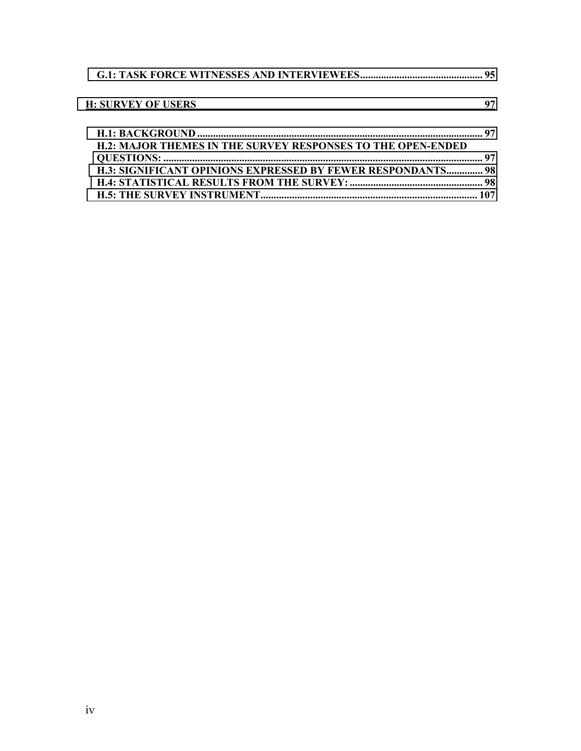| <b>H: SURVEY OF USERS</b>                                          | 97 |
|--------------------------------------------------------------------|----|
| <b>H.2: MAJOR THEMES IN THE SURVEY RESPONSES TO THE OPEN-ENDED</b> |    |
|                                                                    |    |
| <b>H.3: SIGNIFICANT OPINIONS EXPRESSED BY FEWER RESPONDANTS 98</b> |    |
|                                                                    |    |
|                                                                    |    |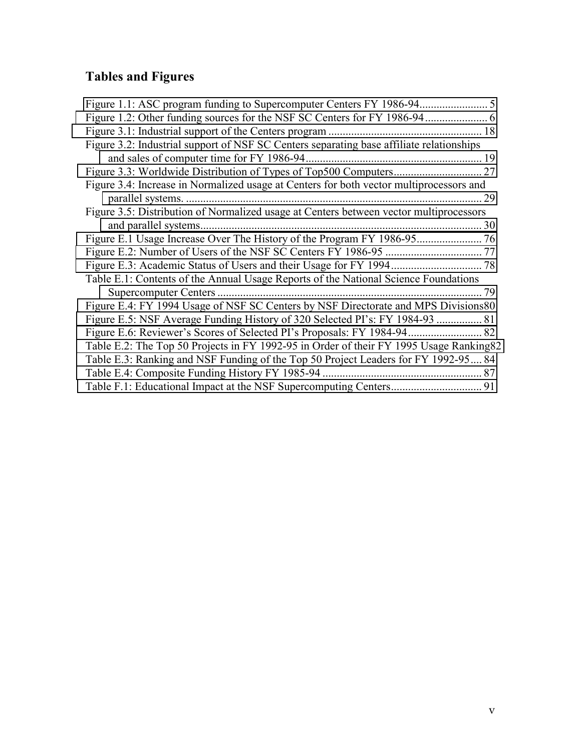# **Tables and Figures**

| Figure 1.1: ASC program funding to Supercomputer Centers FY 1986-94                      | 5    |
|------------------------------------------------------------------------------------------|------|
|                                                                                          | 6    |
|                                                                                          | 18   |
| Figure 3.2: Industrial support of NSF SC Centers separating base affiliate relationships |      |
|                                                                                          |      |
|                                                                                          | 27   |
| Figure 3.4: Increase in Normalized usage at Centers for both vector multiprocessors and  |      |
|                                                                                          | 29   |
| Figure 3.5: Distribution of Normalized usage at Centers between vector multiprocessors   |      |
|                                                                                          | 30   |
|                                                                                          | . 76 |
|                                                                                          |      |
|                                                                                          | 78   |
| Table E.1: Contents of the Annual Usage Reports of the National Science Foundations      |      |
|                                                                                          | 79   |
| Figure E.4: FY 1994 Usage of NSF SC Centers by NSF Directorate and MPS Divisions80       |      |
| Figure E.5: NSF Average Funding History of 320 Selected PI's: FY 1984-93  81             |      |
|                                                                                          |      |
| Table E.2: The Top 50 Projects in FY 1992-95 in Order of their FY 1995 Usage Ranking 82  |      |
| Table E.3: Ranking and NSF Funding of the Top 50 Project Leaders for FY 1992-95 84       |      |
|                                                                                          |      |
|                                                                                          |      |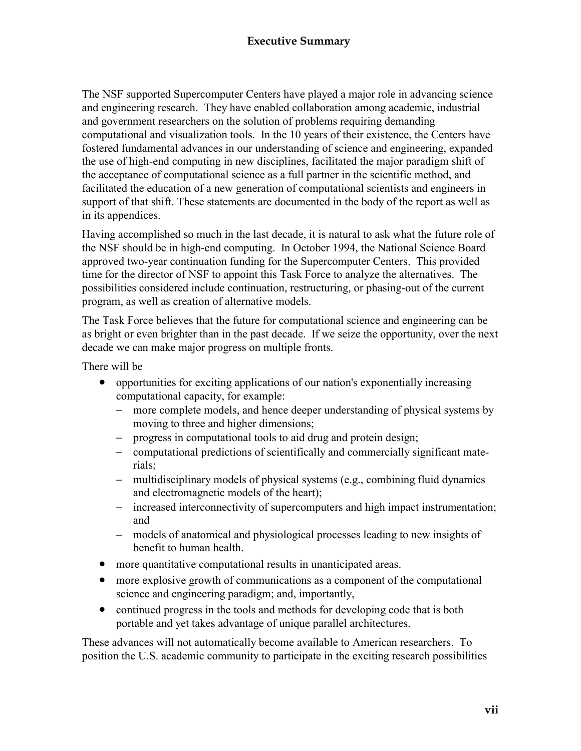## **Executive Summary**

<span id="page-8-0"></span>The NSF supported Supercomputer Centers have played a major role in advancing science and engineering research. They have enabled collaboration among academic, industrial and government researchers on the solution of problems requiring demanding computational and visualization tools. In the 10 years of their existence, the Centers have fostered fundamental advances in our understanding of science and engineering, expanded the use of high-end computing in new disciplines, facilitated the major paradigm shift of the acceptance of computational science as a full partner in the scientific method, and facilitated the education of a new generation of computational scientists and engineers in support of that shift. These statements are documented in the body of the report as well as in its appendices.

Having accomplished so much in the last decade, it is natural to ask what the future role of the NSF should be in high-end computing. In October 1994, the National Science Board approved two-year continuation funding for the Supercomputer Centers. This provided time for the director of NSF to appoint this Task Force to analyze the alternatives. The possibilities considered include continuation, restructuring, or phasing-out of the current program, as well as creation of alternative models.

The Task Force believes that the future for computational science and engineering can be as bright or even brighter than in the past decade. If we seize the opportunity, over the next decade we can make major progress on multiple fronts.

There will be

- opportunities for exciting applications of our nation's exponentially increasing computational capacity, for example:
	- − more complete models, and hence deeper understanding of physical systems by moving to three and higher dimensions;
	- − progress in computational tools to aid drug and protein design;
	- − computational predictions of scientifically and commercially significant materials;
	- − multidisciplinary models of physical systems (e.g., combining fluid dynamics and electromagnetic models of the heart);
	- − increased interconnectivity of supercomputers and high impact instrumentation; and
	- − models of anatomical and physiological processes leading to new insights of benefit to human health.
- more quantitative computational results in unanticipated areas.
- more explosive growth of communications as a component of the computational science and engineering paradigm; and, importantly,
- continued progress in the tools and methods for developing code that is both portable and yet takes advantage of unique parallel architectures.

These advances will not automatically become available to American researchers. To position the U.S. academic community to participate in the exciting research possibilities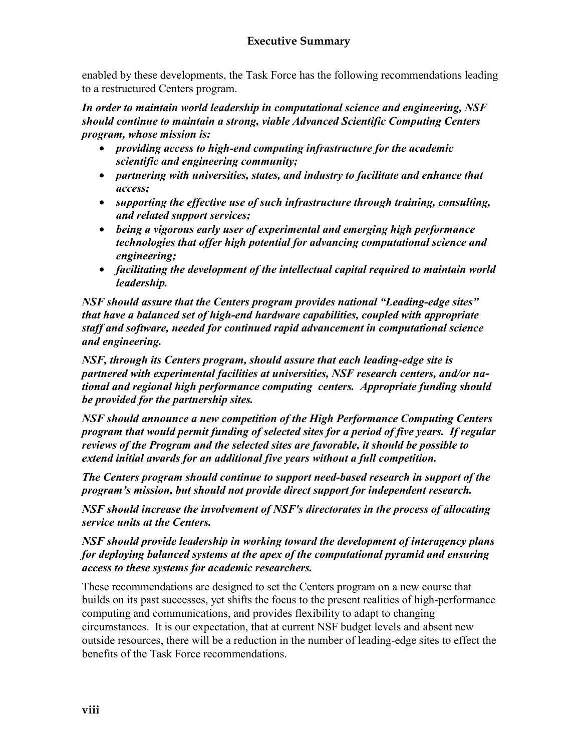enabled by these developments, the Task Force has the following recommendations leading to a restructured Centers program.

*In order to maintain world leadership in computational science and engineering, NSF should continue to maintain a strong, viable Advanced Scientific Computing Centers program, whose mission is:* 

- *providing access to high-end computing infrastructure for the academic scientific and engineering community;*
- *partnering with universities, states, and industry to facilitate and enhance that access;*
- *supporting the effective use of such infrastructure through training, consulting, and related support services;*
- *being a vigorous early user of experimental and emerging high performance technologies that offer high potential for advancing computational science and engineering;*
- *facilitating the development of the intellectual capital required to maintain world leadership.*

*NSF should assure that the Centers program provides national "Leading-edge sites" that have a balanced set of high-end hardware capabilities, coupled with appropriate staff and software, needed for continued rapid advancement in computational science and engineering.* 

*NSF, through its Centers program, should assure that each leading-edge site is partnered with experimental facilities at universities, NSF research centers, and/or national and regional high performance computing centers. Appropriate funding should be provided for the partnership sites.* 

*NSF should announce a new competition of the High Performance Computing Centers program that would permit funding of selected sites for a period of five years. If regular reviews of the Program and the selected sites are favorable, it should be possible to extend initial awards for an additional five years without a full competition.* 

*The Centers program should continue to support need-based research in support of the program's mission, but should not provide direct support for independent research.* 

*NSF should increase the involvement of NSF's directorates in the process of allocating service units at the Centers.* 

*NSF should provide leadership in working toward the development of interagency plans for deploying balanced systems at the apex of the computational pyramid and ensuring access to these systems for academic researchers.* 

These recommendations are designed to set the Centers program on a new course that builds on its past successes, yet shifts the focus to the present realities of high-performance computing and communications, and provides flexibility to adapt to changing circumstances. It is our expectation, that at current NSF budget levels and absent new outside resources, there will be a reduction in the number of leading-edge sites to effect the benefits of the Task Force recommendations.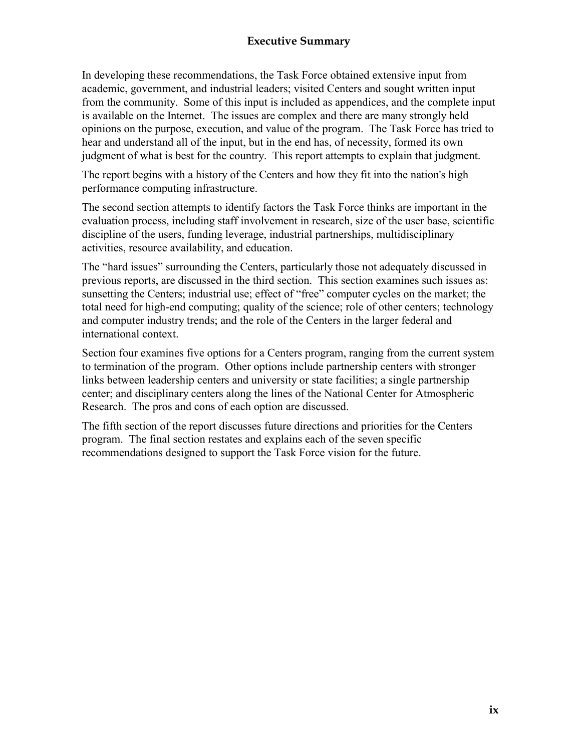#### **Executive Summary**

In developing these recommendations, the Task Force obtained extensive input from academic, government, and industrial leaders; visited Centers and sought written input from the community. Some of this input is included as appendices, and the complete input is available on the Internet. The issues are complex and there are many strongly held opinions on the purpose, execution, and value of the program. The Task Force has tried to hear and understand all of the input, but in the end has, of necessity, formed its own judgment of what is best for the country. This report attempts to explain that judgment.

The report begins with a history of the Centers and how they fit into the nation's high performance computing infrastructure.

The second section attempts to identify factors the Task Force thinks are important in the evaluation process, including staff involvement in research, size of the user base, scientific discipline of the users, funding leverage, industrial partnerships, multidisciplinary activities, resource availability, and education.

The "hard issues" surrounding the Centers, particularly those not adequately discussed in previous reports, are discussed in the third section. This section examines such issues as: sunsetting the Centers; industrial use; effect of "free" computer cycles on the market; the total need for high-end computing; quality of the science; role of other centers; technology and computer industry trends; and the role of the Centers in the larger federal and international context.

Section four examines five options for a Centers program, ranging from the current system to termination of the program. Other options include partnership centers with stronger links between leadership centers and university or state facilities; a single partnership center; and disciplinary centers along the lines of the National Center for Atmospheric Research. The pros and cons of each option are discussed.

The fifth section of the report discusses future directions and priorities for the Centers program. The final section restates and explains each of the seven specific recommendations designed to support the Task Force vision for the future.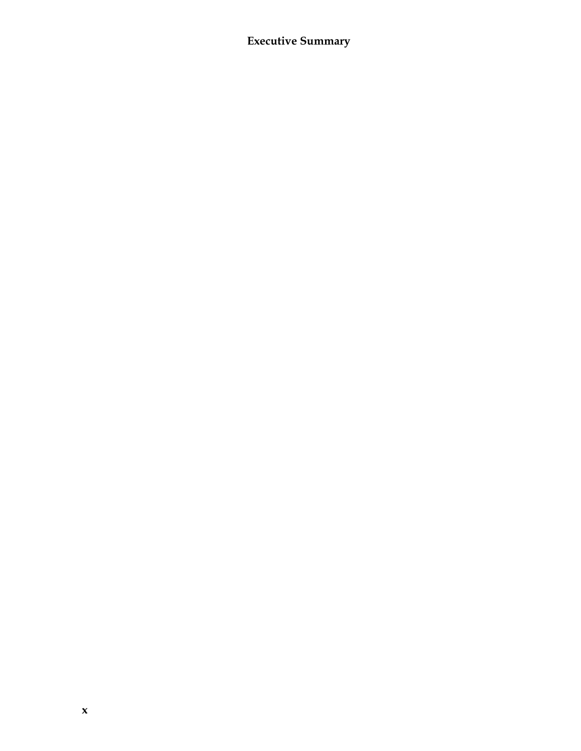# **Executive Summary**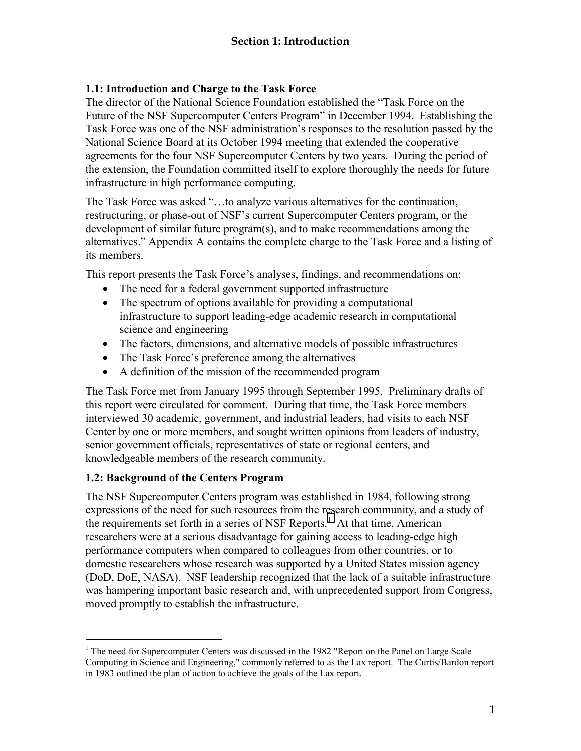#### <span id="page-12-0"></span>**1.1: Introduction and Charge to the Task Force**

The director of the National Science Foundation established the "Task Force on the Future of the NSF Supercomputer Centers Program" in December 1994. Establishing the Task Force was one of the NSF administration's responses to the resolution passed by the National Science Board at its October 1994 meeting that extended the cooperative agreements for the four NSF Supercomputer Centers by two years. During the period of the extension, the Foundation committed itself to explore thoroughly the needs for future infrastructure in high performance computing.

The Task Force was asked "…to analyze various alternatives for the continuation, restructuring, or phase-out of NSF's current Supercomputer Centers program, or the development of similar future program(s), and to make recommendations among the alternatives." Appendix A contains the complete charge to the Task Force and a listing of its members.

This report presents the Task Force's analyses, findings, and recommendations on:

- The need for a federal government supported infrastructure
- The spectrum of options available for providing a computational infrastructure to support leading-edge academic research in computational science and engineering
- The factors, dimensions, and alternative models of possible infrastructures
- The Task Force's preference among the alternatives
- A definition of the mission of the recommended program

The Task Force met from January 1995 through September 1995. Preliminary drafts of this report were circulated for comment. During that time, the Task Force members interviewed 30 academic, government, and industrial leaders, had visits to each NSF Center by one or more members, and sought written opinions from leaders of industry, senior government officials, representatives of state or regional centers, and knowledgeable members of the research community.

#### **1.2: Background of the Centers Program**

 $\overline{a}$ 

The NSF Supercomputer Centers program was established in 1984, following strong expressions of the need for such resources from the research community, and a study of the requirements set forth in a series of NSF Reports.<sup>1</sup> At that time, American researchers were at a serious disadvantage for gaining access to leading-edge high performance computers when compared to colleagues from other countries, or to domestic researchers whose research was supported by a United States mission agency (DoD, DoE, NASA). NSF leadership recognized that the lack of a suitable infrastructure was hampering important basic research and, with unprecedented support from Congress, moved promptly to establish the infrastructure.

<sup>&</sup>lt;sup>1</sup> The need for Supercomputer Centers was discussed in the 1982 "Report on the Panel on Large Scale Computing in Science and Engineering," commonly referred to as the Lax report. The Curtis/Bardon report in 1983 outlined the plan of action to achieve the goals of the Lax report.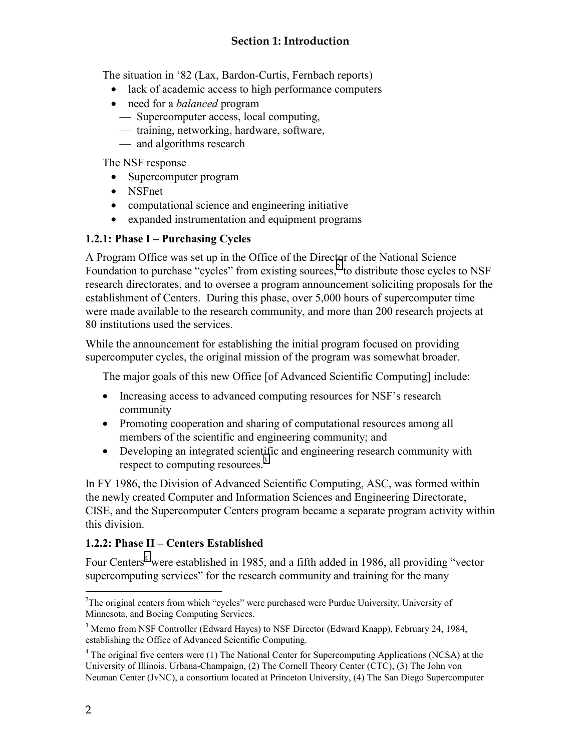<span id="page-13-0"></span>The situation in '82 (Lax, Bardon-Curtis, Fernbach reports)

- lack of academic access to high performance computers
- need for a *balanced* program
	- Supercomputer access, local computing,
	- training, networking, hardware, software,
	- and algorithms research

The NSF response

- Supercomputer program
- NSFnet
- computational science and engineering initiative
- expanded instrumentation and equipment programs

#### **1.2.1: Phase I – Purchasing Cycles**

A Program Office was set up in the Office of the Director of the National Science Foundation to purchase "cycles" from existing sources, $2$  to distribute those cycles to NSF research directorates, and to oversee a program announcement soliciting proposals for the establishment of Centers. During this phase, over 5,000 hours of supercomputer time were made available to the research community, and more than 200 research projects at 80 institutions used the services.

While the announcement for establishing the initial program focused on providing supercomputer cycles, the original mission of the program was somewhat broader.

The major goals of this new Office [of Advanced Scientific Computing] include:

- Increasing access to advanced computing resources for NSF's research community
- Promoting cooperation and sharing of computational resources among all members of the scientific and engineering community; and
- Developing an integrated scientific and engineering research community with respect to computing resources.<sup>3</sup>

In FY 1986, the Division of Advanced Scientific Computing, ASC, was formed within the newly created Computer and Information Sciences and Engineering Directorate, CISE, and the Supercomputer Centers program became a separate program activity within this division.

#### **1.2.2: Phase II – Centers Established**

Four Centers<sup>4</sup> were established in 1985, and a fifth added in 1986, all providing "vector supercomputing services" for the research community and training for the many

 $\overline{a}$ <sup>2</sup>The original centers from which "cycles" were purchased were Purdue University, University of Minnesota, and Boeing Computing Services.

<sup>&</sup>lt;sup>3</sup> Memo from NSF Controller (Edward Hayes) to NSF Director (Edward Knapp), February 24, 1984, establishing the Office of Advanced Scientific Computing.

<sup>&</sup>lt;sup>4</sup> The original five centers were (1) The National Center for Supercomputing Applications (NCSA) at the University of Illinois, Urbana-Champaign, (2) The Cornell Theory Center (CTC), (3) The John von Neuman Center (JvNC), a consortium located at Princeton University, (4) The San Diego Supercomputer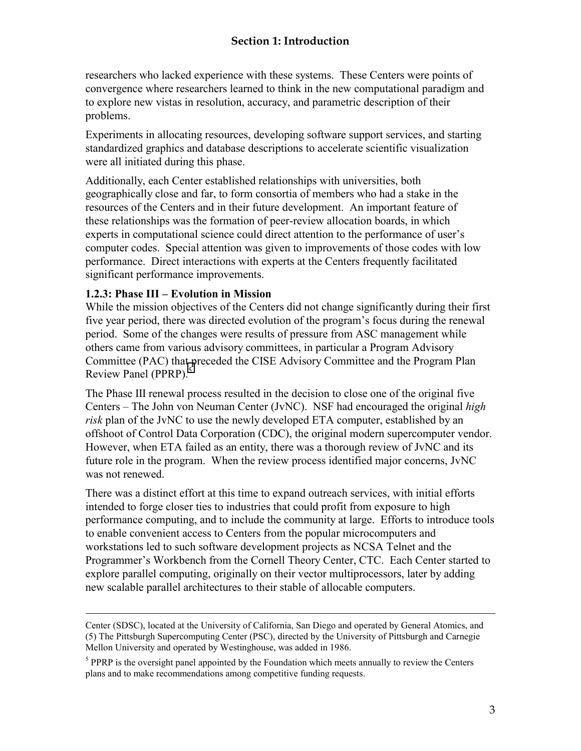<span id="page-14-0"></span>researchers who lacked experience with these systems. These Centers were points of convergence where researchers learned to think in the new computational paradigm and to explore new vistas in resolution, accuracy, and parametric description of their problems.

Experiments in allocating resources, developing software support services, and starting standardized graphics and database descriptions to accelerate scientific visualization were all initiated during this phase.

Additionally, each Center established relationships with universities, both geographically close and far, to form consortia of members who had a stake in the resources of the Centers and in their future development. An important feature of these relationships was the formation of peer-review allocation boards, in which experts in computational science could direct attention to the performance of user's computer codes. Special attention was given to improvements of those codes with low performance. Direct interactions with experts at the Centers frequently facilitated significant performance improvements.

#### **1.2.3: Phase III – Evolution in Mission**

 $\overline{a}$ 

While the mission objectives of the Centers did not change significantly during their first five year period, there was directed evolution of the program's focus during the renewal period. Some of the changes were results of pressure from ASC management while others came from various advisory committees, in particular a Program Advisory Committee (PAC) that preceded the CISE Advisory Committee and the Program Plan Review Panel (PPRP).<sup>5</sup>

The Phase III renewal process resulted in the decision to close one of the original five Centers – The John von Neuman Center (JvNC). NSF had encouraged the original *high risk* plan of the JvNC to use the newly developed ETA computer, established by an offshoot of Control Data Corporation (CDC), the original modern supercomputer vendor. However, when ETA failed as an entity, there was a thorough review of JvNC and its future role in the program. When the review process identified major concerns, JvNC was not renewed.

There was a distinct effort at this time to expand outreach services, with initial efforts intended to forge closer ties to industries that could profit from exposure to high performance computing, and to include the community at large. Efforts to introduce tools to enable convenient access to Centers from the popular microcomputers and workstations led to such software development projects as NCSA Telnet and the Programmer's Workbench from the Cornell Theory Center, CTC. Each Center started to explore parallel computing, originally on their vector multiprocessors, later by adding new scalable parallel architectures to their stable of allocable computers.

Center (SDSC), located at the University of California, San Diego and operated by General Atomics, and (5) The Pittsburgh Supercomputing Center (PSC), directed by the University of Pittsburgh and Carnegie Mellon University and operated by Westinghouse, was added in 1986.

 $<sup>5</sup>$  PPRP is the oversight panel appointed by the Foundation which meets annually to review the Centers</sup> plans and to make recommendations among competitive funding requests.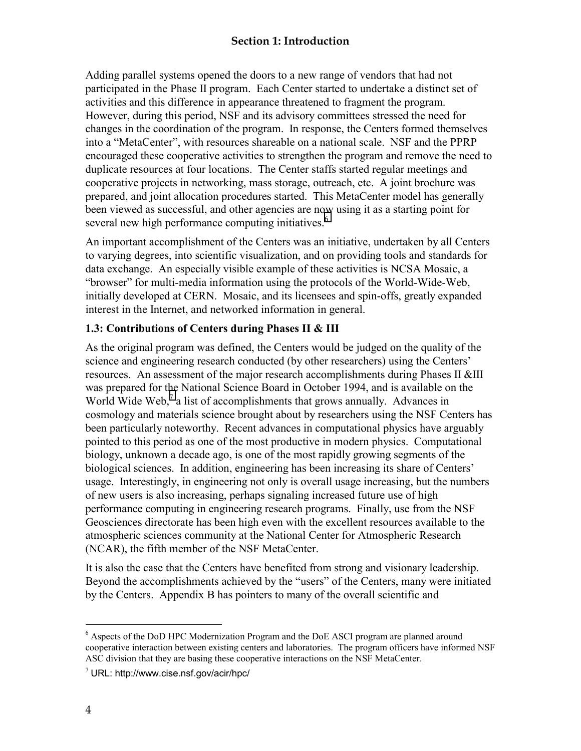#### **Section 1: Introduction**

<span id="page-15-0"></span>Adding parallel systems opened the doors to a new range of vendors that had not participated in the Phase II program. Each Center started to undertake a distinct set of activities and this difference in appearance threatened to fragment the program. However, during this period, NSF and its advisory committees stressed the need for changes in the coordination of the program. In response, the Centers formed themselves into a "MetaCenter", with resources shareable on a national scale. NSF and the PPRP encouraged these cooperative activities to strengthen the program and remove the need to duplicate resources at four locations. The Center staffs started regular meetings and cooperative projects in networking, mass storage, outreach, etc. A joint brochure was prepared, and joint allocation procedures started. This MetaCenter model has generally been viewed as successful, and other agencies are now using it as a starting point for several new high performance computing initiatives.<sup>6</sup>

An important accomplishment of the Centers was an initiative, undertaken by all Centers to varying degrees, into scientific visualization, and on providing tools and standards for data exchange. An especially visible example of these activities is NCSA Mosaic, a "browser" for multi-media information using the protocols of the World-Wide-Web, initially developed at CERN. Mosaic, and its licensees and spin-offs, greatly expanded interest in the Internet, and networked information in general.

#### **1.3: Contributions of Centers during Phases II & III**

As the original program was defined, the Centers would be judged on the quality of the science and engineering research conducted (by other researchers) using the Centers' resources. An assessment of the major research accomplishments during Phases II &III was prepared for the National Science Board in October 1994, and is available on the World Wide Web, $^7$  a list of accomplishments that grows annually. Advances in cosmology and materials science brought about by researchers using the NSF Centers has been particularly noteworthy. Recent advances in computational physics have arguably pointed to this period as one of the most productive in modern physics. Computational biology, unknown a decade ago, is one of the most rapidly growing segments of the biological sciences. In addition, engineering has been increasing its share of Centers' usage. Interestingly, in engineering not only is overall usage increasing, but the numbers of new users is also increasing, perhaps signaling increased future use of high performance computing in engineering research programs. Finally, use from the NSF Geosciences directorate has been high even with the excellent resources available to the atmospheric sciences community at the National Center for Atmospheric Research (NCAR), the fifth member of the NSF MetaCenter.

It is also the case that the Centers have benefited from strong and visionary leadership. Beyond the accomplishments achieved by the "users" of the Centers, many were initiated by the Centers. Appendix B has pointers to many of the overall scientific and

 $\overline{a}$ 

<sup>&</sup>lt;sup>6</sup> Aspects of the DoD HPC Modernization Program and the DoE ASCI program are planned around cooperative interaction between existing centers and laboratories. The program officers have informed NSF ASC division that they are basing these cooperative interactions on the NSF MetaCenter.

 $7$  URL: http://www.cise.nsf.gov/acir/hpc/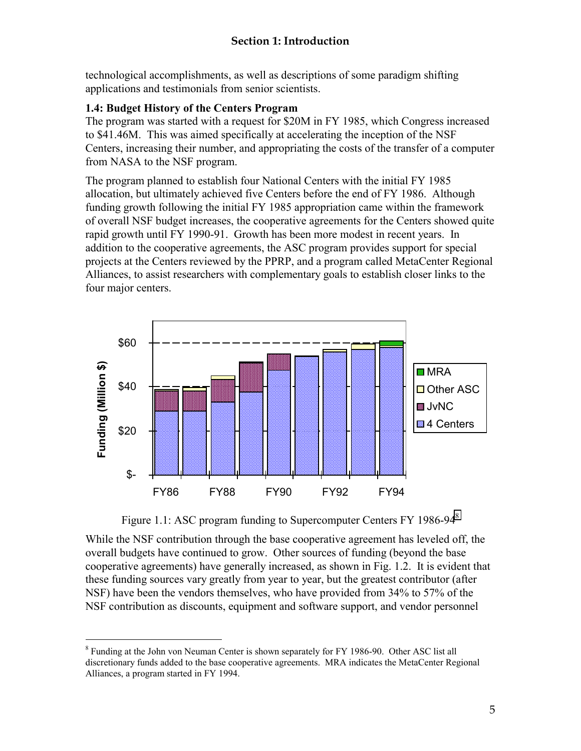<span id="page-16-0"></span>technological accomplishments, as well as descriptions of some paradigm shifting applications and testimonials from senior scientists.

#### **1.4: Budget History of the Centers Program**

The program was started with a request for \$20M in FY 1985, which Congress increased to \$41.46M. This was aimed specifically at accelerating the inception of the NSF Centers, increasing their number, and appropriating the costs of the transfer of a computer from NASA to the NSF program.

The program planned to establish four National Centers with the initial FY 1985 allocation, but ultimately achieved five Centers before the end of FY 1986. Although funding growth following the initial FY 1985 appropriation came within the framework of overall NSF budget increases, the cooperative agreements for the Centers showed quite rapid growth until FY 1990-91. Growth has been more modest in recent years. In addition to the cooperative agreements, the ASC program provides support for special projects at the Centers reviewed by the PPRP, and a program called MetaCenter Regional Alliances, to assist researchers with complementary goals to establish closer links to the four major centers.



Figure 1.1: ASC program funding to Supercomputer Centers FY 1986-94<sup>8</sup>

While the NSF contribution through the base cooperative agreement has leveled off, the overall budgets have continued to grow. Other sources of funding (beyond the base cooperative agreements) have generally increased, as shown in Fig. 1.2. It is evident that these funding sources vary greatly from year to year, but the greatest contributor (after NSF) have been the vendors themselves, who have provided from 34% to 57% of the NSF contribution as discounts, equipment and software support, and vendor personnel

 $\overline{a}$ 

<sup>&</sup>lt;sup>8</sup> Funding at the John von Neuman Center is shown separately for FY 1986-90. Other ASC list all discretionary funds added to the base cooperative agreements. MRA indicates the MetaCenter Regional Alliances, a program started in FY 1994.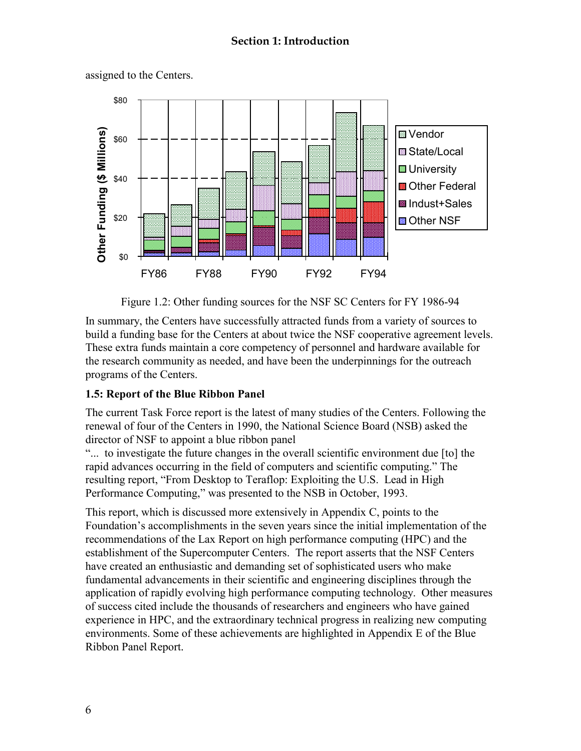

<span id="page-17-0"></span>assigned to the Centers.

Figure 1.2: Other funding sources for the NSF SC Centers for FY 1986-94

In summary, the Centers have successfully attracted funds from a variety of sources to build a funding base for the Centers at about twice the NSF cooperative agreement levels. These extra funds maintain a core competency of personnel and hardware available for the research community as needed, and have been the underpinnings for the outreach programs of the Centers.

#### **1.5: Report of the Blue Ribbon Panel**

The current Task Force report is the latest of many studies of the Centers. Following the renewal of four of the Centers in 1990, the National Science Board (NSB) asked the director of NSF to appoint a blue ribbon panel

"... to investigate the future changes in the overall scientific environment due [to] the rapid advances occurring in the field of computers and scientific computing." The resulting report, "From Desktop to Teraflop: Exploiting the U.S. Lead in High Performance Computing," was presented to the NSB in October, 1993.

This report, which is discussed more extensively in Appendix C, points to the Foundation's accomplishments in the seven years since the initial implementation of the recommendations of the Lax Report on high performance computing (HPC) and the establishment of the Supercomputer Centers. The report asserts that the NSF Centers have created an enthusiastic and demanding set of sophisticated users who make fundamental advancements in their scientific and engineering disciplines through the application of rapidly evolving high performance computing technology. Other measures of success cited include the thousands of researchers and engineers who have gained experience in HPC, and the extraordinary technical progress in realizing new computing environments. Some of these achievements are highlighted in Appendix E of the Blue Ribbon Panel Report.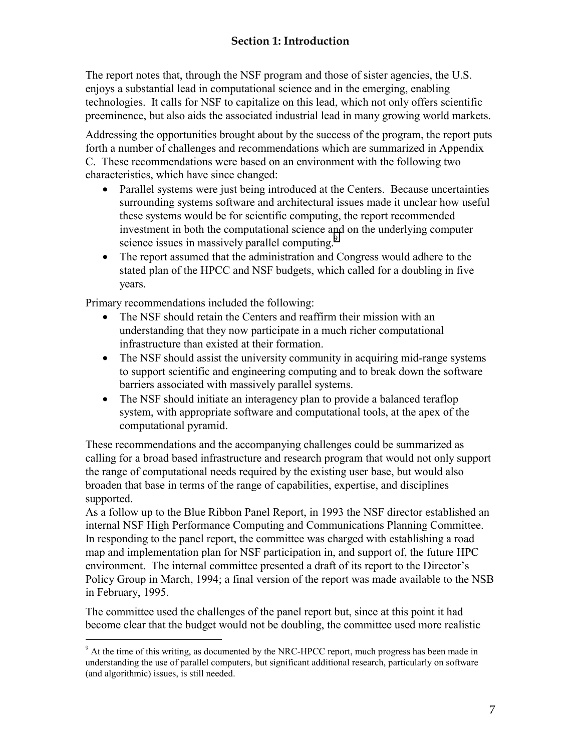## **Section 1: Introduction**

The report notes that, through the NSF program and those of sister agencies, the U.S. enjoys a substantial lead in computational science and in the emerging, enabling technologies. It calls for NSF to capitalize on this lead, which not only offers scientific preeminence, but also aids the associated industrial lead in many growing world markets.

Addressing the opportunities brought about by the success of the program, the report puts forth a number of challenges and recommendations which are summarized in Appendix C. These recommendations were based on an environment with the following two characteristics, which have since changed:

- Parallel systems were just being introduced at the Centers. Because uncertainties surrounding systems software and architectural issues made it unclear how useful these systems would be for scientific computing, the report recommended investment in both the computational science and on the underlying computer science issues in massively parallel computing.<sup>9</sup>
- The report assumed that the administration and Congress would adhere to the stated plan of the HPCC and NSF budgets, which called for a doubling in five years.

Primary recommendations included the following:

- The NSF should retain the Centers and reaffirm their mission with an understanding that they now participate in a much richer computational infrastructure than existed at their formation.
- The NSF should assist the university community in acquiring mid-range systems to support scientific and engineering computing and to break down the software barriers associated with massively parallel systems.
- The NSF should initiate an interagency plan to provide a balanced teraflop system, with appropriate software and computational tools, at the apex of the computational pyramid.

These recommendations and the accompanying challenges could be summarized as calling for a broad based infrastructure and research program that would not only support the range of computational needs required by the existing user base, but would also broaden that base in terms of the range of capabilities, expertise, and disciplines supported.

As a follow up to the Blue Ribbon Panel Report, in 1993 the NSF director established an internal NSF High Performance Computing and Communications Planning Committee. In responding to the panel report, the committee was charged with establishing a road map and implementation plan for NSF participation in, and support of, the future HPC environment. The internal committee presented a draft of its report to the Director's Policy Group in March, 1994; a final version of the report was made available to the NSB in February, 1995.

The committee used the challenges of the panel report but, since at this point it had become clear that the budget would not be doubling, the committee used more realistic

<sup>&</sup>lt;sup>9</sup> At the time of this writing, as documented by the NRC-HPCC report, much progress has been made in understanding the use of parallel computers, but significant additional research, particularly on software (and algorithmic) issues, is still needed.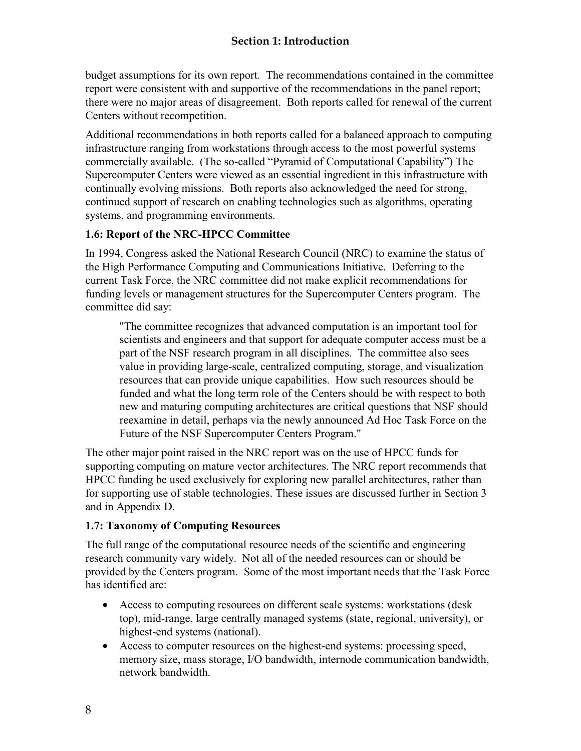<span id="page-19-0"></span>budget assumptions for its own report. The recommendations contained in the committee report were consistent with and supportive of the recommendations in the panel report; there were no major areas of disagreement. Both reports called for renewal of the current Centers without recompetition.

Additional recommendations in both reports called for a balanced approach to computing infrastructure ranging from workstations through access to the most powerful systems commercially available. (The so-called "Pyramid of Computational Capability") The Supercomputer Centers were viewed as an essential ingredient in this infrastructure with continually evolving missions. Both reports also acknowledged the need for strong, continued support of research on enabling technologies such as algorithms, operating systems, and programming environments.

#### **1.6: Report of the NRC-HPCC Committee**

In 1994, Congress asked the National Research Council (NRC) to examine the status of the High Performance Computing and Communications Initiative. Deferring to the current Task Force, the NRC committee did not make explicit recommendations for funding levels or management structures for the Supercomputer Centers program. The committee did say:

"The committee recognizes that advanced computation is an important tool for scientists and engineers and that support for adequate computer access must be a part of the NSF research program in all disciplines. The committee also sees value in providing large-scale, centralized computing, storage, and visualization resources that can provide unique capabilities. How such resources should be funded and what the long term role of the Centers should be with respect to both new and maturing computing architectures are critical questions that NSF should reexamine in detail, perhaps via the newly announced Ad Hoc Task Force on the Future of the NSF Supercomputer Centers Program."

The other major point raised in the NRC report was on the use of HPCC funds for supporting computing on mature vector architectures. The NRC report recommends that HPCC funding be used exclusively for exploring new parallel architectures, rather than for supporting use of stable technologies. These issues are discussed further in Section 3 and in Appendix D.

#### **1.7: Taxonomy of Computing Resources**

The full range of the computational resource needs of the scientific and engineering research community vary widely. Not all of the needed resources can or should be provided by the Centers program. Some of the most important needs that the Task Force has identified are:

- Access to computing resources on different scale systems: workstations (desk top), mid-range, large centrally managed systems (state, regional, university), or highest-end systems (national).
- Access to computer resources on the highest-end systems: processing speed, memory size, mass storage, I/O bandwidth, internode communication bandwidth, network bandwidth.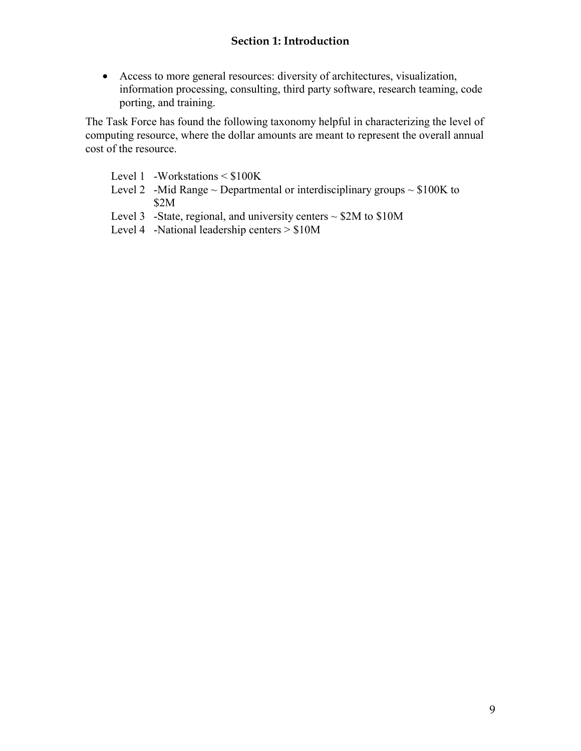#### **Section 1: Introduction**

• Access to more general resources: diversity of architectures, visualization, information processing, consulting, third party software, research teaming, code porting, and training.

The Task Force has found the following taxonomy helpful in characterizing the level of computing resource, where the dollar amounts are meant to represent the overall annual cost of the resource.

- Level 1 -Workstations < \$100K
- Level 2 -Mid Range  $\sim$  Departmental or interdisciplinary groups  $\sim$  \$100K to \$2M
- Level 3 -State, regional, and university centers  $\sim$  \$2M to \$10M
- Level 4 -National leadership centers > \$10M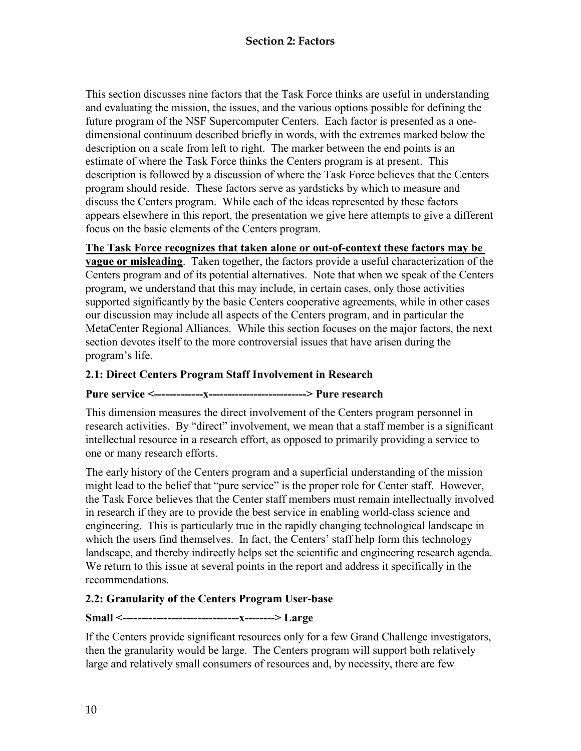<span id="page-21-0"></span>This section discusses nine factors that the Task Force thinks are useful in understanding and evaluating the mission, the issues, and the various options possible for defining the future program of the NSF Supercomputer Centers. Each factor is presented as a onedimensional continuum described briefly in words, with the extremes marked below the description on a scale from left to right. The marker between the end points is an estimate of where the Task Force thinks the Centers program is at present. This description is followed by a discussion of where the Task Force believes that the Centers program should reside. These factors serve as yardsticks by which to measure and discuss the Centers program. While each of the ideas represented by these factors appears elsewhere in this report, the presentation we give here attempts to give a different focus on the basic elements of the Centers program.

**The Task Force recognizes that taken alone or out-of-context these factors may be** 

**vague or misleading**. Taken together, the factors provide a useful characterization of the Centers program and of its potential alternatives. Note that when we speak of the Centers program, we understand that this may include, in certain cases, only those activities supported significantly by the basic Centers cooperative agreements, while in other cases our discussion may include all aspects of the Centers program, and in particular the MetaCenter Regional Alliances. While this section focuses on the major factors, the next section devotes itself to the more controversial issues that have arisen during the program's life.

#### **2.1: Direct Centers Program Staff Involvement in Research**

#### **Pure service <-------------x--------------------------> Pure research**

This dimension measures the direct involvement of the Centers program personnel in research activities. By "direct" involvement, we mean that a staff member is a significant intellectual resource in a research effort, as opposed to primarily providing a service to one or many research efforts.

The early history of the Centers program and a superficial understanding of the mission might lead to the belief that "pure service" is the proper role for Center staff. However, the Task Force believes that the Center staff members must remain intellectually involved in research if they are to provide the best service in enabling world-class science and engineering. This is particularly true in the rapidly changing technological landscape in which the users find themselves. In fact, the Centers' staff help form this technology landscape, and thereby indirectly helps set the scientific and engineering research agenda. We return to this issue at several points in the report and address it specifically in the recommendations.

#### **2.2: Granularity of the Centers Program User-base**

## **Small <-------------------------------x--------> Large**

If the Centers provide significant resources only for a few Grand Challenge investigators, then the granularity would be large. The Centers program will support both relatively large and relatively small consumers of resources and, by necessity, there are few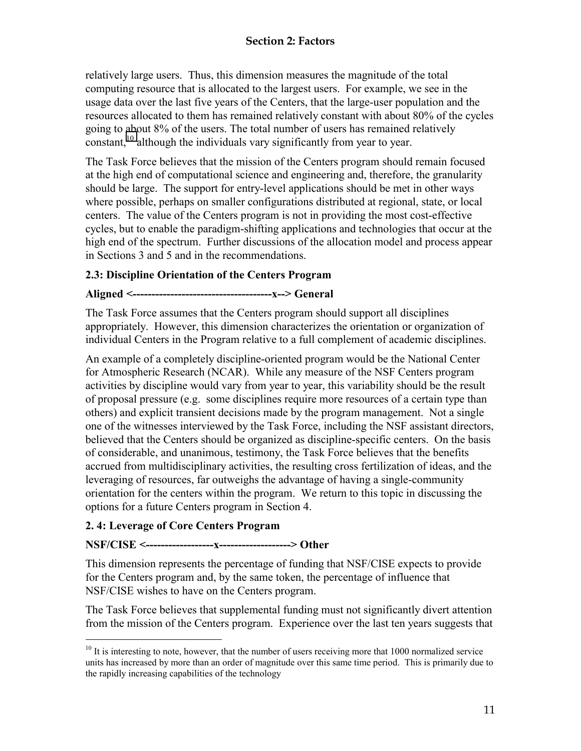<span id="page-22-0"></span>relatively large users. Thus, this dimension measures the magnitude of the total computing resource that is allocated to the largest users. For example, we see in the usage data over the last five years of the Centers, that the large-user population and the resources allocated to them has remained relatively constant with about 80% of the cycles going to about 8% of the users. The total number of users has remained relatively constant,<sup>10</sup> although the individuals vary significantly from year to year.

The Task Force believes that the mission of the Centers program should remain focused at the high end of computational science and engineering and, therefore, the granularity should be large. The support for entry-level applications should be met in other ways where possible, perhaps on smaller configurations distributed at regional, state, or local centers. The value of the Centers program is not in providing the most cost-effective cycles, but to enable the paradigm-shifting applications and technologies that occur at the high end of the spectrum. Further discussions of the allocation model and process appear in Sections 3 and 5 and in the recommendations.

#### **2.3: Discipline Orientation of the Centers Program**

#### **Aligned <-------------------------------------x--> General**

The Task Force assumes that the Centers program should support all disciplines appropriately. However, this dimension characterizes the orientation or organization of individual Centers in the Program relative to a full complement of academic disciplines.

An example of a completely discipline-oriented program would be the National Center for Atmospheric Research (NCAR). While any measure of the NSF Centers program activities by discipline would vary from year to year, this variability should be the result of proposal pressure (e.g. some disciplines require more resources of a certain type than others) and explicit transient decisions made by the program management. Not a single one of the witnesses interviewed by the Task Force, including the NSF assistant directors, believed that the Centers should be organized as discipline-specific centers. On the basis of considerable, and unanimous, testimony, the Task Force believes that the benefits accrued from multidisciplinary activities, the resulting cross fertilization of ideas, and the leveraging of resources, far outweighs the advantage of having a single-community orientation for the centers within the program. We return to this topic in discussing the options for a future Centers program in Section 4.

#### **2. 4: Leverage of Core Centers Program**

#### **NSF/CISE <------------------x-------------------> Other**

This dimension represents the percentage of funding that NSF/CISE expects to provide for the Centers program and, by the same token, the percentage of influence that NSF/CISE wishes to have on the Centers program.

The Task Force believes that supplemental funding must not significantly divert attention from the mission of the Centers program. Experience over the last ten years suggests that

 $\overline{a}$  $10$  It is interesting to note, however, that the number of users receiving more that 1000 normalized service units has increased by more than an order of magnitude over this same time period. This is primarily due to the rapidly increasing capabilities of the technology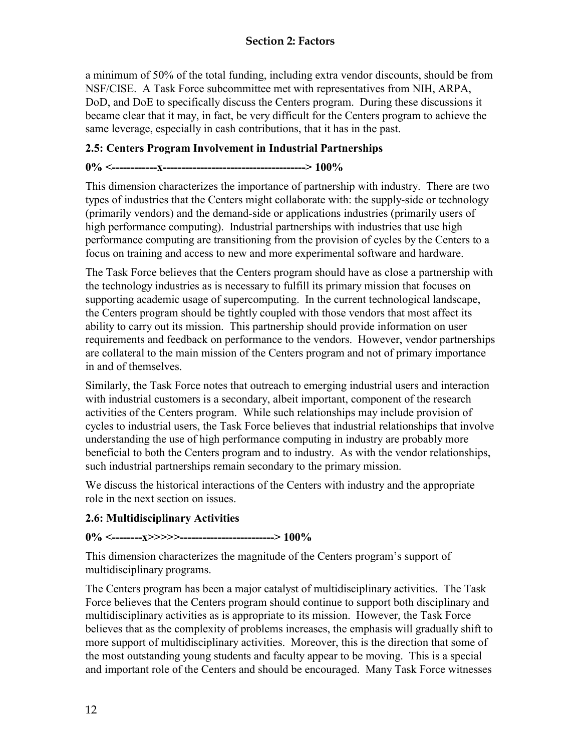#### **Section 2: Factors**

<span id="page-23-0"></span>a minimum of 50% of the total funding, including extra vendor discounts, should be from NSF/CISE. A Task Force subcommittee met with representatives from NIH, ARPA, DoD, and DoE to specifically discuss the Centers program. During these discussions it became clear that it may, in fact, be very difficult for the Centers program to achieve the same leverage, especially in cash contributions, that it has in the past.

#### **2.5: Centers Program Involvement in Industrial Partnerships**

# **0% <------------x--------------------------------------> 100%**

This dimension characterizes the importance of partnership with industry. There are two types of industries that the Centers might collaborate with: the supply-side or technology (primarily vendors) and the demand-side or applications industries (primarily users of high performance computing). Industrial partnerships with industries that use high performance computing are transitioning from the provision of cycles by the Centers to a focus on training and access to new and more experimental software and hardware.

The Task Force believes that the Centers program should have as close a partnership with the technology industries as is necessary to fulfill its primary mission that focuses on supporting academic usage of supercomputing. In the current technological landscape, the Centers program should be tightly coupled with those vendors that most affect its ability to carry out its mission. This partnership should provide information on user requirements and feedback on performance to the vendors. However, vendor partnerships are collateral to the main mission of the Centers program and not of primary importance in and of themselves.

Similarly, the Task Force notes that outreach to emerging industrial users and interaction with industrial customers is a secondary, albeit important, component of the research activities of the Centers program. While such relationships may include provision of cycles to industrial users, the Task Force believes that industrial relationships that involve understanding the use of high performance computing in industry are probably more beneficial to both the Centers program and to industry. As with the vendor relationships, such industrial partnerships remain secondary to the primary mission.

We discuss the historical interactions of the Centers with industry and the appropriate role in the next section on issues.

#### **2.6: Multidisciplinary Activities**

#### **0% <--------x>>>>>-------------------------> 100%**

This dimension characterizes the magnitude of the Centers program's support of multidisciplinary programs.

The Centers program has been a major catalyst of multidisciplinary activities. The Task Force believes that the Centers program should continue to support both disciplinary and multidisciplinary activities as is appropriate to its mission. However, the Task Force believes that as the complexity of problems increases, the emphasis will gradually shift to more support of multidisciplinary activities. Moreover, this is the direction that some of the most outstanding young students and faculty appear to be moving. This is a special and important role of the Centers and should be encouraged. Many Task Force witnesses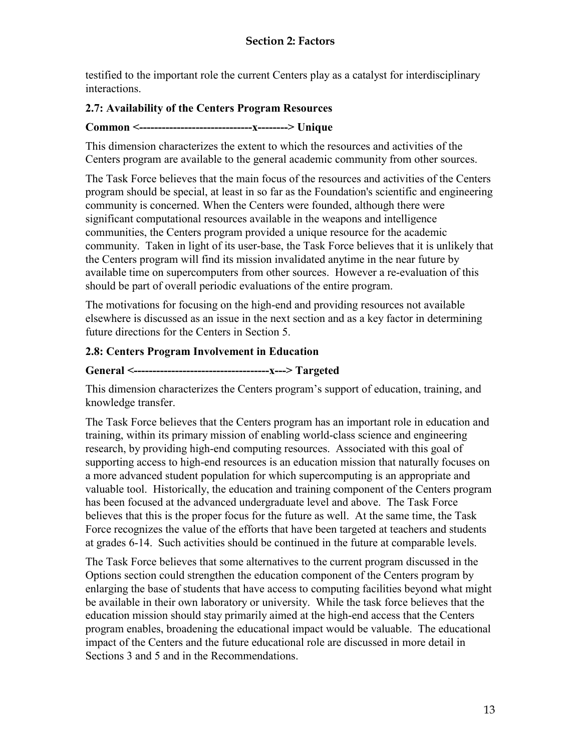<span id="page-24-0"></span>testified to the important role the current Centers play as a catalyst for interdisciplinary interactions.

#### **2.7: Availability of the Centers Program Resources**

#### **Common <------------------------------x--------> Unique**

This dimension characterizes the extent to which the resources and activities of the Centers program are available to the general academic community from other sources.

The Task Force believes that the main focus of the resources and activities of the Centers program should be special, at least in so far as the Foundation's scientific and engineering community is concerned. When the Centers were founded, although there were significant computational resources available in the weapons and intelligence communities, the Centers program provided a unique resource for the academic community. Taken in light of its user-base, the Task Force believes that it is unlikely that the Centers program will find its mission invalidated anytime in the near future by available time on supercomputers from other sources. However a re-evaluation of this should be part of overall periodic evaluations of the entire program.

The motivations for focusing on the high-end and providing resources not available elsewhere is discussed as an issue in the next section and as a key factor in determining future directions for the Centers in Section 5.

#### **2.8: Centers Program Involvement in Education**

#### **General <------------------------------------x---> Targeted**

This dimension characterizes the Centers program's support of education, training, and knowledge transfer.

The Task Force believes that the Centers program has an important role in education and training, within its primary mission of enabling world-class science and engineering research, by providing high-end computing resources. Associated with this goal of supporting access to high-end resources is an education mission that naturally focuses on a more advanced student population for which supercomputing is an appropriate and valuable tool. Historically, the education and training component of the Centers program has been focused at the advanced undergraduate level and above. The Task Force believes that this is the proper focus for the future as well. At the same time, the Task Force recognizes the value of the efforts that have been targeted at teachers and students at grades 6-14. Such activities should be continued in the future at comparable levels.

The Task Force believes that some alternatives to the current program discussed in the Options section could strengthen the education component of the Centers program by enlarging the base of students that have access to computing facilities beyond what might be available in their own laboratory or university. While the task force believes that the education mission should stay primarily aimed at the high-end access that the Centers program enables, broadening the educational impact would be valuable. The educational impact of the Centers and the future educational role are discussed in more detail in Sections 3 and 5 and in the Recommendations.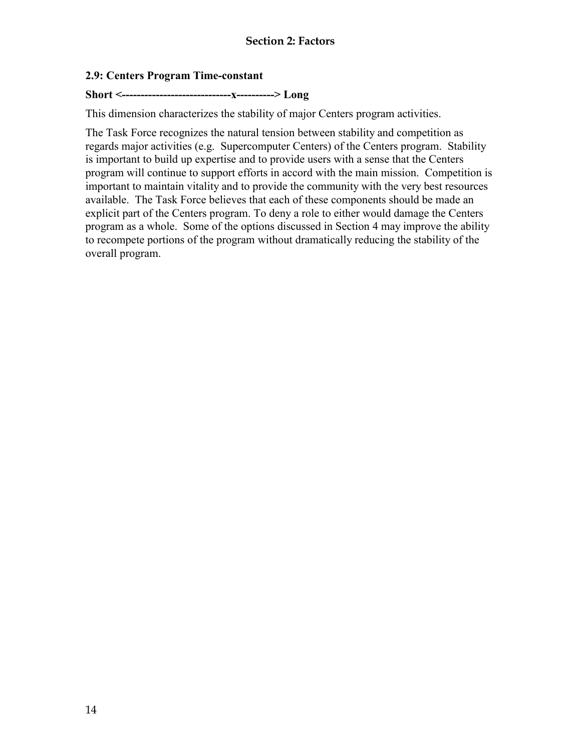#### <span id="page-25-0"></span>**2.9: Centers Program Time-constant**

## **Short <-----------------------------x----------> Long**

This dimension characterizes the stability of major Centers program activities.

The Task Force recognizes the natural tension between stability and competition as regards major activities (e.g. Supercomputer Centers) of the Centers program. Stability is important to build up expertise and to provide users with a sense that the Centers program will continue to support efforts in accord with the main mission. Competition is important to maintain vitality and to provide the community with the very best resources available. The Task Force believes that each of these components should be made an explicit part of the Centers program. To deny a role to either would damage the Centers program as a whole. Some of the options discussed in Section 4 may improve the ability to recompete portions of the program without dramatically reducing the stability of the overall program.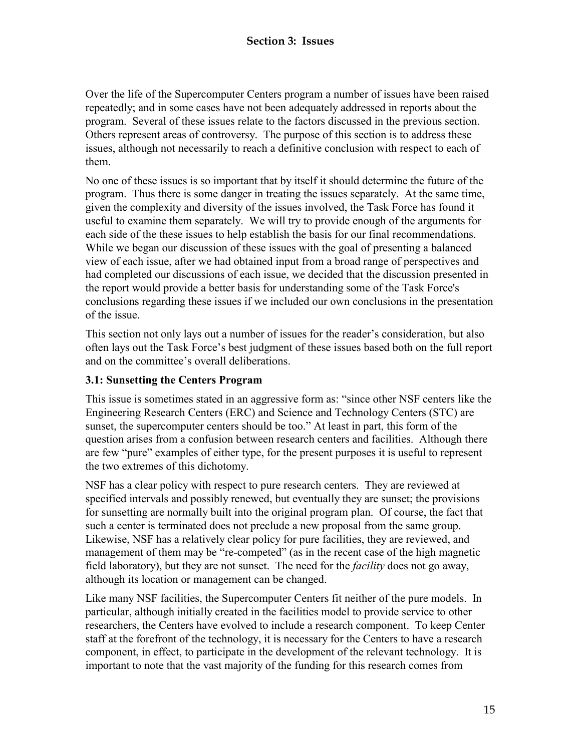<span id="page-26-0"></span>Over the life of the Supercomputer Centers program a number of issues have been raised repeatedly; and in some cases have not been adequately addressed in reports about the program. Several of these issues relate to the factors discussed in the previous section. Others represent areas of controversy. The purpose of this section is to address these issues, although not necessarily to reach a definitive conclusion with respect to each of them.

No one of these issues is so important that by itself it should determine the future of the program. Thus there is some danger in treating the issues separately. At the same time, given the complexity and diversity of the issues involved, the Task Force has found it useful to examine them separately. We will try to provide enough of the arguments for each side of the these issues to help establish the basis for our final recommendations. While we began our discussion of these issues with the goal of presenting a balanced view of each issue, after we had obtained input from a broad range of perspectives and had completed our discussions of each issue, we decided that the discussion presented in the report would provide a better basis for understanding some of the Task Force's conclusions regarding these issues if we included our own conclusions in the presentation of the issue.

This section not only lays out a number of issues for the reader's consideration, but also often lays out the Task Force's best judgment of these issues based both on the full report and on the committee's overall deliberations.

#### **3.1: Sunsetting the Centers Program**

This issue is sometimes stated in an aggressive form as: "since other NSF centers like the Engineering Research Centers (ERC) and Science and Technology Centers (STC) are sunset, the supercomputer centers should be too." At least in part, this form of the question arises from a confusion between research centers and facilities. Although there are few "pure" examples of either type, for the present purposes it is useful to represent the two extremes of this dichotomy.

NSF has a clear policy with respect to pure research centers. They are reviewed at specified intervals and possibly renewed, but eventually they are sunset; the provisions for sunsetting are normally built into the original program plan. Of course, the fact that such a center is terminated does not preclude a new proposal from the same group. Likewise, NSF has a relatively clear policy for pure facilities, they are reviewed, and management of them may be "re-competed" (as in the recent case of the high magnetic field laboratory), but they are not sunset. The need for the *facility* does not go away, although its location or management can be changed.

Like many NSF facilities, the Supercomputer Centers fit neither of the pure models. In particular, although initially created in the facilities model to provide service to other researchers, the Centers have evolved to include a research component. To keep Center staff at the forefront of the technology, it is necessary for the Centers to have a research component, in effect, to participate in the development of the relevant technology. It is important to note that the vast majority of the funding for this research comes from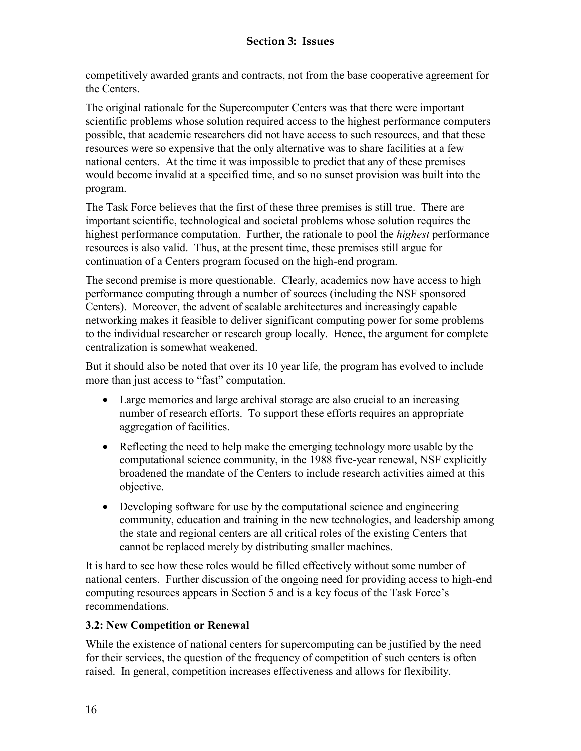<span id="page-27-0"></span>competitively awarded grants and contracts, not from the base cooperative agreement for the Centers.

The original rationale for the Supercomputer Centers was that there were important scientific problems whose solution required access to the highest performance computers possible, that academic researchers did not have access to such resources, and that these resources were so expensive that the only alternative was to share facilities at a few national centers. At the time it was impossible to predict that any of these premises would become invalid at a specified time, and so no sunset provision was built into the program.

The Task Force believes that the first of these three premises is still true. There are important scientific, technological and societal problems whose solution requires the highest performance computation. Further, the rationale to pool the *highest* performance resources is also valid. Thus, at the present time, these premises still argue for continuation of a Centers program focused on the high-end program.

The second premise is more questionable. Clearly, academics now have access to high performance computing through a number of sources (including the NSF sponsored Centers). Moreover, the advent of scalable architectures and increasingly capable networking makes it feasible to deliver significant computing power for some problems to the individual researcher or research group locally. Hence, the argument for complete centralization is somewhat weakened.

But it should also be noted that over its 10 year life, the program has evolved to include more than just access to "fast" computation.

- Large memories and large archival storage are also crucial to an increasing number of research efforts. To support these efforts requires an appropriate aggregation of facilities.
- Reflecting the need to help make the emerging technology more usable by the computational science community, in the 1988 five-year renewal, NSF explicitly broadened the mandate of the Centers to include research activities aimed at this objective.
- Developing software for use by the computational science and engineering community, education and training in the new technologies, and leadership among the state and regional centers are all critical roles of the existing Centers that cannot be replaced merely by distributing smaller machines.

It is hard to see how these roles would be filled effectively without some number of national centers. Further discussion of the ongoing need for providing access to high-end computing resources appears in Section 5 and is a key focus of the Task Force's recommendations.

## **3.2: New Competition or Renewal**

While the existence of national centers for supercomputing can be justified by the need for their services, the question of the frequency of competition of such centers is often raised. In general, competition increases effectiveness and allows for flexibility.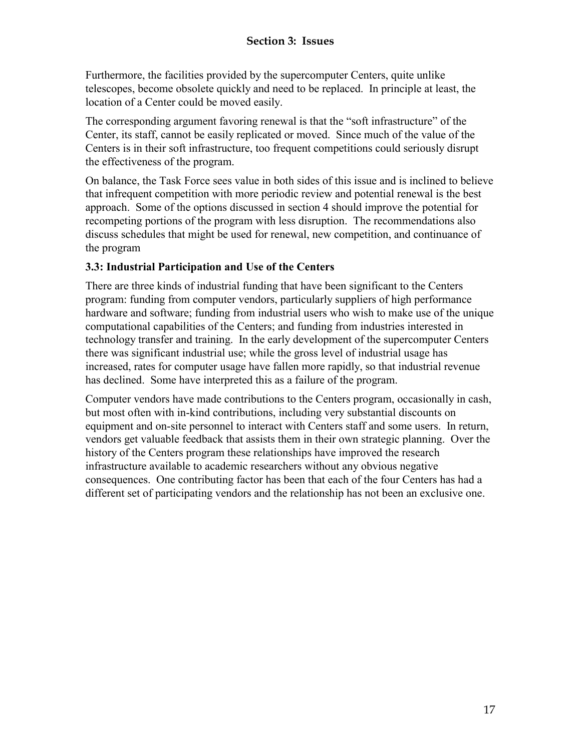<span id="page-28-0"></span>Furthermore, the facilities provided by the supercomputer Centers, quite unlike telescopes, become obsolete quickly and need to be replaced. In principle at least, the location of a Center could be moved easily.

The corresponding argument favoring renewal is that the "soft infrastructure" of the Center, its staff, cannot be easily replicated or moved. Since much of the value of the Centers is in their soft infrastructure, too frequent competitions could seriously disrupt the effectiveness of the program.

On balance, the Task Force sees value in both sides of this issue and is inclined to believe that infrequent competition with more periodic review and potential renewal is the best approach. Some of the options discussed in section 4 should improve the potential for recompeting portions of the program with less disruption. The recommendations also discuss schedules that might be used for renewal, new competition, and continuance of the program

#### **3.3: Industrial Participation and Use of the Centers**

There are three kinds of industrial funding that have been significant to the Centers program: funding from computer vendors, particularly suppliers of high performance hardware and software; funding from industrial users who wish to make use of the unique computational capabilities of the Centers; and funding from industries interested in technology transfer and training. In the early development of the supercomputer Centers there was significant industrial use; while the gross level of industrial usage has increased, rates for computer usage have fallen more rapidly, so that industrial revenue has declined. Some have interpreted this as a failure of the program.

Computer vendors have made contributions to the Centers program, occasionally in cash, but most often with in-kind contributions, including very substantial discounts on equipment and on-site personnel to interact with Centers staff and some users. In return, vendors get valuable feedback that assists them in their own strategic planning. Over the history of the Centers program these relationships have improved the research infrastructure available to academic researchers without any obvious negative consequences. One contributing factor has been that each of the four Centers has had a different set of participating vendors and the relationship has not been an exclusive one.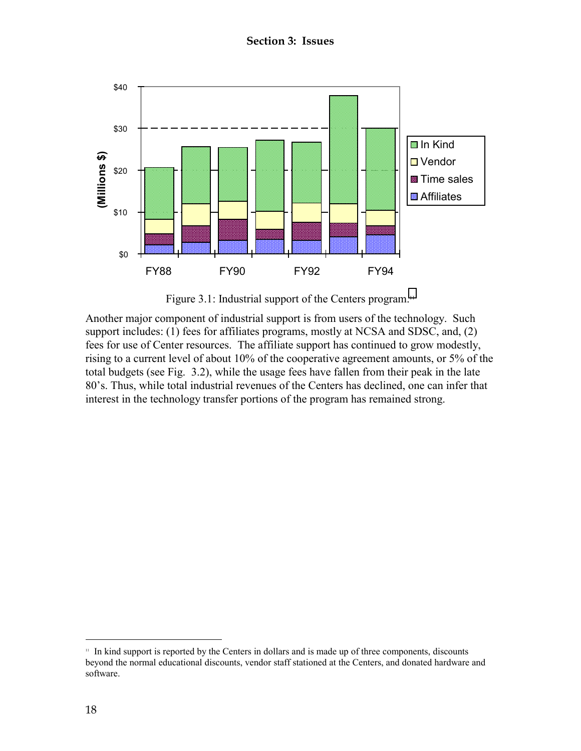**Section 3: Issues** 

<span id="page-29-0"></span>

Figure 3.1: Industrial support of the Centers program.<sup>11</sup>

Another major component of industrial support is from users of the technology. Such support includes: (1) fees for affiliates programs, mostly at NCSA and SDSC, and, (2) fees for use of Center resources. The affiliate support has continued to grow modestly, rising to a current level of about 10% of the cooperative agreement amounts, or 5% of the total budgets (see Fig. 3.2), while the usage fees have fallen from their peak in the late 80's. Thus, while total industrial revenues of the Centers has declined, one can infer that interest in the technology transfer portions of the program has remained strong.

 $\overline{a}$ 

<sup>&</sup>lt;sup>11</sup> In kind support is reported by the Centers in dollars and is made up of three components, discounts beyond the normal educational discounts, vendor staff stationed at the Centers, and donated hardware and software.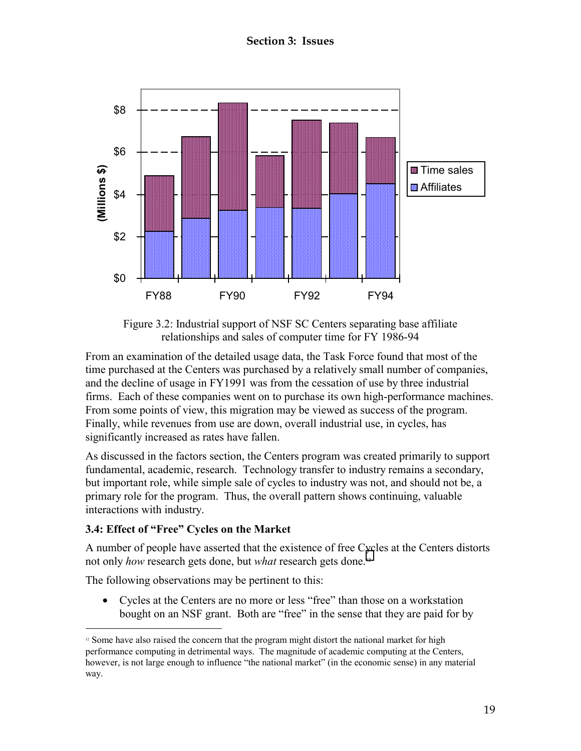<span id="page-30-0"></span>

Figure 3.2: Industrial support of NSF SC Centers separating base affiliate relationships and sales of computer time for FY 1986-94

From an examination of the detailed usage data, the Task Force found that most of the time purchased at the Centers was purchased by a relatively small number of companies, and the decline of usage in FY1991 was from the cessation of use by three industrial firms. Each of these companies went on to purchase its own high-performance machines. From some points of view, this migration may be viewed as success of the program. Finally, while revenues from use are down, overall industrial use, in cycles, has significantly increased as rates have fallen.

As discussed in the factors section, the Centers program was created primarily to support fundamental, academic, research. Technology transfer to industry remains a secondary, but important role, while simple sale of cycles to industry was not, and should not be, a primary role for the program. Thus, the overall pattern shows continuing, valuable interactions with industry.

#### **3.4: Effect of "Free" Cycles on the Market**

A number of people have asserted that the existence of free Cycles at the Centers distorts not only *how* research gets done, but *what* research gets done.12

The following observations may be pertinent to this:

• Cycles at the Centers are no more or less "free" than those on a workstation bought on an NSF grant. Both are "free" in the sense that they are paid for by

 $\overline{a}$  $12$  Some have also raised the concern that the program might distort the national market for high performance computing in detrimental ways. The magnitude of academic computing at the Centers, however, is not large enough to influence "the national market" (in the economic sense) in any material way.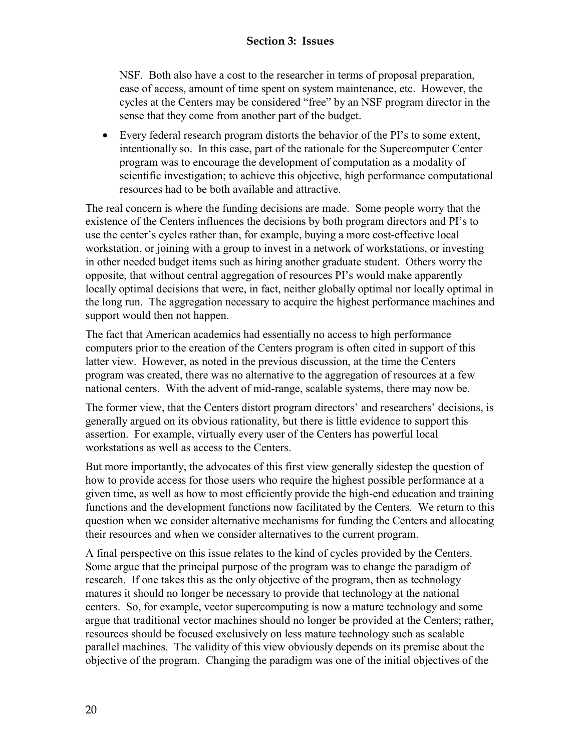NSF. Both also have a cost to the researcher in terms of proposal preparation, ease of access, amount of time spent on system maintenance, etc. However, the cycles at the Centers may be considered "free" by an NSF program director in the sense that they come from another part of the budget.

• Every federal research program distorts the behavior of the PI's to some extent, intentionally so. In this case, part of the rationale for the Supercomputer Center program was to encourage the development of computation as a modality of scientific investigation; to achieve this objective, high performance computational resources had to be both available and attractive.

The real concern is where the funding decisions are made. Some people worry that the existence of the Centers influences the decisions by both program directors and PI's to use the center's cycles rather than, for example, buying a more cost-effective local workstation, or joining with a group to invest in a network of workstations, or investing in other needed budget items such as hiring another graduate student. Others worry the opposite, that without central aggregation of resources PI's would make apparently locally optimal decisions that were, in fact, neither globally optimal nor locally optimal in the long run. The aggregation necessary to acquire the highest performance machines and support would then not happen.

The fact that American academics had essentially no access to high performance computers prior to the creation of the Centers program is often cited in support of this latter view. However, as noted in the previous discussion, at the time the Centers program was created, there was no alternative to the aggregation of resources at a few national centers. With the advent of mid-range, scalable systems, there may now be.

The former view, that the Centers distort program directors' and researchers' decisions, is generally argued on its obvious rationality, but there is little evidence to support this assertion. For example, virtually every user of the Centers has powerful local workstations as well as access to the Centers.

But more importantly, the advocates of this first view generally sidestep the question of how to provide access for those users who require the highest possible performance at a given time, as well as how to most efficiently provide the high-end education and training functions and the development functions now facilitated by the Centers. We return to this question when we consider alternative mechanisms for funding the Centers and allocating their resources and when we consider alternatives to the current program.

A final perspective on this issue relates to the kind of cycles provided by the Centers. Some argue that the principal purpose of the program was to change the paradigm of research. If one takes this as the only objective of the program, then as technology matures it should no longer be necessary to provide that technology at the national centers. So, for example, vector supercomputing is now a mature technology and some argue that traditional vector machines should no longer be provided at the Centers; rather, resources should be focused exclusively on less mature technology such as scalable parallel machines. The validity of this view obviously depends on its premise about the objective of the program. Changing the paradigm was one of the initial objectives of the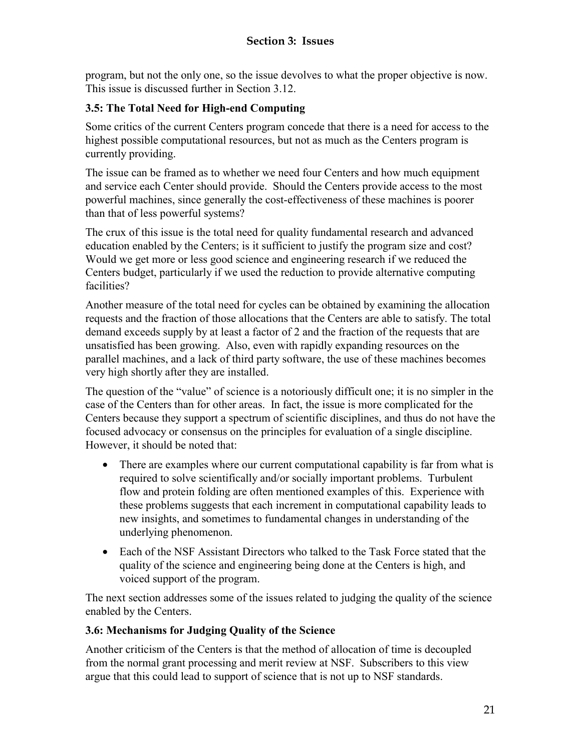<span id="page-32-0"></span>program, but not the only one, so the issue devolves to what the proper objective is now. This issue is discussed further in Section 3.12.

#### **3.5: The Total Need for High-end Computing**

Some critics of the current Centers program concede that there is a need for access to the highest possible computational resources, but not as much as the Centers program is currently providing.

The issue can be framed as to whether we need four Centers and how much equipment and service each Center should provide. Should the Centers provide access to the most powerful machines, since generally the cost-effectiveness of these machines is poorer than that of less powerful systems?

The crux of this issue is the total need for quality fundamental research and advanced education enabled by the Centers; is it sufficient to justify the program size and cost? Would we get more or less good science and engineering research if we reduced the Centers budget, particularly if we used the reduction to provide alternative computing facilities?

Another measure of the total need for cycles can be obtained by examining the allocation requests and the fraction of those allocations that the Centers are able to satisfy. The total demand exceeds supply by at least a factor of 2 and the fraction of the requests that are unsatisfied has been growing. Also, even with rapidly expanding resources on the parallel machines, and a lack of third party software, the use of these machines becomes very high shortly after they are installed.

The question of the "value" of science is a notoriously difficult one; it is no simpler in the case of the Centers than for other areas. In fact, the issue is more complicated for the Centers because they support a spectrum of scientific disciplines, and thus do not have the focused advocacy or consensus on the principles for evaluation of a single discipline. However, it should be noted that:

- There are examples where our current computational capability is far from what is required to solve scientifically and/or socially important problems. Turbulent flow and protein folding are often mentioned examples of this. Experience with these problems suggests that each increment in computational capability leads to new insights, and sometimes to fundamental changes in understanding of the underlying phenomenon.
- Each of the NSF Assistant Directors who talked to the Task Force stated that the quality of the science and engineering being done at the Centers is high, and voiced support of the program.

The next section addresses some of the issues related to judging the quality of the science enabled by the Centers.

#### **3.6: Mechanisms for Judging Quality of the Science**

Another criticism of the Centers is that the method of allocation of time is decoupled from the normal grant processing and merit review at NSF. Subscribers to this view argue that this could lead to support of science that is not up to NSF standards.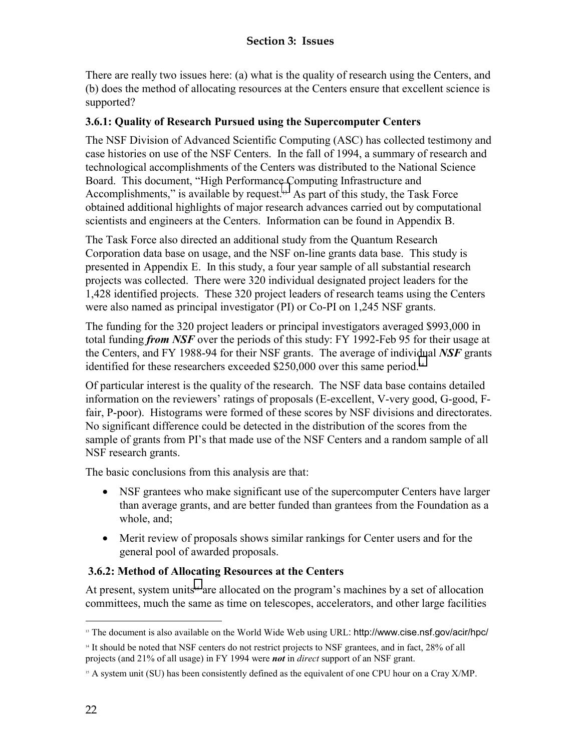<span id="page-33-0"></span>There are really two issues here: (a) what is the quality of research using the Centers, and (b) does the method of allocating resources at the Centers ensure that excellent science is supported?

#### **3.6.1: Quality of Research Pursued using the Supercomputer Centers**

The NSF Division of Advanced Scientific Computing (ASC) has collected testimony and case histories on use of the NSF Centers. In the fall of 1994, a summary of research and technological accomplishments of the Centers was distributed to the National Science Board. This document, "High Performance Computing Infrastructure and Accomplishments," is available by request.<sup>13</sup> As part of this study, the Task Force obtained additional highlights of major research advances carried out by computational scientists and engineers at the Centers. Information can be found in Appendix B.

The Task Force also directed an additional study from the Quantum Research Corporation data base on usage, and the NSF on-line grants data base. This study is presented in Appendix E. In this study, a four year sample of all substantial research projects was collected. There were 320 individual designated project leaders for the 1,428 identified projects. These 320 project leaders of research teams using the Centers were also named as principal investigator (PI) or Co-PI on 1,245 NSF grants.

The funding for the 320 project leaders or principal investigators averaged \$993,000 in total funding *from NSF* over the periods of this study: FY 1992-Feb 95 for their usage at the Centers, and FY 1988-94 for their NSF grants. The average of individual *NSF* grants identified for these researchers exceeded \$250,000 over this same period.<sup>14</sup>

Of particular interest is the quality of the research. The NSF data base contains detailed information on the reviewers' ratings of proposals (E-excellent, V-very good, G-good, Ffair, P-poor). Histograms were formed of these scores by NSF divisions and directorates. No significant difference could be detected in the distribution of the scores from the sample of grants from PI's that made use of the NSF Centers and a random sample of all NSF research grants.

The basic conclusions from this analysis are that:

- NSF grantees who make significant use of the supercomputer Centers have larger than average grants, and are better funded than grantees from the Foundation as a whole, and;
- Merit review of proposals shows similar rankings for Center users and for the general pool of awarded proposals.

#### **3.6.2: Method of Allocating Resources at the Centers**

At present, system units<sup>15</sup> are allocated on the program's machines by a set of allocation committees, much the same as time on telescopes, accelerators, and other large facilities

 $\overline{a}$ 

<sup>&</sup>lt;sup>13</sup> The document is also available on the World Wide Web using URL: http://www.cise.nsf.gov/acir/hpc/

<sup>14</sup> It should be noted that NSF centers do not restrict projects to NSF grantees, and in fact, 28% of all projects (and 21% of all usage) in FY 1994 were *not* in *direct* support of an NSF grant.

<sup>&</sup>lt;sup>15</sup> A system unit (SU) has been consistently defined as the equivalent of one CPU hour on a Cray X/MP.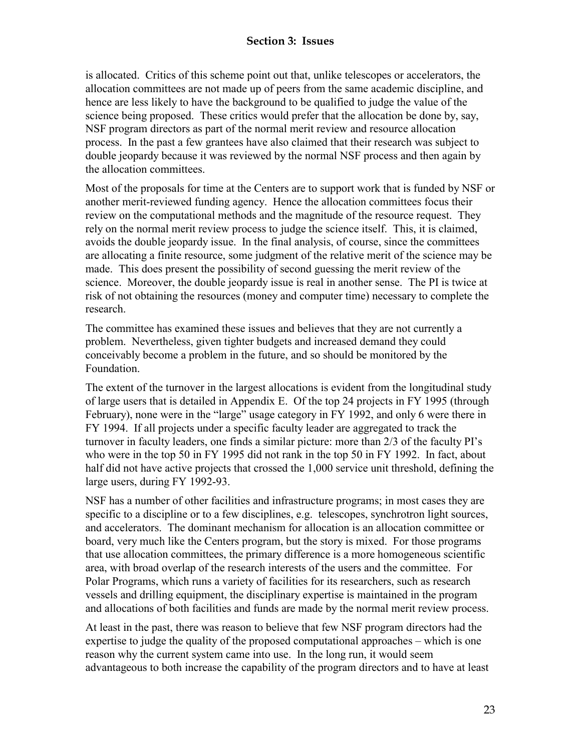#### **Section 3: Issues**

is allocated. Critics of this scheme point out that, unlike telescopes or accelerators, the allocation committees are not made up of peers from the same academic discipline, and hence are less likely to have the background to be qualified to judge the value of the science being proposed. These critics would prefer that the allocation be done by, say, NSF program directors as part of the normal merit review and resource allocation process. In the past a few grantees have also claimed that their research was subject to double jeopardy because it was reviewed by the normal NSF process and then again by the allocation committees.

Most of the proposals for time at the Centers are to support work that is funded by NSF or another merit-reviewed funding agency. Hence the allocation committees focus their review on the computational methods and the magnitude of the resource request. They rely on the normal merit review process to judge the science itself. This, it is claimed, avoids the double jeopardy issue. In the final analysis, of course, since the committees are allocating a finite resource, some judgment of the relative merit of the science may be made. This does present the possibility of second guessing the merit review of the science. Moreover, the double jeopardy issue is real in another sense. The PI is twice at risk of not obtaining the resources (money and computer time) necessary to complete the research.

The committee has examined these issues and believes that they are not currently a problem. Nevertheless, given tighter budgets and increased demand they could conceivably become a problem in the future, and so should be monitored by the Foundation.

The extent of the turnover in the largest allocations is evident from the longitudinal study of large users that is detailed in Appendix E. Of the top 24 projects in FY 1995 (through February), none were in the "large" usage category in FY 1992, and only 6 were there in FY 1994. If all projects under a specific faculty leader are aggregated to track the turnover in faculty leaders, one finds a similar picture: more than 2/3 of the faculty PI's who were in the top 50 in FY 1995 did not rank in the top 50 in FY 1992. In fact, about half did not have active projects that crossed the 1,000 service unit threshold, defining the large users, during FY 1992-93.

NSF has a number of other facilities and infrastructure programs; in most cases they are specific to a discipline or to a few disciplines, e.g. telescopes, synchrotron light sources, and accelerators. The dominant mechanism for allocation is an allocation committee or board, very much like the Centers program, but the story is mixed. For those programs that use allocation committees, the primary difference is a more homogeneous scientific area, with broad overlap of the research interests of the users and the committee. For Polar Programs, which runs a variety of facilities for its researchers, such as research vessels and drilling equipment, the disciplinary expertise is maintained in the program and allocations of both facilities and funds are made by the normal merit review process.

At least in the past, there was reason to believe that few NSF program directors had the expertise to judge the quality of the proposed computational approaches – which is one reason why the current system came into use. In the long run, it would seem advantageous to both increase the capability of the program directors and to have at least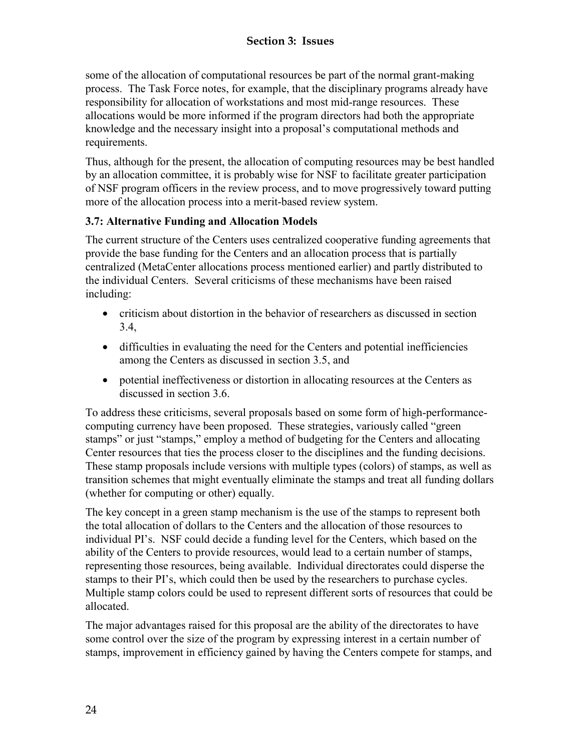<span id="page-35-0"></span>some of the allocation of computational resources be part of the normal grant-making process. The Task Force notes, for example, that the disciplinary programs already have responsibility for allocation of workstations and most mid-range resources. These allocations would be more informed if the program directors had both the appropriate knowledge and the necessary insight into a proposal's computational methods and requirements.

Thus, although for the present, the allocation of computing resources may be best handled by an allocation committee, it is probably wise for NSF to facilitate greater participation of NSF program officers in the review process, and to move progressively toward putting more of the allocation process into a merit-based review system.

#### **3.7: Alternative Funding and Allocation Models**

The current structure of the Centers uses centralized cooperative funding agreements that provide the base funding for the Centers and an allocation process that is partially centralized (MetaCenter allocations process mentioned earlier) and partly distributed to the individual Centers. Several criticisms of these mechanisms have been raised including:

- criticism about distortion in the behavior of researchers as discussed in section 3.4,
- difficulties in evaluating the need for the Centers and potential inefficiencies among the Centers as discussed in section 3.5, and
- potential ineffectiveness or distortion in allocating resources at the Centers as discussed in section 3.6.

To address these criticisms, several proposals based on some form of high-performancecomputing currency have been proposed. These strategies, variously called "green stamps" or just "stamps," employ a method of budgeting for the Centers and allocating Center resources that ties the process closer to the disciplines and the funding decisions. These stamp proposals include versions with multiple types (colors) of stamps, as well as transition schemes that might eventually eliminate the stamps and treat all funding dollars (whether for computing or other) equally.

The key concept in a green stamp mechanism is the use of the stamps to represent both the total allocation of dollars to the Centers and the allocation of those resources to individual PI's. NSF could decide a funding level for the Centers, which based on the ability of the Centers to provide resources, would lead to a certain number of stamps, representing those resources, being available. Individual directorates could disperse the stamps to their PI's, which could then be used by the researchers to purchase cycles. Multiple stamp colors could be used to represent different sorts of resources that could be allocated.

The major advantages raised for this proposal are the ability of the directorates to have some control over the size of the program by expressing interest in a certain number of stamps, improvement in efficiency gained by having the Centers compete for stamps, and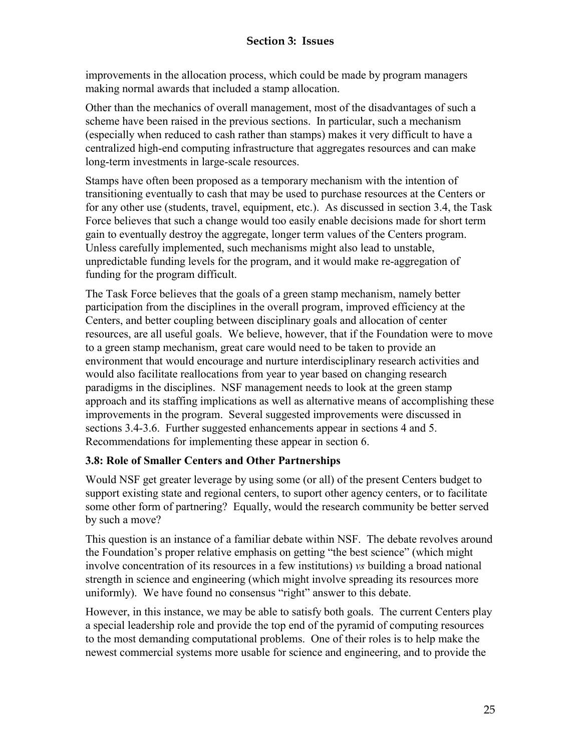improvements in the allocation process, which could be made by program managers making normal awards that included a stamp allocation.

Other than the mechanics of overall management, most of the disadvantages of such a scheme have been raised in the previous sections. In particular, such a mechanism (especially when reduced to cash rather than stamps) makes it very difficult to have a centralized high-end computing infrastructure that aggregates resources and can make long-term investments in large-scale resources.

Stamps have often been proposed as a temporary mechanism with the intention of transitioning eventually to cash that may be used to purchase resources at the Centers or for any other use (students, travel, equipment, etc.). As discussed in section 3.4, the Task Force believes that such a change would too easily enable decisions made for short term gain to eventually destroy the aggregate, longer term values of the Centers program. Unless carefully implemented, such mechanisms might also lead to unstable, unpredictable funding levels for the program, and it would make re-aggregation of funding for the program difficult.

The Task Force believes that the goals of a green stamp mechanism, namely better participation from the disciplines in the overall program, improved efficiency at the Centers, and better coupling between disciplinary goals and allocation of center resources, are all useful goals. We believe, however, that if the Foundation were to move to a green stamp mechanism, great care would need to be taken to provide an environment that would encourage and nurture interdisciplinary research activities and would also facilitate reallocations from year to year based on changing research paradigms in the disciplines. NSF management needs to look at the green stamp approach and its staffing implications as well as alternative means of accomplishing these improvements in the program. Several suggested improvements were discussed in sections 3.4-3.6. Further suggested enhancements appear in sections 4 and 5. Recommendations for implementing these appear in section 6.

## **3.8: Role of Smaller Centers and Other Partnerships**

Would NSF get greater leverage by using some (or all) of the present Centers budget to support existing state and regional centers, to suport other agency centers, or to facilitate some other form of partnering? Equally, would the research community be better served by such a move?

This question is an instance of a familiar debate within NSF. The debate revolves around the Foundation's proper relative emphasis on getting "the best science" (which might involve concentration of its resources in a few institutions) *vs* building a broad national strength in science and engineering (which might involve spreading its resources more uniformly). We have found no consensus "right" answer to this debate.

However, in this instance, we may be able to satisfy both goals. The current Centers play a special leadership role and provide the top end of the pyramid of computing resources to the most demanding computational problems. One of their roles is to help make the newest commercial systems more usable for science and engineering, and to provide the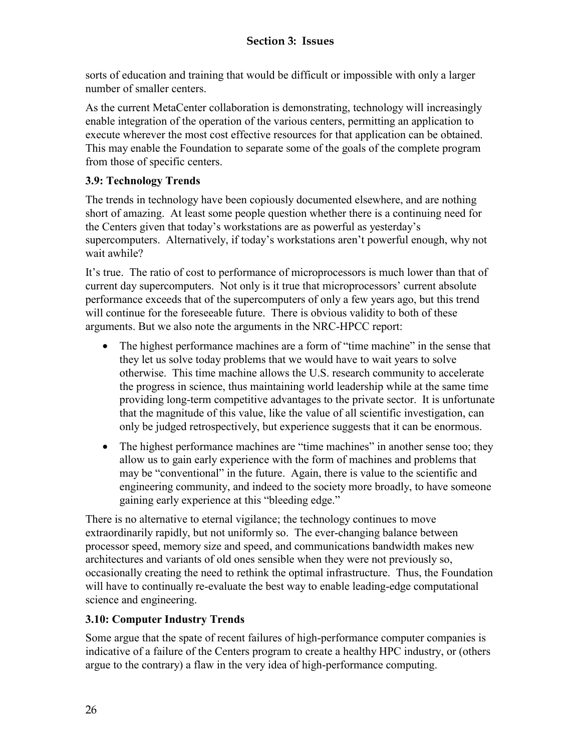sorts of education and training that would be difficult or impossible with only a larger number of smaller centers.

As the current MetaCenter collaboration is demonstrating, technology will increasingly enable integration of the operation of the various centers, permitting an application to execute wherever the most cost effective resources for that application can be obtained. This may enable the Foundation to separate some of the goals of the complete program from those of specific centers.

# **3.9: Technology Trends**

The trends in technology have been copiously documented elsewhere, and are nothing short of amazing. At least some people question whether there is a continuing need for the Centers given that today's workstations are as powerful as yesterday's supercomputers. Alternatively, if today's workstations aren't powerful enough, why not wait awhile?

It's true. The ratio of cost to performance of microprocessors is much lower than that of current day supercomputers. Not only is it true that microprocessors' current absolute performance exceeds that of the supercomputers of only a few years ago, but this trend will continue for the foreseeable future. There is obvious validity to both of these arguments. But we also note the arguments in the NRC-HPCC report:

- The highest performance machines are a form of "time machine" in the sense that they let us solve today problems that we would have to wait years to solve otherwise. This time machine allows the U.S. research community to accelerate the progress in science, thus maintaining world leadership while at the same time providing long-term competitive advantages to the private sector. It is unfortunate that the magnitude of this value, like the value of all scientific investigation, can only be judged retrospectively, but experience suggests that it can be enormous.
- The highest performance machines are "time machines" in another sense too; they allow us to gain early experience with the form of machines and problems that may be "conventional" in the future. Again, there is value to the scientific and engineering community, and indeed to the society more broadly, to have someone gaining early experience at this "bleeding edge."

There is no alternative to eternal vigilance; the technology continues to move extraordinarily rapidly, but not uniformly so. The ever-changing balance between processor speed, memory size and speed, and communications bandwidth makes new architectures and variants of old ones sensible when they were not previously so, occasionally creating the need to rethink the optimal infrastructure. Thus, the Foundation will have to continually re-evaluate the best way to enable leading-edge computational science and engineering.

## **3.10: Computer Industry Trends**

Some argue that the spate of recent failures of high-performance computer companies is indicative of a failure of the Centers program to create a healthy HPC industry, or (others argue to the contrary) a flaw in the very idea of high-performance computing.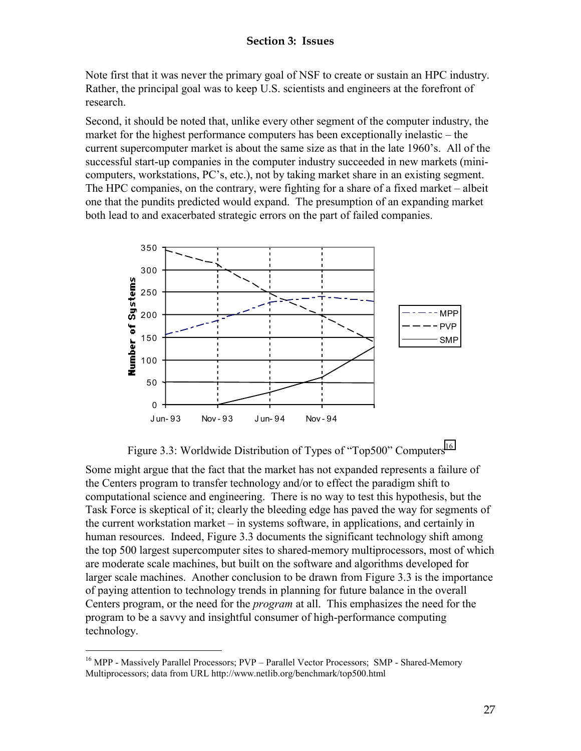Note first that it was never the primary goal of NSF to create or sustain an HPC industry. Rather, the principal goal was to keep U.S. scientists and engineers at the forefront of research.

Second, it should be noted that, unlike every other segment of the computer industry, the market for the highest performance computers has been exceptionally inelastic – the current supercomputer market is about the same size as that in the late 1960's. All of the successful start-up companies in the computer industry succeeded in new markets (minicomputers, workstations, PC's, etc.), not by taking market share in an existing segment. The HPC companies, on the contrary, were fighting for a share of a fixed market – albeit one that the pundits predicted would expand. The presumption of an expanding market both lead to and exacerbated strategic errors on the part of failed companies.



Figure 3.3: Worldwide Distribution of Types of "Top500" Computers<sup>16</sup>

Some might argue that the fact that the market has not expanded represents a failure of the Centers program to transfer technology and/or to effect the paradigm shift to computational science and engineering. There is no way to test this hypothesis, but the Task Force is skeptical of it; clearly the bleeding edge has paved the way for segments of the current workstation market – in systems software, in applications, and certainly in human resources. Indeed, Figure 3.3 documents the significant technology shift among the top 500 largest supercomputer sites to shared-memory multiprocessors, most of which are moderate scale machines, but built on the software and algorithms developed for larger scale machines. Another conclusion to be drawn from Figure 3.3 is the importance of paying attention to technology trends in planning for future balance in the overall Centers program, or the need for the *program* at all. This emphasizes the need for the program to be a savvy and insightful consumer of high-performance computing technology.

 $\overline{a}$ 

<sup>&</sup>lt;sup>16</sup> MPP - Massively Parallel Processors; PVP – Parallel Vector Processors; SMP - Shared-Memory Multiprocessors; data from URL http://www.netlib.org/benchmark/top500.html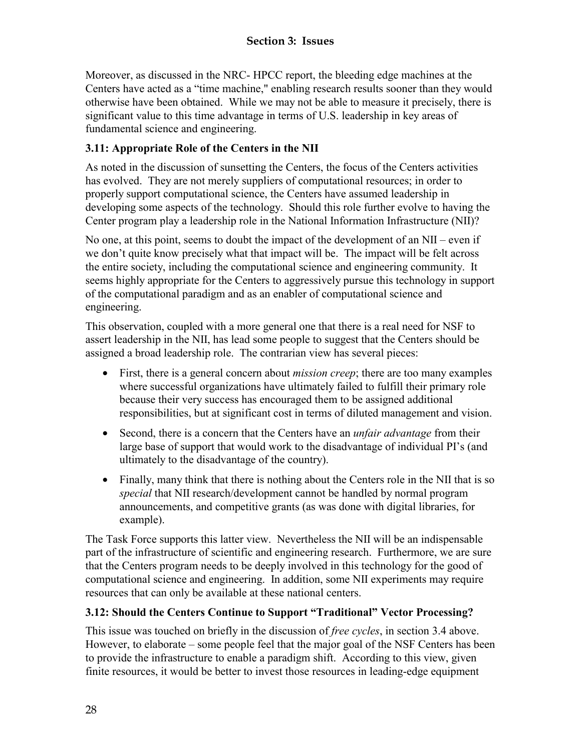Moreover, as discussed in the NRC- HPCC report, the bleeding edge machines at the Centers have acted as a "time machine," enabling research results sooner than they would otherwise have been obtained. While we may not be able to measure it precisely, there is significant value to this time advantage in terms of U.S. leadership in key areas of fundamental science and engineering.

# **3.11: Appropriate Role of the Centers in the NII**

As noted in the discussion of sunsetting the Centers, the focus of the Centers activities has evolved. They are not merely suppliers of computational resources; in order to properly support computational science, the Centers have assumed leadership in developing some aspects of the technology. Should this role further evolve to having the Center program play a leadership role in the National Information Infrastructure (NII)?

No one, at this point, seems to doubt the impact of the development of an  $NI$  – even if we don't quite know precisely what that impact will be. The impact will be felt across the entire society, including the computational science and engineering community. It seems highly appropriate for the Centers to aggressively pursue this technology in support of the computational paradigm and as an enabler of computational science and engineering.

This observation, coupled with a more general one that there is a real need for NSF to assert leadership in the NII, has lead some people to suggest that the Centers should be assigned a broad leadership role. The contrarian view has several pieces:

- First, there is a general concern about *mission creep*; there are too many examples where successful organizations have ultimately failed to fulfill their primary role because their very success has encouraged them to be assigned additional responsibilities, but at significant cost in terms of diluted management and vision.
- Second, there is a concern that the Centers have an *unfair advantage* from their large base of support that would work to the disadvantage of individual PI's (and ultimately to the disadvantage of the country).
- Finally, many think that there is nothing about the Centers role in the NII that is so *special* that NII research/development cannot be handled by normal program announcements, and competitive grants (as was done with digital libraries, for example).

The Task Force supports this latter view. Nevertheless the NII will be an indispensable part of the infrastructure of scientific and engineering research. Furthermore, we are sure that the Centers program needs to be deeply involved in this technology for the good of computational science and engineering. In addition, some NII experiments may require resources that can only be available at these national centers.

## **3.12: Should the Centers Continue to Support "Traditional" Vector Processing?**

This issue was touched on briefly in the discussion of *free cycles*, in section 3.4 above. However, to elaborate – some people feel that the major goal of the NSF Centers has been to provide the infrastructure to enable a paradigm shift. According to this view, given finite resources, it would be better to invest those resources in leading-edge equipment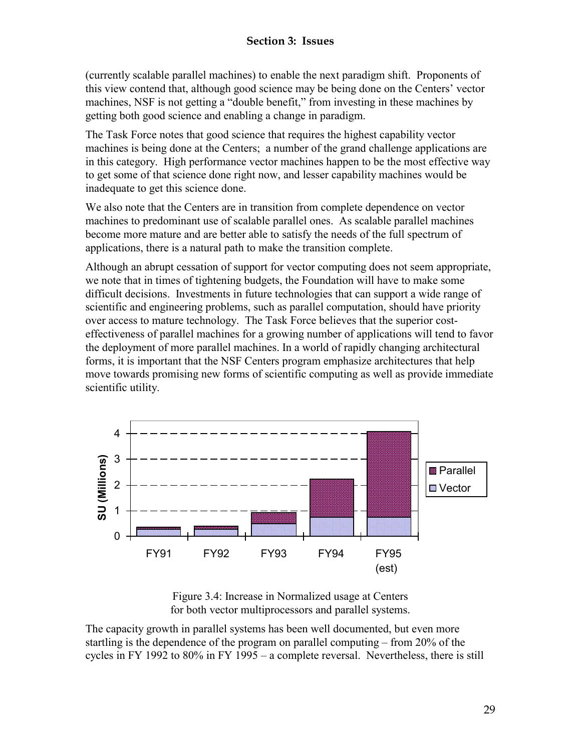(currently scalable parallel machines) to enable the next paradigm shift. Proponents of this view contend that, although good science may be being done on the Centers' vector machines, NSF is not getting a "double benefit," from investing in these machines by getting both good science and enabling a change in paradigm.

The Task Force notes that good science that requires the highest capability vector machines is being done at the Centers; a number of the grand challenge applications are in this category. High performance vector machines happen to be the most effective way to get some of that science done right now, and lesser capability machines would be inadequate to get this science done.

We also note that the Centers are in transition from complete dependence on vector machines to predominant use of scalable parallel ones. As scalable parallel machines become more mature and are better able to satisfy the needs of the full spectrum of applications, there is a natural path to make the transition complete.

Although an abrupt cessation of support for vector computing does not seem appropriate, we note that in times of tightening budgets, the Foundation will have to make some difficult decisions. Investments in future technologies that can support a wide range of scientific and engineering problems, such as parallel computation, should have priority over access to mature technology. The Task Force believes that the superior costeffectiveness of parallel machines for a growing number of applications will tend to favor the deployment of more parallel machines. In a world of rapidly changing architectural forms, it is important that the NSF Centers program emphasize architectures that help move towards promising new forms of scientific computing as well as provide immediate scientific utility.



Figure 3.4: Increase in Normalized usage at Centers for both vector multiprocessors and parallel systems.

The capacity growth in parallel systems has been well documented, but even more startling is the dependence of the program on parallel computing – from 20% of the cycles in FY 1992 to 80% in FY 1995 – a complete reversal. Nevertheless, there is still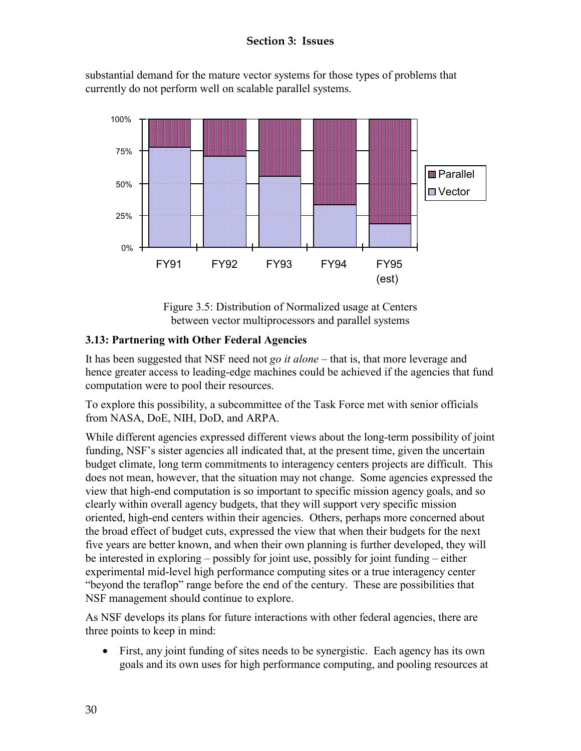substantial demand for the mature vector systems for those types of problems that currently do not perform well on scalable parallel systems.



Figure 3.5: Distribution of Normalized usage at Centers between vector multiprocessors and parallel systems

# **3.13: Partnering with Other Federal Agencies**

It has been suggested that NSF need not *go it alone –* that is, that more leverage and hence greater access to leading-edge machines could be achieved if the agencies that fund computation were to pool their resources.

To explore this possibility, a subcommittee of the Task Force met with senior officials from NASA, DoE, NIH, DoD, and ARPA.

While different agencies expressed different views about the long-term possibility of joint funding, NSF's sister agencies all indicated that, at the present time, given the uncertain budget climate, long term commitments to interagency centers projects are difficult. This does not mean, however, that the situation may not change. Some agencies expressed the view that high-end computation is so important to specific mission agency goals, and so clearly within overall agency budgets, that they will support very specific mission oriented, high-end centers within their agencies. Others, perhaps more concerned about the broad effect of budget cuts, expressed the view that when their budgets for the next five years are better known, and when their own planning is further developed, they will be interested in exploring – possibly for joint use, possibly for joint funding – either experimental mid-level high performance computing sites or a true interagency center "beyond the teraflop" range before the end of the century. These are possibilities that NSF management should continue to explore.

As NSF develops its plans for future interactions with other federal agencies, there are three points to keep in mind:

• First, any joint funding of sites needs to be synergistic. Each agency has its own goals and its own uses for high performance computing, and pooling resources at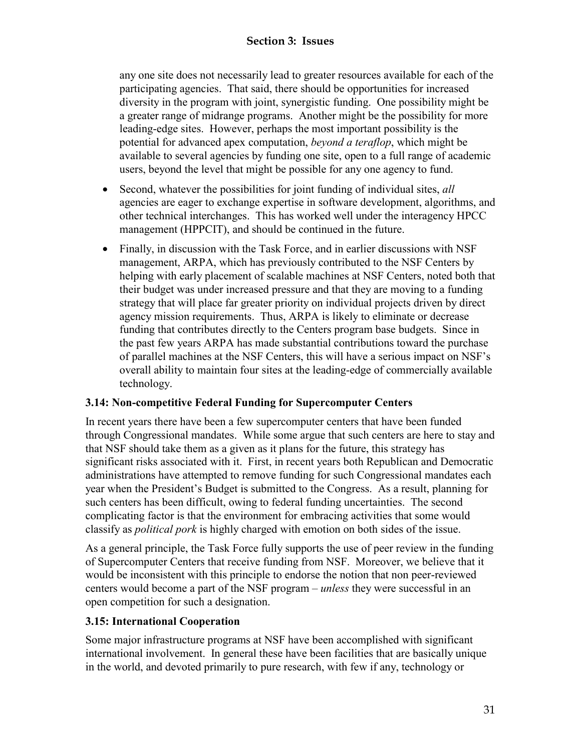any one site does not necessarily lead to greater resources available for each of the participating agencies. That said, there should be opportunities for increased diversity in the program with joint, synergistic funding. One possibility might be a greater range of midrange programs. Another might be the possibility for more leading-edge sites. However, perhaps the most important possibility is the potential for advanced apex computation, *beyond a teraflop*, which might be available to several agencies by funding one site, open to a full range of academic users, beyond the level that might be possible for any one agency to fund.

- Second, whatever the possibilities for joint funding of individual sites, *all* agencies are eager to exchange expertise in software development, algorithms, and other technical interchanges. This has worked well under the interagency HPCC management (HPPCIT), and should be continued in the future.
- Finally, in discussion with the Task Force, and in earlier discussions with NSF management, ARPA, which has previously contributed to the NSF Centers by helping with early placement of scalable machines at NSF Centers, noted both that their budget was under increased pressure and that they are moving to a funding strategy that will place far greater priority on individual projects driven by direct agency mission requirements. Thus, ARPA is likely to eliminate or decrease funding that contributes directly to the Centers program base budgets. Since in the past few years ARPA has made substantial contributions toward the purchase of parallel machines at the NSF Centers, this will have a serious impact on NSF's overall ability to maintain four sites at the leading-edge of commercially available technology.

## **3.14: Non-competitive Federal Funding for Supercomputer Centers**

In recent years there have been a few supercomputer centers that have been funded through Congressional mandates. While some argue that such centers are here to stay and that NSF should take them as a given as it plans for the future, this strategy has significant risks associated with it. First, in recent years both Republican and Democratic administrations have attempted to remove funding for such Congressional mandates each year when the President's Budget is submitted to the Congress. As a result, planning for such centers has been difficult, owing to federal funding uncertainties. The second complicating factor is that the environment for embracing activities that some would classify as *political pork* is highly charged with emotion on both sides of the issue.

As a general principle, the Task Force fully supports the use of peer review in the funding of Supercomputer Centers that receive funding from NSF. Moreover, we believe that it would be inconsistent with this principle to endorse the notion that non peer-reviewed centers would become a part of the NSF program – *unless* they were successful in an open competition for such a designation.

## **3.15: International Cooperation**

Some major infrastructure programs at NSF have been accomplished with significant international involvement. In general these have been facilities that are basically unique in the world, and devoted primarily to pure research, with few if any, technology or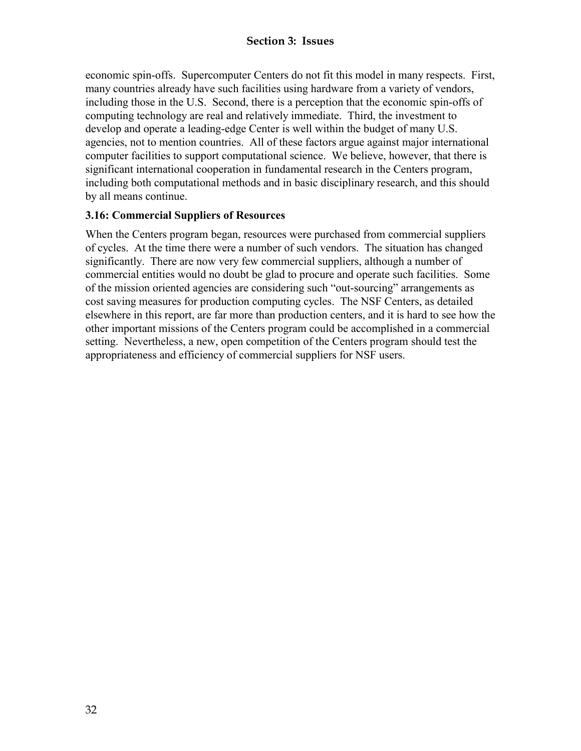economic spin-offs. Supercomputer Centers do not fit this model in many respects. First, many countries already have such facilities using hardware from a variety of vendors, including those in the U.S. Second, there is a perception that the economic spin-offs of computing technology are real and relatively immediate. Third, the investment to develop and operate a leading-edge Center is well within the budget of many U.S. agencies, not to mention countries. All of these factors argue against major international computer facilities to support computational science. We believe, however, that there is significant international cooperation in fundamental research in the Centers program, including both computational methods and in basic disciplinary research, and this should by all means continue.

### **3.16: Commercial Suppliers of Resources**

When the Centers program began, resources were purchased from commercial suppliers of cycles. At the time there were a number of such vendors. The situation has changed significantly. There are now very few commercial suppliers, although a number of commercial entities would no doubt be glad to procure and operate such facilities. Some of the mission oriented agencies are considering such "out-sourcing" arrangements as cost saving measures for production computing cycles. The NSF Centers, as detailed elsewhere in this report, are far more than production centers, and it is hard to see how the other important missions of the Centers program could be accomplished in a commercial setting. Nevertheless, a new, open competition of the Centers program should test the appropriateness and efficiency of commercial suppliers for NSF users.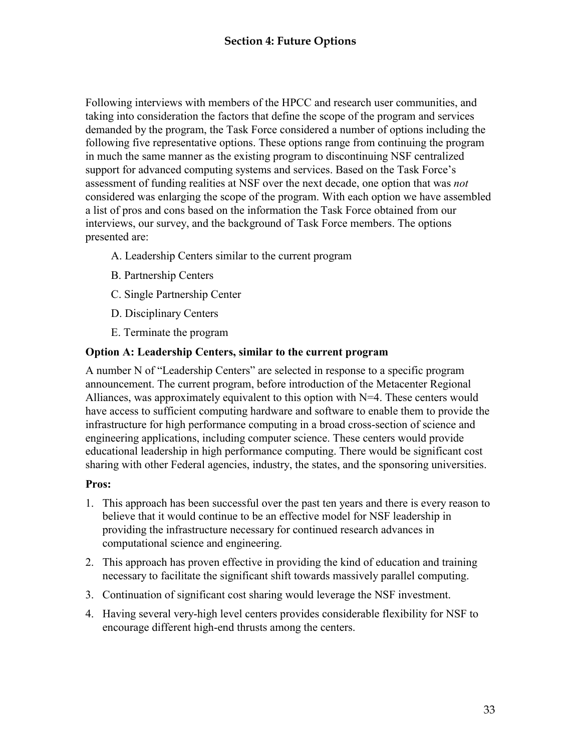Following interviews with members of the HPCC and research user communities, and taking into consideration the factors that define the scope of the program and services demanded by the program, the Task Force considered a number of options including the following five representative options. These options range from continuing the program in much the same manner as the existing program to discontinuing NSF centralized support for advanced computing systems and services. Based on the Task Force's assessment of funding realities at NSF over the next decade, one option that was *not* considered was enlarging the scope of the program. With each option we have assembled a list of pros and cons based on the information the Task Force obtained from our interviews, our survey, and the background of Task Force members. The options presented are:

- A. Leadership Centers similar to the current program
- B. Partnership Centers
- C. Single Partnership Center
- D. Disciplinary Centers
- E. Terminate the program

### **Option A: Leadership Centers, similar to the current program**

A number N of "Leadership Centers" are selected in response to a specific program announcement. The current program, before introduction of the Metacenter Regional Alliances, was approximately equivalent to this option with N=4. These centers would have access to sufficient computing hardware and software to enable them to provide the infrastructure for high performance computing in a broad cross-section of science and engineering applications, including computer science. These centers would provide educational leadership in high performance computing. There would be significant cost sharing with other Federal agencies, industry, the states, and the sponsoring universities.

#### **Pros:**

- 1. This approach has been successful over the past ten years and there is every reason to believe that it would continue to be an effective model for NSF leadership in providing the infrastructure necessary for continued research advances in computational science and engineering.
- 2. This approach has proven effective in providing the kind of education and training necessary to facilitate the significant shift towards massively parallel computing.
- 3. Continuation of significant cost sharing would leverage the NSF investment.
- 4. Having several very-high level centers provides considerable flexibility for NSF to encourage different high-end thrusts among the centers.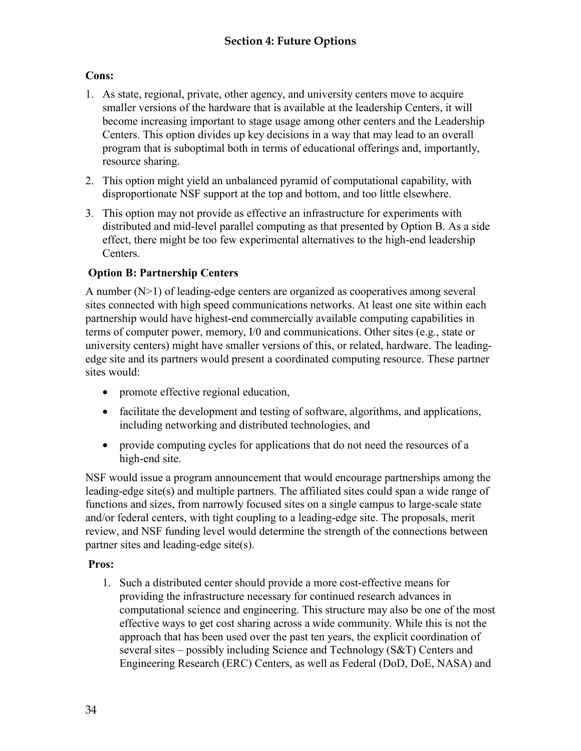# **Cons:**

- 1. As state, regional, private, other agency, and university centers move to acquire smaller versions of the hardware that is available at the leadership Centers, it will become increasing important to stage usage among other centers and the Leadership Centers. This option divides up key decisions in a way that may lead to an overall program that is suboptimal both in terms of educational offerings and, importantly, resource sharing.
- 2. This option might yield an unbalanced pyramid of computational capability, with disproportionate NSF support at the top and bottom, and too little elsewhere.
- 3. This option may not provide as effective an infrastructure for experiments with distributed and mid-level parallel computing as that presented by Option B. As a side effect, there might be too few experimental alternatives to the high-end leadership Centers.

## **Option B: Partnership Centers**

A number (N>1) of leading-edge centers are organized as cooperatives among several sites connected with high speed communications networks. At least one site within each partnership would have highest-end commercially available computing capabilities in terms of computer power, memory, I/0 and communications. Other sites (e.g., state or university centers) might have smaller versions of this, or related, hardware. The leadingedge site and its partners would present a coordinated computing resource. These partner sites would:

- promote effective regional education,
- facilitate the development and testing of software, algorithms, and applications, including networking and distributed technologies, and
- provide computing cycles for applications that do not need the resources of a high-end site.

NSF would issue a program announcement that would encourage partnerships among the leading-edge site(s) and multiple partners. The affiliated sites could span a wide range of functions and sizes, from narrowly focused sites on a single campus to large-scale state and/or federal centers, with tight coupling to a leading-edge site. The proposals, merit review, and NSF funding level would determine the strength of the connections between partner sites and leading-edge site(s).

## **Pros:**

1. Such a distributed center should provide a more cost-effective means for providing the infrastructure necessary for continued research advances in computational science and engineering. This structure may also be one of the most effective ways to get cost sharing across a wide community. While this is not the approach that has been used over the past ten years, the explicit coordination of several sites – possibly including Science and Technology (S&T) Centers and Engineering Research (ERC) Centers, as well as Federal (DoD, DoE, NASA) and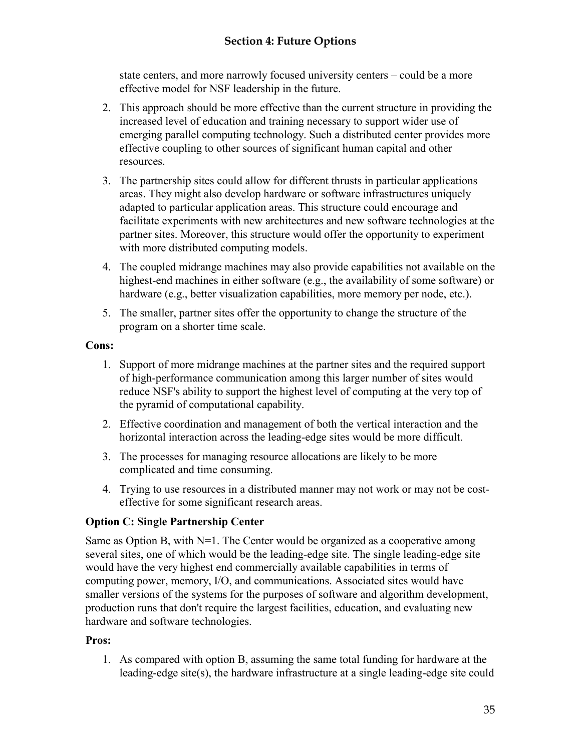state centers, and more narrowly focused university centers – could be a more effective model for NSF leadership in the future.

- 2. This approach should be more effective than the current structure in providing the increased level of education and training necessary to support wider use of emerging parallel computing technology. Such a distributed center provides more effective coupling to other sources of significant human capital and other resources.
- 3. The partnership sites could allow for different thrusts in particular applications areas. They might also develop hardware or software infrastructures uniquely adapted to particular application areas. This structure could encourage and facilitate experiments with new architectures and new software technologies at the partner sites. Moreover, this structure would offer the opportunity to experiment with more distributed computing models.
- 4. The coupled midrange machines may also provide capabilities not available on the highest-end machines in either software (e.g., the availability of some software) or hardware (e.g., better visualization capabilities, more memory per node, etc.).
- 5. The smaller, partner sites offer the opportunity to change the structure of the program on a shorter time scale.

### **Cons:**

- 1. Support of more midrange machines at the partner sites and the required support of high-performance communication among this larger number of sites would reduce NSF's ability to support the highest level of computing at the very top of the pyramid of computational capability.
- 2. Effective coordination and management of both the vertical interaction and the horizontal interaction across the leading-edge sites would be more difficult.
- 3. The processes for managing resource allocations are likely to be more complicated and time consuming.
- 4. Trying to use resources in a distributed manner may not work or may not be costeffective for some significant research areas.

## **Option C: Single Partnership Center**

Same as Option B, with  $N=1$ . The Center would be organized as a cooperative among several sites, one of which would be the leading-edge site. The single leading-edge site would have the very highest end commercially available capabilities in terms of computing power, memory, I/O, and communications. Associated sites would have smaller versions of the systems for the purposes of software and algorithm development, production runs that don't require the largest facilities, education, and evaluating new hardware and software technologies.

## **Pros:**

1. As compared with option B, assuming the same total funding for hardware at the leading-edge site(s), the hardware infrastructure at a single leading-edge site could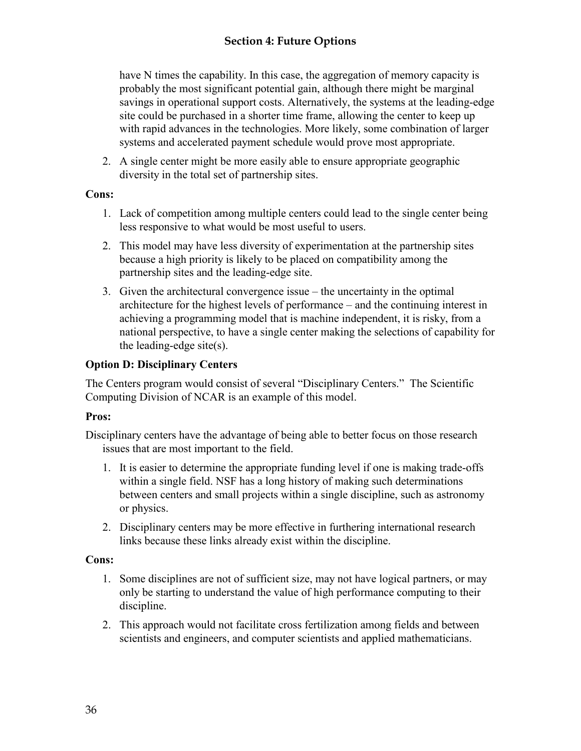have N times the capability. In this case, the aggregation of memory capacity is probably the most significant potential gain, although there might be marginal savings in operational support costs. Alternatively, the systems at the leading-edge site could be purchased in a shorter time frame, allowing the center to keep up with rapid advances in the technologies. More likely, some combination of larger systems and accelerated payment schedule would prove most appropriate.

2. A single center might be more easily able to ensure appropriate geographic diversity in the total set of partnership sites.

### **Cons:**

- 1. Lack of competition among multiple centers could lead to the single center being less responsive to what would be most useful to users.
- 2. This model may have less diversity of experimentation at the partnership sites because a high priority is likely to be placed on compatibility among the partnership sites and the leading-edge site.
- 3. Given the architectural convergence issue the uncertainty in the optimal architecture for the highest levels of performance – and the continuing interest in achieving a programming model that is machine independent, it is risky, from a national perspective, to have a single center making the selections of capability for the leading-edge site(s).

# **Option D: Disciplinary Centers**

The Centers program would consist of several "Disciplinary Centers." The Scientific Computing Division of NCAR is an example of this model.

## **Pros:**

Disciplinary centers have the advantage of being able to better focus on those research issues that are most important to the field.

- 1. It is easier to determine the appropriate funding level if one is making trade-offs within a single field. NSF has a long history of making such determinations between centers and small projects within a single discipline, such as astronomy or physics.
- 2. Disciplinary centers may be more effective in furthering international research links because these links already exist within the discipline.

## **Cons:**

- 1. Some disciplines are not of sufficient size, may not have logical partners, or may only be starting to understand the value of high performance computing to their discipline.
- 2. This approach would not facilitate cross fertilization among fields and between scientists and engineers, and computer scientists and applied mathematicians.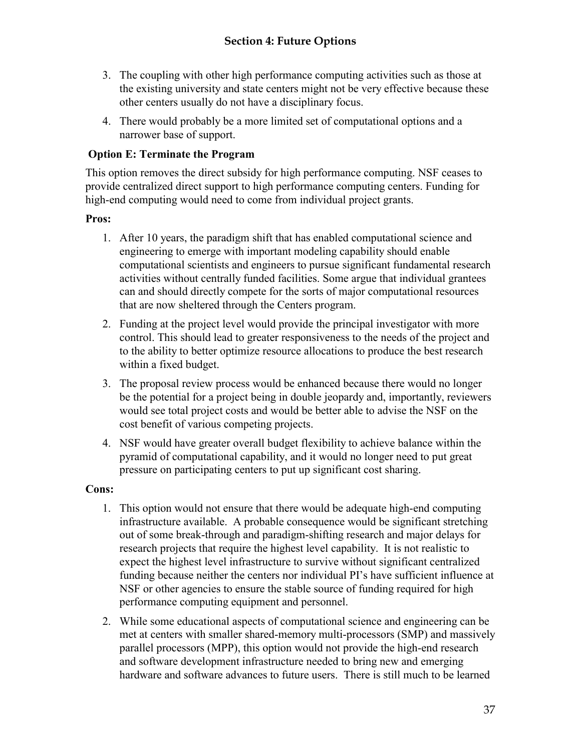- 3. The coupling with other high performance computing activities such as those at the existing university and state centers might not be very effective because these other centers usually do not have a disciplinary focus.
- 4. There would probably be a more limited set of computational options and a narrower base of support.

# **Option E: Terminate the Program**

This option removes the direct subsidy for high performance computing. NSF ceases to provide centralized direct support to high performance computing centers. Funding for high-end computing would need to come from individual project grants.

## **Pros:**

- 1. After 10 years, the paradigm shift that has enabled computational science and engineering to emerge with important modeling capability should enable computational scientists and engineers to pursue significant fundamental research activities without centrally funded facilities. Some argue that individual grantees can and should directly compete for the sorts of major computational resources that are now sheltered through the Centers program.
- 2. Funding at the project level would provide the principal investigator with more control. This should lead to greater responsiveness to the needs of the project and to the ability to better optimize resource allocations to produce the best research within a fixed budget.
- 3. The proposal review process would be enhanced because there would no longer be the potential for a project being in double jeopardy and, importantly, reviewers would see total project costs and would be better able to advise the NSF on the cost benefit of various competing projects.
- 4. NSF would have greater overall budget flexibility to achieve balance within the pyramid of computational capability, and it would no longer need to put great pressure on participating centers to put up significant cost sharing.

## **Cons:**

- 1. This option would not ensure that there would be adequate high-end computing infrastructure available. A probable consequence would be significant stretching out of some break-through and paradigm-shifting research and major delays for research projects that require the highest level capability. It is not realistic to expect the highest level infrastructure to survive without significant centralized funding because neither the centers nor individual PI's have sufficient influence at NSF or other agencies to ensure the stable source of funding required for high performance computing equipment and personnel.
- 2. While some educational aspects of computational science and engineering can be met at centers with smaller shared-memory multi-processors (SMP) and massively parallel processors (MPP), this option would not provide the high-end research and software development infrastructure needed to bring new and emerging hardware and software advances to future users. There is still much to be learned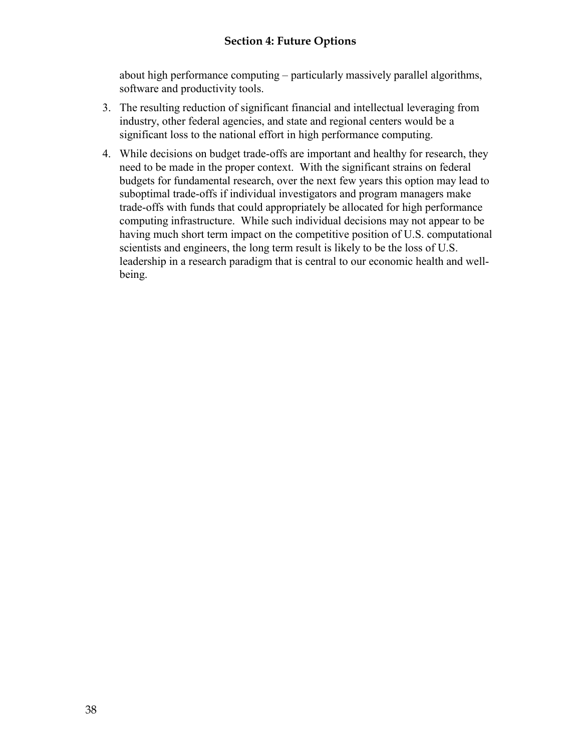## **Section 4: Future Options**

about high performance computing – particularly massively parallel algorithms, software and productivity tools.

- 3. The resulting reduction of significant financial and intellectual leveraging from industry, other federal agencies, and state and regional centers would be a significant loss to the national effort in high performance computing.
- 4. While decisions on budget trade-offs are important and healthy for research, they need to be made in the proper context. With the significant strains on federal budgets for fundamental research, over the next few years this option may lead to suboptimal trade-offs if individual investigators and program managers make trade-offs with funds that could appropriately be allocated for high performance computing infrastructure. While such individual decisions may not appear to be having much short term impact on the competitive position of U.S. computational scientists and engineers, the long term result is likely to be the loss of U.S. leadership in a research paradigm that is central to our economic health and wellbeing.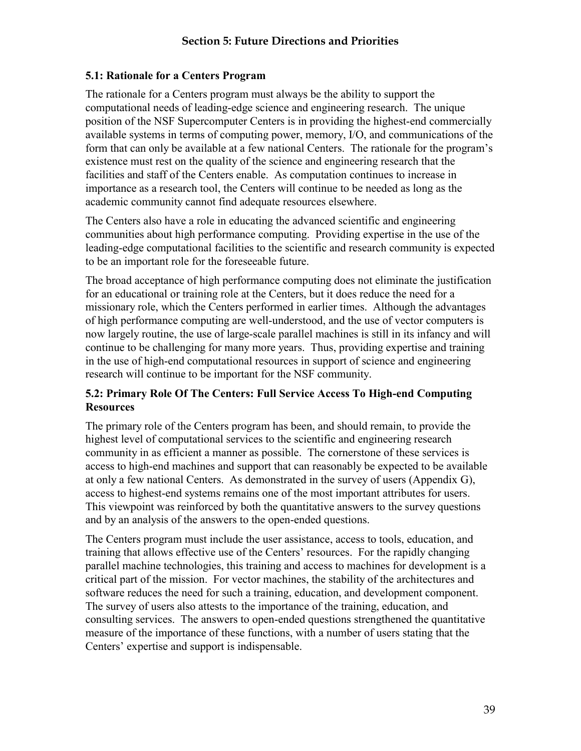### **5.1: Rationale for a Centers Program**

The rationale for a Centers program must always be the ability to support the computational needs of leading-edge science and engineering research. The unique position of the NSF Supercomputer Centers is in providing the highest-end commercially available systems in terms of computing power, memory, I/O, and communications of the form that can only be available at a few national Centers. The rationale for the program's existence must rest on the quality of the science and engineering research that the facilities and staff of the Centers enable. As computation continues to increase in importance as a research tool, the Centers will continue to be needed as long as the academic community cannot find adequate resources elsewhere.

The Centers also have a role in educating the advanced scientific and engineering communities about high performance computing. Providing expertise in the use of the leading-edge computational facilities to the scientific and research community is expected to be an important role for the foreseeable future.

The broad acceptance of high performance computing does not eliminate the justification for an educational or training role at the Centers, but it does reduce the need for a missionary role, which the Centers performed in earlier times. Although the advantages of high performance computing are well-understood, and the use of vector computers is now largely routine, the use of large-scale parallel machines is still in its infancy and will continue to be challenging for many more years. Thus, providing expertise and training in the use of high-end computational resources in support of science and engineering research will continue to be important for the NSF community.

## **5.2: Primary Role Of The Centers: Full Service Access To High-end Computing Resources**

The primary role of the Centers program has been, and should remain, to provide the highest level of computational services to the scientific and engineering research community in as efficient a manner as possible. The cornerstone of these services is access to high-end machines and support that can reasonably be expected to be available at only a few national Centers. As demonstrated in the survey of users (Appendix G), access to highest-end systems remains one of the most important attributes for users. This viewpoint was reinforced by both the quantitative answers to the survey questions and by an analysis of the answers to the open-ended questions.

The Centers program must include the user assistance, access to tools, education, and training that allows effective use of the Centers' resources. For the rapidly changing parallel machine technologies, this training and access to machines for development is a critical part of the mission. For vector machines, the stability of the architectures and software reduces the need for such a training, education, and development component. The survey of users also attests to the importance of the training, education, and consulting services. The answers to open-ended questions strengthened the quantitative measure of the importance of these functions, with a number of users stating that the Centers' expertise and support is indispensable.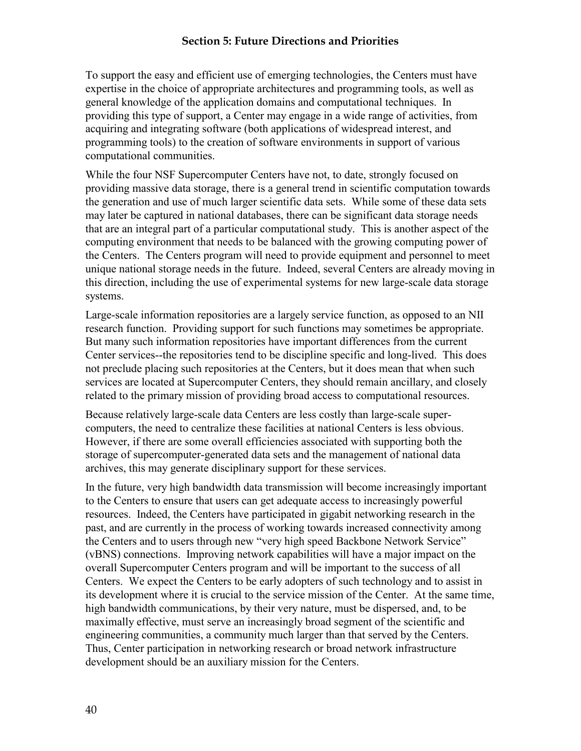#### **Section 5: Future Directions and Priorities**

To support the easy and efficient use of emerging technologies, the Centers must have expertise in the choice of appropriate architectures and programming tools, as well as general knowledge of the application domains and computational techniques. In providing this type of support, a Center may engage in a wide range of activities, from acquiring and integrating software (both applications of widespread interest, and programming tools) to the creation of software environments in support of various computational communities.

While the four NSF Supercomputer Centers have not, to date, strongly focused on providing massive data storage, there is a general trend in scientific computation towards the generation and use of much larger scientific data sets. While some of these data sets may later be captured in national databases, there can be significant data storage needs that are an integral part of a particular computational study. This is another aspect of the computing environment that needs to be balanced with the growing computing power of the Centers. The Centers program will need to provide equipment and personnel to meet unique national storage needs in the future. Indeed, several Centers are already moving in this direction, including the use of experimental systems for new large-scale data storage systems.

Large-scale information repositories are a largely service function, as opposed to an NII research function. Providing support for such functions may sometimes be appropriate. But many such information repositories have important differences from the current Center services--the repositories tend to be discipline specific and long-lived. This does not preclude placing such repositories at the Centers, but it does mean that when such services are located at Supercomputer Centers, they should remain ancillary, and closely related to the primary mission of providing broad access to computational resources.

Because relatively large-scale data Centers are less costly than large-scale supercomputers, the need to centralize these facilities at national Centers is less obvious. However, if there are some overall efficiencies associated with supporting both the storage of supercomputer-generated data sets and the management of national data archives, this may generate disciplinary support for these services.

In the future, very high bandwidth data transmission will become increasingly important to the Centers to ensure that users can get adequate access to increasingly powerful resources. Indeed, the Centers have participated in gigabit networking research in the past, and are currently in the process of working towards increased connectivity among the Centers and to users through new "very high speed Backbone Network Service" (vBNS) connections. Improving network capabilities will have a major impact on the overall Supercomputer Centers program and will be important to the success of all Centers. We expect the Centers to be early adopters of such technology and to assist in its development where it is crucial to the service mission of the Center. At the same time, high bandwidth communications, by their very nature, must be dispersed, and, to be maximally effective, must serve an increasingly broad segment of the scientific and engineering communities, a community much larger than that served by the Centers. Thus, Center participation in networking research or broad network infrastructure development should be an auxiliary mission for the Centers.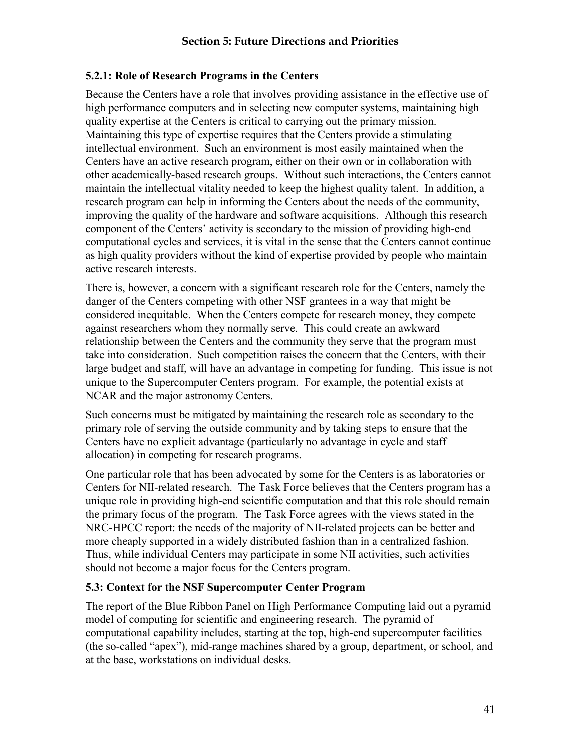### **5.2.1: Role of Research Programs in the Centers**

Because the Centers have a role that involves providing assistance in the effective use of high performance computers and in selecting new computer systems, maintaining high quality expertise at the Centers is critical to carrying out the primary mission. Maintaining this type of expertise requires that the Centers provide a stimulating intellectual environment. Such an environment is most easily maintained when the Centers have an active research program, either on their own or in collaboration with other academically-based research groups. Without such interactions, the Centers cannot maintain the intellectual vitality needed to keep the highest quality talent. In addition, a research program can help in informing the Centers about the needs of the community, improving the quality of the hardware and software acquisitions. Although this research component of the Centers' activity is secondary to the mission of providing high-end computational cycles and services, it is vital in the sense that the Centers cannot continue as high quality providers without the kind of expertise provided by people who maintain active research interests.

There is, however, a concern with a significant research role for the Centers, namely the danger of the Centers competing with other NSF grantees in a way that might be considered inequitable. When the Centers compete for research money, they compete against researchers whom they normally serve. This could create an awkward relationship between the Centers and the community they serve that the program must take into consideration. Such competition raises the concern that the Centers, with their large budget and staff, will have an advantage in competing for funding. This issue is not unique to the Supercomputer Centers program. For example, the potential exists at NCAR and the major astronomy Centers.

Such concerns must be mitigated by maintaining the research role as secondary to the primary role of serving the outside community and by taking steps to ensure that the Centers have no explicit advantage (particularly no advantage in cycle and staff allocation) in competing for research programs.

One particular role that has been advocated by some for the Centers is as laboratories or Centers for NII-related research. The Task Force believes that the Centers program has a unique role in providing high-end scientific computation and that this role should remain the primary focus of the program. The Task Force agrees with the views stated in the NRC-HPCC report: the needs of the majority of NII-related projects can be better and more cheaply supported in a widely distributed fashion than in a centralized fashion. Thus, while individual Centers may participate in some NII activities, such activities should not become a major focus for the Centers program.

#### **5.3: Context for the NSF Supercomputer Center Program**

The report of the Blue Ribbon Panel on High Performance Computing laid out a pyramid model of computing for scientific and engineering research. The pyramid of computational capability includes, starting at the top, high-end supercomputer facilities (the so-called "apex"), mid-range machines shared by a group, department, or school, and at the base, workstations on individual desks.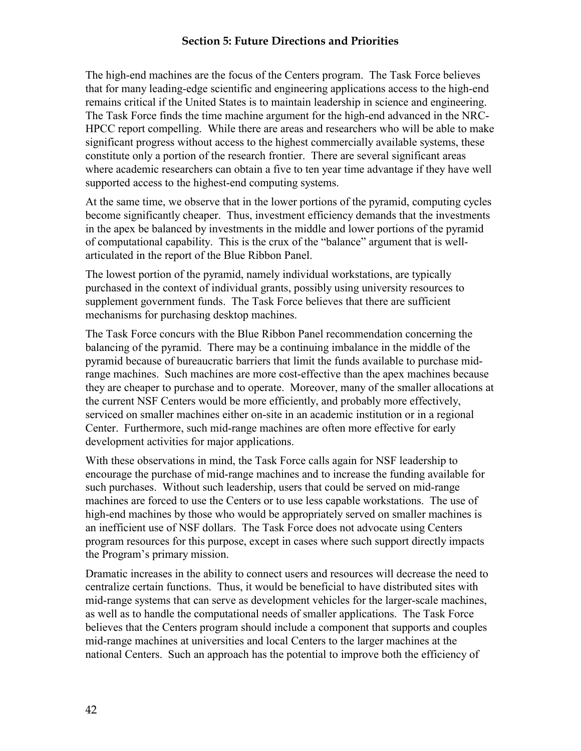#### **Section 5: Future Directions and Priorities**

The high-end machines are the focus of the Centers program. The Task Force believes that for many leading-edge scientific and engineering applications access to the high-end remains critical if the United States is to maintain leadership in science and engineering. The Task Force finds the time machine argument for the high-end advanced in the NRC-HPCC report compelling. While there are areas and researchers who will be able to make significant progress without access to the highest commercially available systems, these constitute only a portion of the research frontier. There are several significant areas where academic researchers can obtain a five to ten year time advantage if they have well supported access to the highest-end computing systems.

At the same time, we observe that in the lower portions of the pyramid, computing cycles become significantly cheaper. Thus, investment efficiency demands that the investments in the apex be balanced by investments in the middle and lower portions of the pyramid of computational capability. This is the crux of the "balance" argument that is wellarticulated in the report of the Blue Ribbon Panel.

The lowest portion of the pyramid, namely individual workstations, are typically purchased in the context of individual grants, possibly using university resources to supplement government funds. The Task Force believes that there are sufficient mechanisms for purchasing desktop machines.

The Task Force concurs with the Blue Ribbon Panel recommendation concerning the balancing of the pyramid. There may be a continuing imbalance in the middle of the pyramid because of bureaucratic barriers that limit the funds available to purchase midrange machines. Such machines are more cost-effective than the apex machines because they are cheaper to purchase and to operate. Moreover, many of the smaller allocations at the current NSF Centers would be more efficiently, and probably more effectively, serviced on smaller machines either on-site in an academic institution or in a regional Center. Furthermore, such mid-range machines are often more effective for early development activities for major applications.

With these observations in mind, the Task Force calls again for NSF leadership to encourage the purchase of mid-range machines and to increase the funding available for such purchases. Without such leadership, users that could be served on mid-range machines are forced to use the Centers or to use less capable workstations. The use of high-end machines by those who would be appropriately served on smaller machines is an inefficient use of NSF dollars. The Task Force does not advocate using Centers program resources for this purpose, except in cases where such support directly impacts the Program's primary mission.

Dramatic increases in the ability to connect users and resources will decrease the need to centralize certain functions. Thus, it would be beneficial to have distributed sites with mid-range systems that can serve as development vehicles for the larger-scale machines, as well as to handle the computational needs of smaller applications. The Task Force believes that the Centers program should include a component that supports and couples mid-range machines at universities and local Centers to the larger machines at the national Centers. Such an approach has the potential to improve both the efficiency of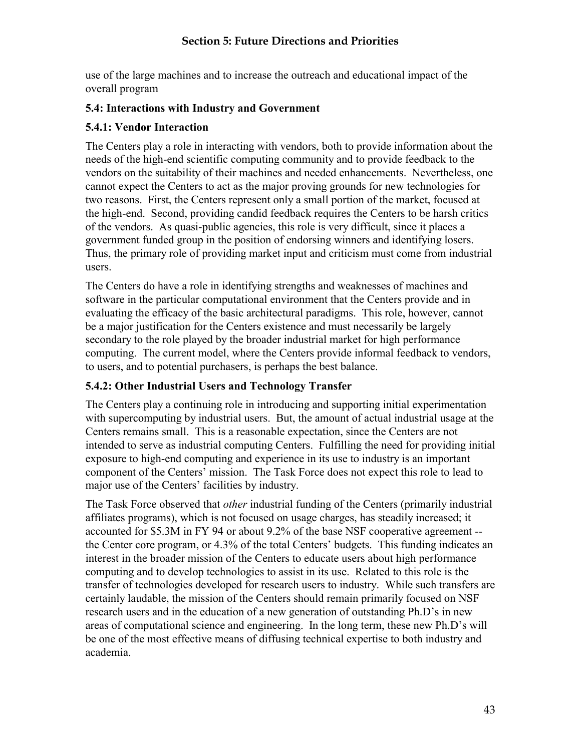use of the large machines and to increase the outreach and educational impact of the overall program

### **5.4: Interactions with Industry and Government**

### **5.4.1: Vendor Interaction**

The Centers play a role in interacting with vendors, both to provide information about the needs of the high-end scientific computing community and to provide feedback to the vendors on the suitability of their machines and needed enhancements. Nevertheless, one cannot expect the Centers to act as the major proving grounds for new technologies for two reasons. First, the Centers represent only a small portion of the market, focused at the high-end. Second, providing candid feedback requires the Centers to be harsh critics of the vendors. As quasi-public agencies, this role is very difficult, since it places a government funded group in the position of endorsing winners and identifying losers. Thus, the primary role of providing market input and criticism must come from industrial users.

The Centers do have a role in identifying strengths and weaknesses of machines and software in the particular computational environment that the Centers provide and in evaluating the efficacy of the basic architectural paradigms. This role, however, cannot be a major justification for the Centers existence and must necessarily be largely secondary to the role played by the broader industrial market for high performance computing. The current model, where the Centers provide informal feedback to vendors, to users, and to potential purchasers, is perhaps the best balance.

## **5.4.2: Other Industrial Users and Technology Transfer**

The Centers play a continuing role in introducing and supporting initial experimentation with supercomputing by industrial users. But, the amount of actual industrial usage at the Centers remains small. This is a reasonable expectation, since the Centers are not intended to serve as industrial computing Centers. Fulfilling the need for providing initial exposure to high-end computing and experience in its use to industry is an important component of the Centers' mission. The Task Force does not expect this role to lead to major use of the Centers' facilities by industry.

The Task Force observed that *other* industrial funding of the Centers (primarily industrial affiliates programs), which is not focused on usage charges, has steadily increased; it accounted for \$5.3M in FY 94 or about 9.2% of the base NSF cooperative agreement - the Center core program, or 4.3% of the total Centers' budgets. This funding indicates an interest in the broader mission of the Centers to educate users about high performance computing and to develop technologies to assist in its use. Related to this role is the transfer of technologies developed for research users to industry. While such transfers are certainly laudable, the mission of the Centers should remain primarily focused on NSF research users and in the education of a new generation of outstanding Ph.D's in new areas of computational science and engineering. In the long term, these new Ph.D's will be one of the most effective means of diffusing technical expertise to both industry and academia.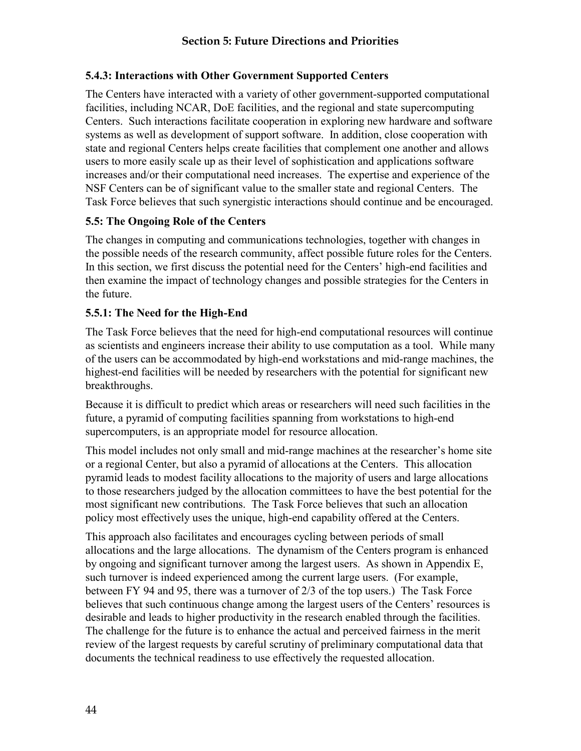### **5.4.3: Interactions with Other Government Supported Centers**

The Centers have interacted with a variety of other government-supported computational facilities, including NCAR, DoE facilities, and the regional and state supercomputing Centers. Such interactions facilitate cooperation in exploring new hardware and software systems as well as development of support software. In addition, close cooperation with state and regional Centers helps create facilities that complement one another and allows users to more easily scale up as their level of sophistication and applications software increases and/or their computational need increases. The expertise and experience of the NSF Centers can be of significant value to the smaller state and regional Centers. The Task Force believes that such synergistic interactions should continue and be encouraged.

### **5.5: The Ongoing Role of the Centers**

The changes in computing and communications technologies, together with changes in the possible needs of the research community, affect possible future roles for the Centers. In this section, we first discuss the potential need for the Centers' high-end facilities and then examine the impact of technology changes and possible strategies for the Centers in the future.

### **5.5.1: The Need for the High-End**

The Task Force believes that the need for high-end computational resources will continue as scientists and engineers increase their ability to use computation as a tool. While many of the users can be accommodated by high-end workstations and mid-range machines, the highest-end facilities will be needed by researchers with the potential for significant new breakthroughs.

Because it is difficult to predict which areas or researchers will need such facilities in the future, a pyramid of computing facilities spanning from workstations to high-end supercomputers, is an appropriate model for resource allocation.

This model includes not only small and mid-range machines at the researcher's home site or a regional Center, but also a pyramid of allocations at the Centers. This allocation pyramid leads to modest facility allocations to the majority of users and large allocations to those researchers judged by the allocation committees to have the best potential for the most significant new contributions. The Task Force believes that such an allocation policy most effectively uses the unique, high-end capability offered at the Centers.

This approach also facilitates and encourages cycling between periods of small allocations and the large allocations. The dynamism of the Centers program is enhanced by ongoing and significant turnover among the largest users. As shown in Appendix E, such turnover is indeed experienced among the current large users. (For example, between FY 94 and 95, there was a turnover of 2/3 of the top users.) The Task Force believes that such continuous change among the largest users of the Centers' resources is desirable and leads to higher productivity in the research enabled through the facilities. The challenge for the future is to enhance the actual and perceived fairness in the merit review of the largest requests by careful scrutiny of preliminary computational data that documents the technical readiness to use effectively the requested allocation.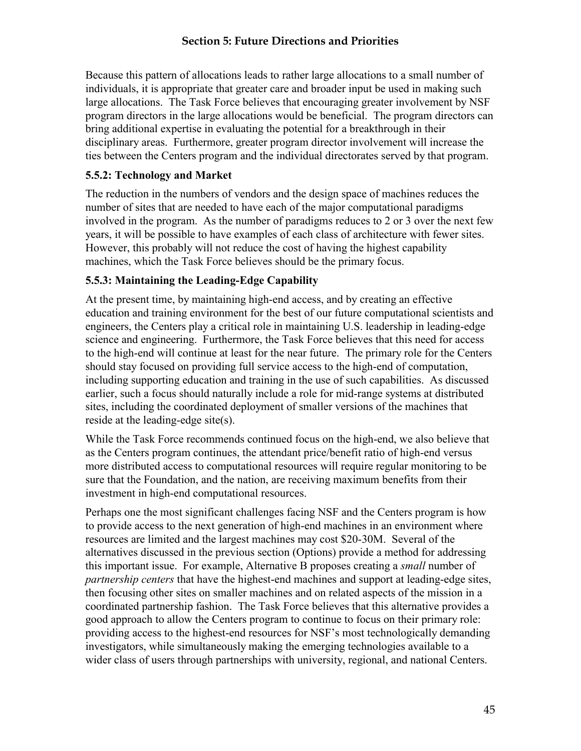## **Section 5: Future Directions and Priorities**

Because this pattern of allocations leads to rather large allocations to a small number of individuals, it is appropriate that greater care and broader input be used in making such large allocations. The Task Force believes that encouraging greater involvement by NSF program directors in the large allocations would be beneficial. The program directors can bring additional expertise in evaluating the potential for a breakthrough in their disciplinary areas. Furthermore, greater program director involvement will increase the ties between the Centers program and the individual directorates served by that program.

#### **5.5.2: Technology and Market**

The reduction in the numbers of vendors and the design space of machines reduces the number of sites that are needed to have each of the major computational paradigms involved in the program. As the number of paradigms reduces to 2 or 3 over the next few years, it will be possible to have examples of each class of architecture with fewer sites. However, this probably will not reduce the cost of having the highest capability machines, which the Task Force believes should be the primary focus.

### **5.5.3: Maintaining the Leading-Edge Capability**

At the present time, by maintaining high-end access, and by creating an effective education and training environment for the best of our future computational scientists and engineers, the Centers play a critical role in maintaining U.S. leadership in leading-edge science and engineering. Furthermore, the Task Force believes that this need for access to the high-end will continue at least for the near future. The primary role for the Centers should stay focused on providing full service access to the high-end of computation, including supporting education and training in the use of such capabilities. As discussed earlier, such a focus should naturally include a role for mid-range systems at distributed sites, including the coordinated deployment of smaller versions of the machines that reside at the leading-edge site(s).

While the Task Force recommends continued focus on the high-end, we also believe that as the Centers program continues, the attendant price/benefit ratio of high-end versus more distributed access to computational resources will require regular monitoring to be sure that the Foundation, and the nation, are receiving maximum benefits from their investment in high-end computational resources.

Perhaps one the most significant challenges facing NSF and the Centers program is how to provide access to the next generation of high-end machines in an environment where resources are limited and the largest machines may cost \$20-30M. Several of the alternatives discussed in the previous section (Options) provide a method for addressing this important issue. For example, Alternative B proposes creating a *small* number of *partnership centers* that have the highest-end machines and support at leading-edge sites, then focusing other sites on smaller machines and on related aspects of the mission in a coordinated partnership fashion. The Task Force believes that this alternative provides a good approach to allow the Centers program to continue to focus on their primary role: providing access to the highest-end resources for NSF's most technologically demanding investigators, while simultaneously making the emerging technologies available to a wider class of users through partnerships with university, regional, and national Centers.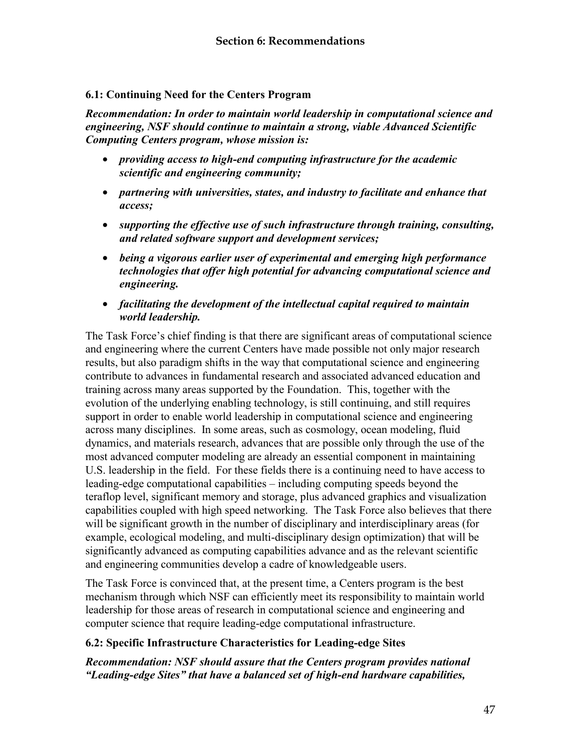#### **6.1: Continuing Need for the Centers Program**

*Recommendation: In order to maintain world leadership in computational science and engineering, NSF should continue to maintain a strong, viable Advanced Scientific Computing Centers program, whose mission is:* 

- *providing access to high-end computing infrastructure for the academic scientific and engineering community;*
- *partnering with universities, states, and industry to facilitate and enhance that access;*
- *supporting the effective use of such infrastructure through training, consulting, and related software support and development services;*
- *being a vigorous earlier user of experimental and emerging high performance technologies that offer high potential for advancing computational science and engineering.*
- *facilitating the development of the intellectual capital required to maintain world leadership.*

The Task Force's chief finding is that there are significant areas of computational science and engineering where the current Centers have made possible not only major research results, but also paradigm shifts in the way that computational science and engineering contribute to advances in fundamental research and associated advanced education and training across many areas supported by the Foundation. This, together with the evolution of the underlying enabling technology, is still continuing, and still requires support in order to enable world leadership in computational science and engineering across many disciplines. In some areas, such as cosmology, ocean modeling, fluid dynamics, and materials research, advances that are possible only through the use of the most advanced computer modeling are already an essential component in maintaining U.S. leadership in the field. For these fields there is a continuing need to have access to leading-edge computational capabilities – including computing speeds beyond the teraflop level, significant memory and storage, plus advanced graphics and visualization capabilities coupled with high speed networking. The Task Force also believes that there will be significant growth in the number of disciplinary and interdisciplinary areas (for example, ecological modeling, and multi-disciplinary design optimization) that will be significantly advanced as computing capabilities advance and as the relevant scientific and engineering communities develop a cadre of knowledgeable users.

The Task Force is convinced that, at the present time, a Centers program is the best mechanism through which NSF can efficiently meet its responsibility to maintain world leadership for those areas of research in computational science and engineering and computer science that require leading-edge computational infrastructure.

#### **6.2: Specific Infrastructure Characteristics for Leading-edge Sites**

*Recommendation: NSF should assure that the Centers program provides national "Leading-edge Sites" that have a balanced set of high-end hardware capabilities,*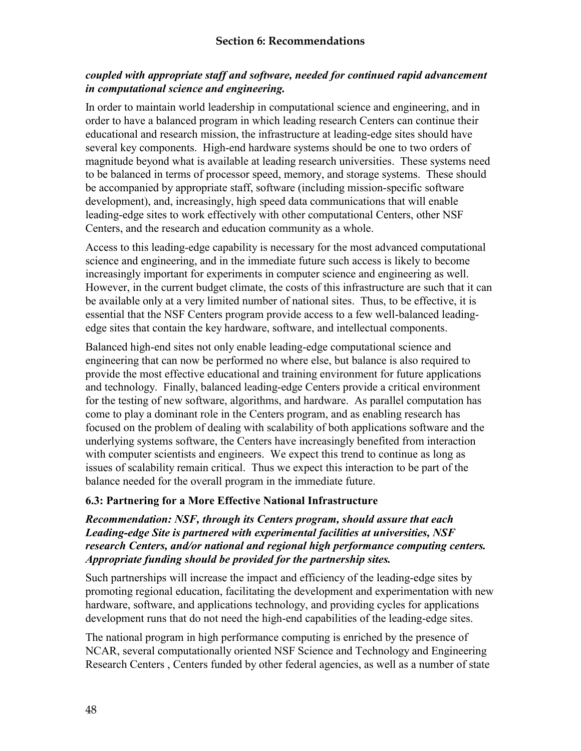## *coupled with appropriate staff and software, needed for continued rapid advancement in computational science and engineering.*

In order to maintain world leadership in computational science and engineering, and in order to have a balanced program in which leading research Centers can continue their educational and research mission, the infrastructure at leading-edge sites should have several key components. High-end hardware systems should be one to two orders of magnitude beyond what is available at leading research universities. These systems need to be balanced in terms of processor speed, memory, and storage systems. These should be accompanied by appropriate staff, software (including mission-specific software development), and, increasingly, high speed data communications that will enable leading-edge sites to work effectively with other computational Centers, other NSF Centers, and the research and education community as a whole.

Access to this leading-edge capability is necessary for the most advanced computational science and engineering, and in the immediate future such access is likely to become increasingly important for experiments in computer science and engineering as well. However, in the current budget climate, the costs of this infrastructure are such that it can be available only at a very limited number of national sites. Thus, to be effective, it is essential that the NSF Centers program provide access to a few well-balanced leadingedge sites that contain the key hardware, software, and intellectual components.

Balanced high-end sites not only enable leading-edge computational science and engineering that can now be performed no where else, but balance is also required to provide the most effective educational and training environment for future applications and technology. Finally, balanced leading-edge Centers provide a critical environment for the testing of new software, algorithms, and hardware. As parallel computation has come to play a dominant role in the Centers program, and as enabling research has focused on the problem of dealing with scalability of both applications software and the underlying systems software, the Centers have increasingly benefited from interaction with computer scientists and engineers. We expect this trend to continue as long as issues of scalability remain critical. Thus we expect this interaction to be part of the balance needed for the overall program in the immediate future.

## **6.3: Partnering for a More Effective National Infrastructure**

#### *Recommendation: NSF, through its Centers program, should assure that each Leading-edge Site is partnered with experimental facilities at universities, NSF research Centers, and/or national and regional high performance computing centers. Appropriate funding should be provided for the partnership sites.*

Such partnerships will increase the impact and efficiency of the leading-edge sites by promoting regional education, facilitating the development and experimentation with new hardware, software, and applications technology, and providing cycles for applications development runs that do not need the high-end capabilities of the leading-edge sites.

The national program in high performance computing is enriched by the presence of NCAR, several computationally oriented NSF Science and Technology and Engineering Research Centers , Centers funded by other federal agencies, as well as a number of state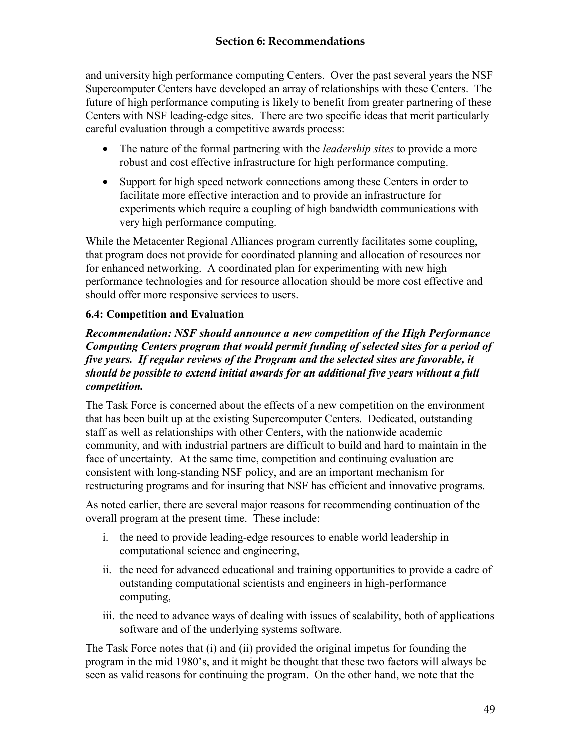and university high performance computing Centers. Over the past several years the NSF Supercomputer Centers have developed an array of relationships with these Centers. The future of high performance computing is likely to benefit from greater partnering of these Centers with NSF leading-edge sites. There are two specific ideas that merit particularly careful evaluation through a competitive awards process:

- The nature of the formal partnering with the *leadership sites* to provide a more robust and cost effective infrastructure for high performance computing.
- Support for high speed network connections among these Centers in order to facilitate more effective interaction and to provide an infrastructure for experiments which require a coupling of high bandwidth communications with very high performance computing.

While the Metacenter Regional Alliances program currently facilitates some coupling, that program does not provide for coordinated planning and allocation of resources nor for enhanced networking. A coordinated plan for experimenting with new high performance technologies and for resource allocation should be more cost effective and should offer more responsive services to users.

# **6.4: Competition and Evaluation**

#### *Recommendation: NSF should announce a new competition of the High Performance Computing Centers program that would permit funding of selected sites for a period of five years. If regular reviews of the Program and the selected sites are favorable, it should be possible to extend initial awards for an additional five years without a full competition.*

The Task Force is concerned about the effects of a new competition on the environment that has been built up at the existing Supercomputer Centers. Dedicated, outstanding staff as well as relationships with other Centers, with the nationwide academic community, and with industrial partners are difficult to build and hard to maintain in the face of uncertainty. At the same time, competition and continuing evaluation are consistent with long-standing NSF policy, and are an important mechanism for restructuring programs and for insuring that NSF has efficient and innovative programs.

As noted earlier, there are several major reasons for recommending continuation of the overall program at the present time. These include:

- i. the need to provide leading-edge resources to enable world leadership in computational science and engineering,
- ii. the need for advanced educational and training opportunities to provide a cadre of outstanding computational scientists and engineers in high-performance computing,
- iii. the need to advance ways of dealing with issues of scalability, both of applications software and of the underlying systems software.

The Task Force notes that (i) and (ii) provided the original impetus for founding the program in the mid 1980's, and it might be thought that these two factors will always be seen as valid reasons for continuing the program. On the other hand, we note that the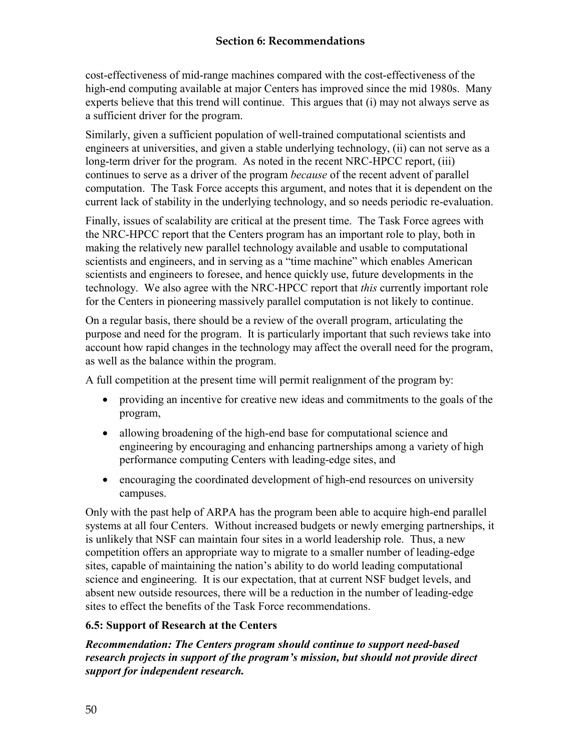cost-effectiveness of mid-range machines compared with the cost-effectiveness of the high-end computing available at major Centers has improved since the mid 1980s. Many experts believe that this trend will continue. This argues that (i) may not always serve as a sufficient driver for the program.

Similarly, given a sufficient population of well-trained computational scientists and engineers at universities, and given a stable underlying technology, (ii) can not serve as a long-term driver for the program. As noted in the recent NRC-HPCC report, (iii) continues to serve as a driver of the program *because* of the recent advent of parallel computation. The Task Force accepts this argument, and notes that it is dependent on the current lack of stability in the underlying technology, and so needs periodic re-evaluation.

Finally, issues of scalability are critical at the present time. The Task Force agrees with the NRC-HPCC report that the Centers program has an important role to play, both in making the relatively new parallel technology available and usable to computational scientists and engineers, and in serving as a "time machine" which enables American scientists and engineers to foresee, and hence quickly use, future developments in the technology. We also agree with the NRC-HPCC report that *this* currently important role for the Centers in pioneering massively parallel computation is not likely to continue.

On a regular basis, there should be a review of the overall program, articulating the purpose and need for the program. It is particularly important that such reviews take into account how rapid changes in the technology may affect the overall need for the program, as well as the balance within the program.

A full competition at the present time will permit realignment of the program by:

- providing an incentive for creative new ideas and commitments to the goals of the program,
- allowing broadening of the high-end base for computational science and engineering by encouraging and enhancing partnerships among a variety of high performance computing Centers with leading-edge sites, and
- encouraging the coordinated development of high-end resources on university campuses.

Only with the past help of ARPA has the program been able to acquire high-end parallel systems at all four Centers. Without increased budgets or newly emerging partnerships, it is unlikely that NSF can maintain four sites in a world leadership role. Thus, a new competition offers an appropriate way to migrate to a smaller number of leading-edge sites, capable of maintaining the nation's ability to do world leading computational science and engineering. It is our expectation, that at current NSF budget levels, and absent new outside resources, there will be a reduction in the number of leading-edge sites to effect the benefits of the Task Force recommendations.

## **6.5: Support of Research at the Centers**

*Recommendation: The Centers program should continue to support need-based research projects in support of the program's mission, but should not provide direct support for independent research.*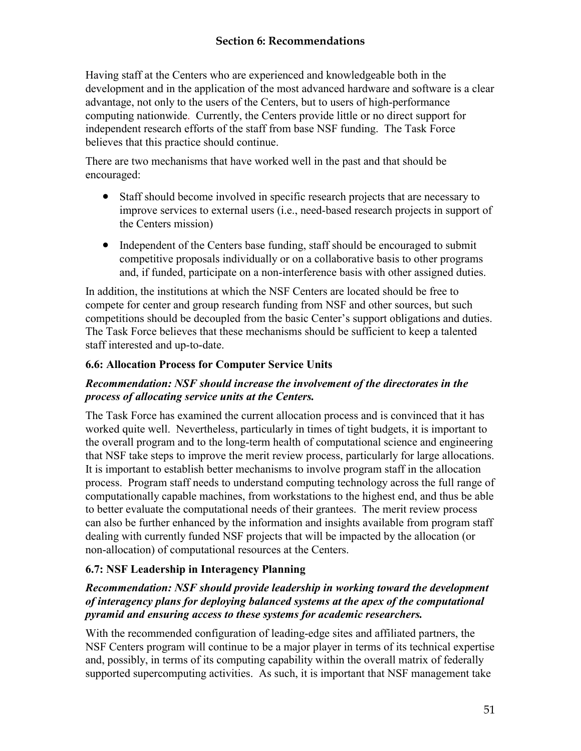## **Section 6: Recommendations**

Having staff at the Centers who are experienced and knowledgeable both in the development and in the application of the most advanced hardware and software is a clear advantage, not only to the users of the Centers, but to users of high-performance computing nationwide. Currently, the Centers provide little or no direct support for independent research efforts of the staff from base NSF funding. The Task Force believes that this practice should continue.

There are two mechanisms that have worked well in the past and that should be encouraged:

- Staff should become involved in specific research projects that are necessary to improve services to external users (i.e., need-based research projects in support of the Centers mission)
- Independent of the Centers base funding, staff should be encouraged to submit competitive proposals individually or on a collaborative basis to other programs and, if funded, participate on a non-interference basis with other assigned duties.

In addition, the institutions at which the NSF Centers are located should be free to compete for center and group research funding from NSF and other sources, but such competitions should be decoupled from the basic Center's support obligations and duties. The Task Force believes that these mechanisms should be sufficient to keep a talented staff interested and up-to-date.

# **6.6: Allocation Process for Computer Service Units**

## *Recommendation: NSF should increase the involvement of the directorates in the process of allocating service units at the Centers.*

The Task Force has examined the current allocation process and is convinced that it has worked quite well. Nevertheless, particularly in times of tight budgets, it is important to the overall program and to the long-term health of computational science and engineering that NSF take steps to improve the merit review process, particularly for large allocations. It is important to establish better mechanisms to involve program staff in the allocation process. Program staff needs to understand computing technology across the full range of computationally capable machines, from workstations to the highest end, and thus be able to better evaluate the computational needs of their grantees. The merit review process can also be further enhanced by the information and insights available from program staff dealing with currently funded NSF projects that will be impacted by the allocation (or non-allocation) of computational resources at the Centers.

# **6.7: NSF Leadership in Interagency Planning**

## *Recommendation: NSF should provide leadership in working toward the development of interagency plans for deploying balanced systems at the apex of the computational pyramid and ensuring access to these systems for academic researchers.*

With the recommended configuration of leading-edge sites and affiliated partners, the NSF Centers program will continue to be a major player in terms of its technical expertise and, possibly, in terms of its computing capability within the overall matrix of federally supported supercomputing activities. As such, it is important that NSF management take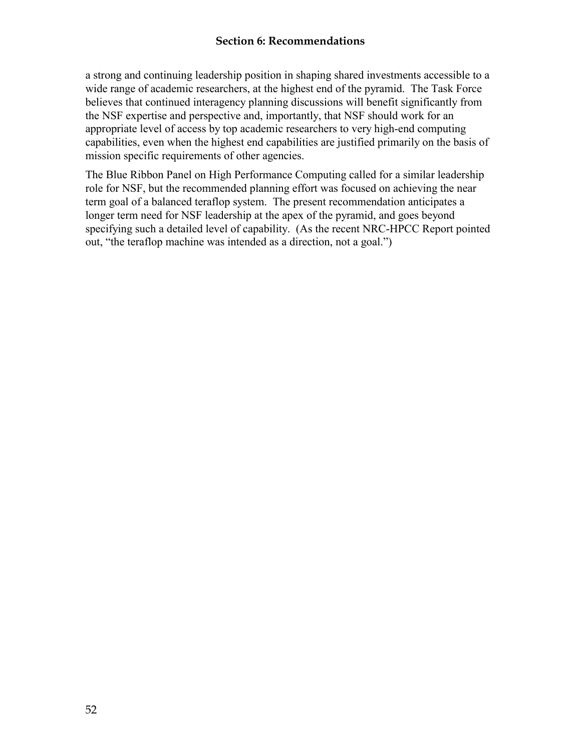#### **Section 6: Recommendations**

a strong and continuing leadership position in shaping shared investments accessible to a wide range of academic researchers, at the highest end of the pyramid. The Task Force believes that continued interagency planning discussions will benefit significantly from the NSF expertise and perspective and, importantly, that NSF should work for an appropriate level of access by top academic researchers to very high-end computing capabilities, even when the highest end capabilities are justified primarily on the basis of mission specific requirements of other agencies.

The Blue Ribbon Panel on High Performance Computing called for a similar leadership role for NSF, but the recommended planning effort was focused on achieving the near term goal of a balanced teraflop system. The present recommendation anticipates a longer term need for NSF leadership at the apex of the pyramid, and goes beyond specifying such a detailed level of capability. (As the recent NRC-HPCC Report pointed out, "the teraflop machine was intended as a direction, not a goal.")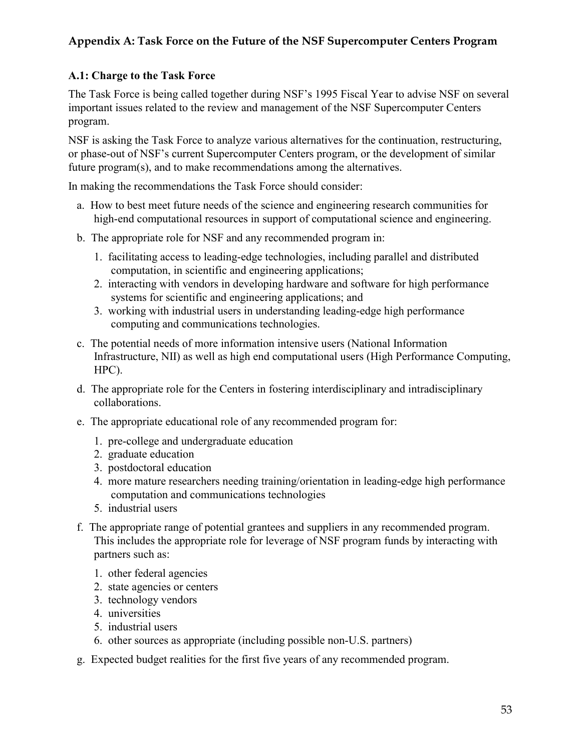# **Appendix A: Task Force on the Future of the NSF Supercomputer Centers Program**

## **A.1: Charge to the Task Force**

The Task Force is being called together during NSF's 1995 Fiscal Year to advise NSF on several important issues related to the review and management of the NSF Supercomputer Centers program.

NSF is asking the Task Force to analyze various alternatives for the continuation, restructuring, or phase-out of NSF's current Supercomputer Centers program, or the development of similar future program(s), and to make recommendations among the alternatives.

In making the recommendations the Task Force should consider:

- a. How to best meet future needs of the science and engineering research communities for high-end computational resources in support of computational science and engineering.
- b. The appropriate role for NSF and any recommended program in:
	- 1. facilitating access to leading-edge technologies, including parallel and distributed computation, in scientific and engineering applications;
	- 2. interacting with vendors in developing hardware and software for high performance systems for scientific and engineering applications; and
	- 3. working with industrial users in understanding leading-edge high performance computing and communications technologies.
- c. The potential needs of more information intensive users (National Information Infrastructure, NII) as well as high end computational users (High Performance Computing, HPC).
- d. The appropriate role for the Centers in fostering interdisciplinary and intradisciplinary collaborations.
- e. The appropriate educational role of any recommended program for:
	- 1. pre-college and undergraduate education
	- 2. graduate education
	- 3. postdoctoral education
	- 4. more mature researchers needing training/orientation in leading-edge high performance computation and communications technologies
	- 5. industrial users
- f. The appropriate range of potential grantees and suppliers in any recommended program. This includes the appropriate role for leverage of NSF program funds by interacting with partners such as:
	- 1. other federal agencies
	- 2. state agencies or centers
	- 3. technology vendors
	- 4. universities
	- 5. industrial users
	- 6. other sources as appropriate (including possible non-U.S. partners)
- g. Expected budget realities for the first five years of any recommended program.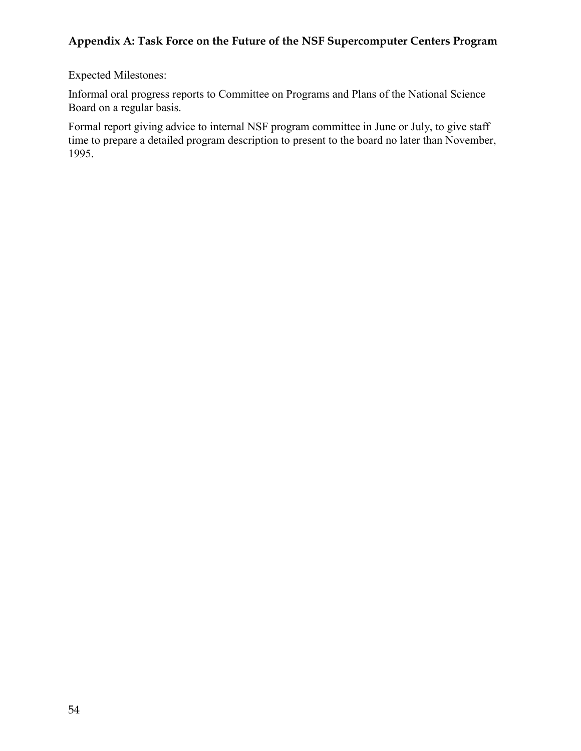# **Appendix A: Task Force on the Future of the NSF Supercomputer Centers Program**

Expected Milestones:

Informal oral progress reports to Committee on Programs and Plans of the National Science Board on a regular basis.

Formal report giving advice to internal NSF program committee in June or July, to give staff time to prepare a detailed program description to present to the board no later than November, 1995.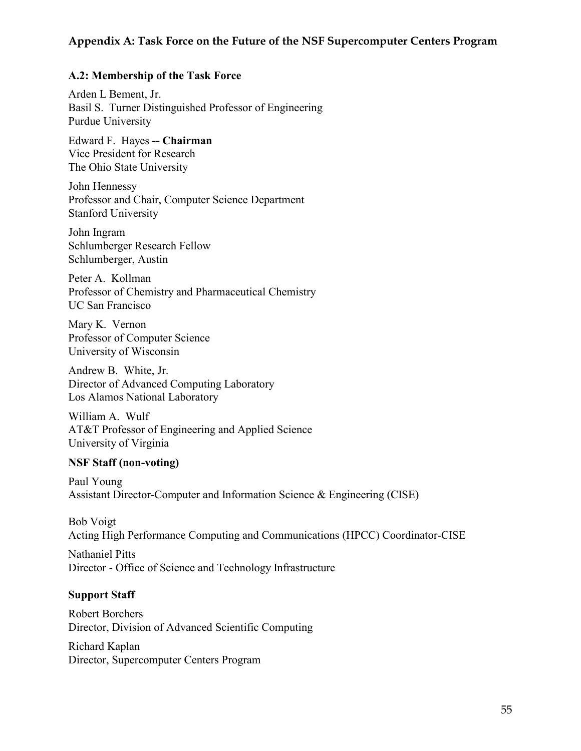### **Appendix A: Task Force on the Future of the NSF Supercomputer Centers Program**

#### **A.2: Membership of the Task Force**

Arden L Bement, Jr. Basil S. Turner Distinguished Professor of Engineering Purdue University

Edward F. Hayes **-- Chairman** Vice President for Research The Ohio State University

John Hennessy Professor and Chair, Computer Science Department Stanford University

John Ingram Schlumberger Research Fellow Schlumberger, Austin

Peter A. Kollman Professor of Chemistry and Pharmaceutical Chemistry UC San Francisco

Mary K. Vernon Professor of Computer Science University of Wisconsin

Andrew B. White, Jr. Director of Advanced Computing Laboratory Los Alamos National Laboratory

William A. Wulf AT&T Professor of Engineering and Applied Science University of Virginia

#### **NSF Staff (non-voting)**

Paul Young Assistant Director-Computer and Information Science & Engineering (CISE)

Bob Voigt Acting High Performance Computing and Communications (HPCC) Coordinator-CISE

Nathaniel Pitts Director - Office of Science and Technology Infrastructure

#### **Support Staff**

Robert Borchers Director, Division of Advanced Scientific Computing

Richard Kaplan Director, Supercomputer Centers Program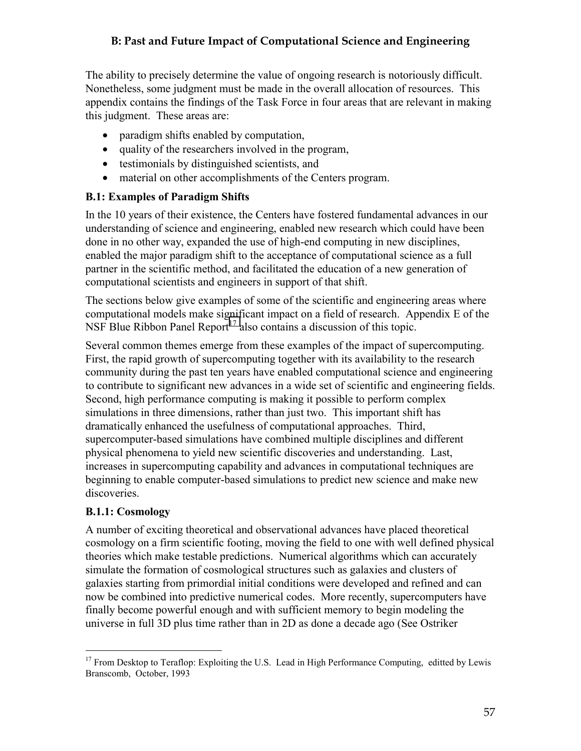The ability to precisely determine the value of ongoing research is notoriously difficult. Nonetheless, some judgment must be made in the overall allocation of resources. This appendix contains the findings of the Task Force in four areas that are relevant in making this judgment. These areas are:

- paradigm shifts enabled by computation,
- quality of the researchers involved in the program,
- testimonials by distinguished scientists, and
- material on other accomplishments of the Centers program.

## **B.1: Examples of Paradigm Shifts**

In the 10 years of their existence, the Centers have fostered fundamental advances in our understanding of science and engineering, enabled new research which could have been done in no other way, expanded the use of high-end computing in new disciplines, enabled the major paradigm shift to the acceptance of computational science as a full partner in the scientific method, and facilitated the education of a new generation of computational scientists and engineers in support of that shift.

The sections below give examples of some of the scientific and engineering areas where computational models make significant impact on a field of research. Appendix E of the NSF Blue Ribbon Panel Report<sup>17</sup> also contains a discussion of this topic.

Several common themes emerge from these examples of the impact of supercomputing. First, the rapid growth of supercomputing together with its availability to the research community during the past ten years have enabled computational science and engineering to contribute to significant new advances in a wide set of scientific and engineering fields. Second, high performance computing is making it possible to perform complex simulations in three dimensions, rather than just two. This important shift has dramatically enhanced the usefulness of computational approaches. Third, supercomputer-based simulations have combined multiple disciplines and different physical phenomena to yield new scientific discoveries and understanding. Last, increases in supercomputing capability and advances in computational techniques are beginning to enable computer-based simulations to predict new science and make new discoveries.

## **B.1.1: Cosmology**

 $\overline{a}$ 

A number of exciting theoretical and observational advances have placed theoretical cosmology on a firm scientific footing, moving the field to one with well defined physical theories which make testable predictions. Numerical algorithms which can accurately simulate the formation of cosmological structures such as galaxies and clusters of galaxies starting from primordial initial conditions were developed and refined and can now be combined into predictive numerical codes. More recently, supercomputers have finally become powerful enough and with sufficient memory to begin modeling the universe in full 3D plus time rather than in 2D as done a decade ago (See Ostriker

<sup>&</sup>lt;sup>17</sup> From Desktop to Teraflop: Exploiting the U.S. Lead in High Performance Computing, editted by Lewis Branscomb, October, 1993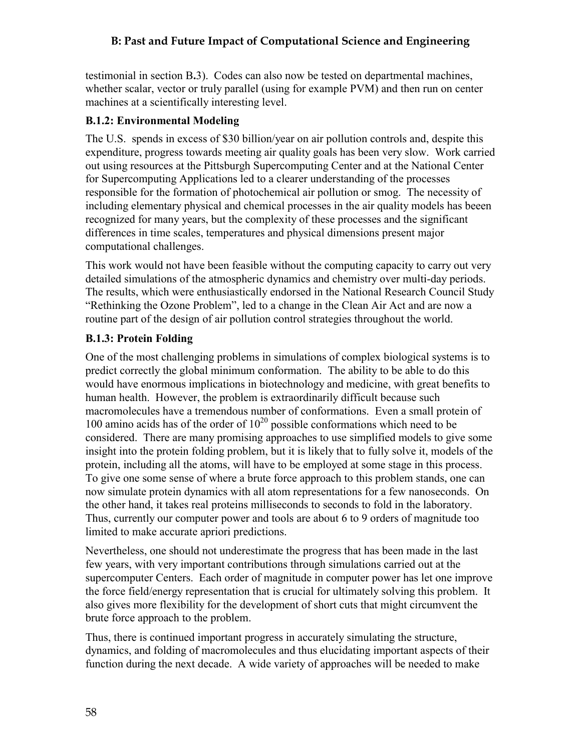testimonial in section B**.**3). Codes can also now be tested on departmental machines, whether scalar, vector or truly parallel (using for example PVM) and then run on center machines at a scientifically interesting level.

#### **B.1.2: Environmental Modeling**

The U.S. spends in excess of \$30 billion/year on air pollution controls and, despite this expenditure, progress towards meeting air quality goals has been very slow. Work carried out using resources at the Pittsburgh Supercomputing Center and at the National Center for Supercomputing Applications led to a clearer understanding of the processes responsible for the formation of photochemical air pollution or smog. The necessity of including elementary physical and chemical processes in the air quality models has beeen recognized for many years, but the complexity of these processes and the significant differences in time scales, temperatures and physical dimensions present major computational challenges.

This work would not have been feasible without the computing capacity to carry out very detailed simulations of the atmospheric dynamics and chemistry over multi-day periods. The results, which were enthusiastically endorsed in the National Research Council Study "Rethinking the Ozone Problem", led to a change in the Clean Air Act and are now a routine part of the design of air pollution control strategies throughout the world.

### **B.1.3: Protein Folding**

One of the most challenging problems in simulations of complex biological systems is to predict correctly the global minimum conformation. The ability to be able to do this would have enormous implications in biotechnology and medicine, with great benefits to human health. However, the problem is extraordinarily difficult because such macromolecules have a tremendous number of conformations. Even a small protein of 100 amino acids has of the order of  $10^{20}$  possible conformations which need to be considered. There are many promising approaches to use simplified models to give some insight into the protein folding problem, but it is likely that to fully solve it, models of the protein, including all the atoms, will have to be employed at some stage in this process. To give one some sense of where a brute force approach to this problem stands, one can now simulate protein dynamics with all atom representations for a few nanoseconds. On the other hand, it takes real proteins milliseconds to seconds to fold in the laboratory. Thus, currently our computer power and tools are about 6 to 9 orders of magnitude too limited to make accurate apriori predictions.

Nevertheless, one should not underestimate the progress that has been made in the last few years, with very important contributions through simulations carried out at the supercomputer Centers. Each order of magnitude in computer power has let one improve the force field/energy representation that is crucial for ultimately solving this problem. It also gives more flexibility for the development of short cuts that might circumvent the brute force approach to the problem.

Thus, there is continued important progress in accurately simulating the structure, dynamics, and folding of macromolecules and thus elucidating important aspects of their function during the next decade. A wide variety of approaches will be needed to make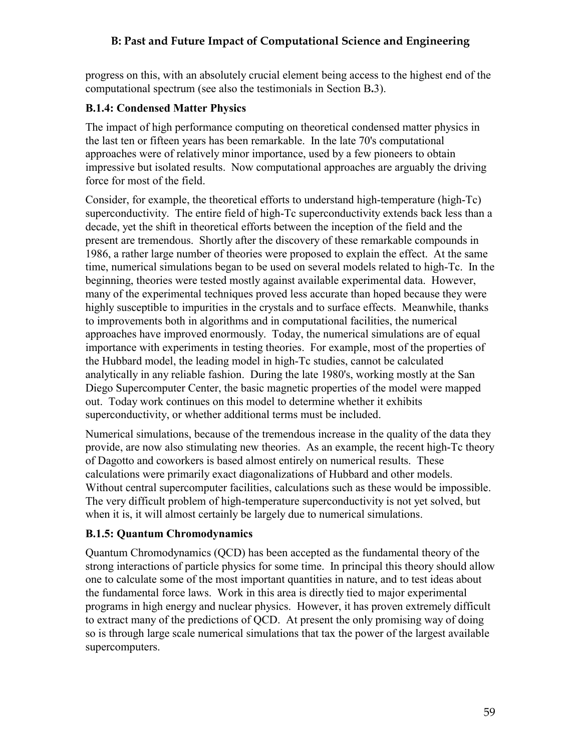progress on this, with an absolutely crucial element being access to the highest end of the computational spectrum (see also the testimonials in Section B**.**3).

### **B.1.4: Condensed Matter Physics**

The impact of high performance computing on theoretical condensed matter physics in the last ten or fifteen years has been remarkable. In the late 70's computational approaches were of relatively minor importance, used by a few pioneers to obtain impressive but isolated results. Now computational approaches are arguably the driving force for most of the field.

Consider, for example, the theoretical efforts to understand high-temperature (high-Tc) superconductivity. The entire field of high-Tc superconductivity extends back less than a decade, yet the shift in theoretical efforts between the inception of the field and the present are tremendous. Shortly after the discovery of these remarkable compounds in 1986, a rather large number of theories were proposed to explain the effect. At the same time, numerical simulations began to be used on several models related to high-Tc. In the beginning, theories were tested mostly against available experimental data. However, many of the experimental techniques proved less accurate than hoped because they were highly susceptible to impurities in the crystals and to surface effects. Meanwhile, thanks to improvements both in algorithms and in computational facilities, the numerical approaches have improved enormously. Today, the numerical simulations are of equal importance with experiments in testing theories. For example, most of the properties of the Hubbard model, the leading model in high-Tc studies, cannot be calculated analytically in any reliable fashion. During the late 1980's, working mostly at the San Diego Supercomputer Center, the basic magnetic properties of the model were mapped out. Today work continues on this model to determine whether it exhibits superconductivity, or whether additional terms must be included.

Numerical simulations, because of the tremendous increase in the quality of the data they provide, are now also stimulating new theories. As an example, the recent high-Tc theory of Dagotto and coworkers is based almost entirely on numerical results. These calculations were primarily exact diagonalizations of Hubbard and other models. Without central supercomputer facilities, calculations such as these would be impossible. The very difficult problem of high-temperature superconductivity is not yet solved, but when it is, it will almost certainly be largely due to numerical simulations.

## **B.1.5: Quantum Chromodynamics**

Quantum Chromodynamics (QCD) has been accepted as the fundamental theory of the strong interactions of particle physics for some time. In principal this theory should allow one to calculate some of the most important quantities in nature, and to test ideas about the fundamental force laws. Work in this area is directly tied to major experimental programs in high energy and nuclear physics. However, it has proven extremely difficult to extract many of the predictions of QCD. At present the only promising way of doing so is through large scale numerical simulations that tax the power of the largest available supercomputers.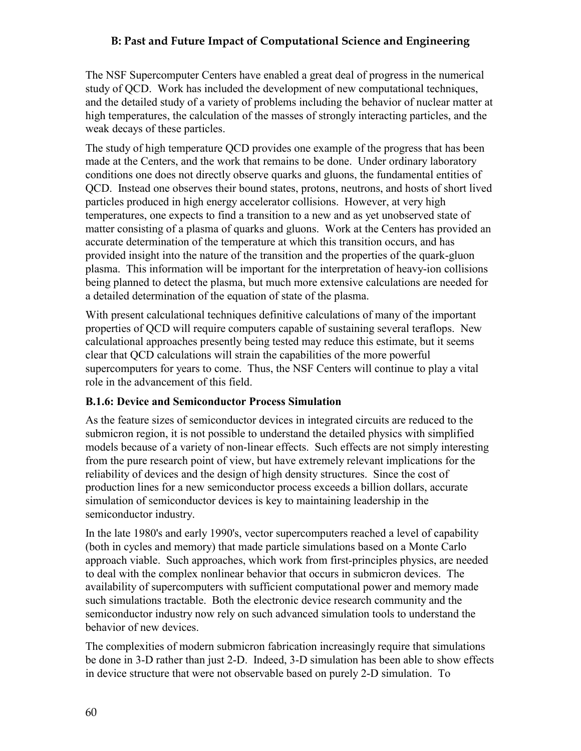The NSF Supercomputer Centers have enabled a great deal of progress in the numerical study of QCD. Work has included the development of new computational techniques, and the detailed study of a variety of problems including the behavior of nuclear matter at high temperatures, the calculation of the masses of strongly interacting particles, and the weak decays of these particles.

The study of high temperature QCD provides one example of the progress that has been made at the Centers, and the work that remains to be done. Under ordinary laboratory conditions one does not directly observe quarks and gluons, the fundamental entities of QCD. Instead one observes their bound states, protons, neutrons, and hosts of short lived particles produced in high energy accelerator collisions. However, at very high temperatures, one expects to find a transition to a new and as yet unobserved state of matter consisting of a plasma of quarks and gluons. Work at the Centers has provided an accurate determination of the temperature at which this transition occurs, and has provided insight into the nature of the transition and the properties of the quark-gluon plasma. This information will be important for the interpretation of heavy-ion collisions being planned to detect the plasma, but much more extensive calculations are needed for a detailed determination of the equation of state of the plasma.

With present calculational techniques definitive calculations of many of the important properties of QCD will require computers capable of sustaining several teraflops. New calculational approaches presently being tested may reduce this estimate, but it seems clear that QCD calculations will strain the capabilities of the more powerful supercomputers for years to come. Thus, the NSF Centers will continue to play a vital role in the advancement of this field.

#### **B.1.6: Device and Semiconductor Process Simulation**

As the feature sizes of semiconductor devices in integrated circuits are reduced to the submicron region, it is not possible to understand the detailed physics with simplified models because of a variety of non-linear effects. Such effects are not simply interesting from the pure research point of view, but have extremely relevant implications for the reliability of devices and the design of high density structures. Since the cost of production lines for a new semiconductor process exceeds a billion dollars, accurate simulation of semiconductor devices is key to maintaining leadership in the semiconductor industry.

In the late 1980's and early 1990's, vector supercomputers reached a level of capability (both in cycles and memory) that made particle simulations based on a Monte Carlo approach viable. Such approaches, which work from first-principles physics, are needed to deal with the complex nonlinear behavior that occurs in submicron devices. The availability of supercomputers with sufficient computational power and memory made such simulations tractable. Both the electronic device research community and the semiconductor industry now rely on such advanced simulation tools to understand the behavior of new devices.

The complexities of modern submicron fabrication increasingly require that simulations be done in 3-D rather than just 2-D. Indeed, 3-D simulation has been able to show effects in device structure that were not observable based on purely 2-D simulation. To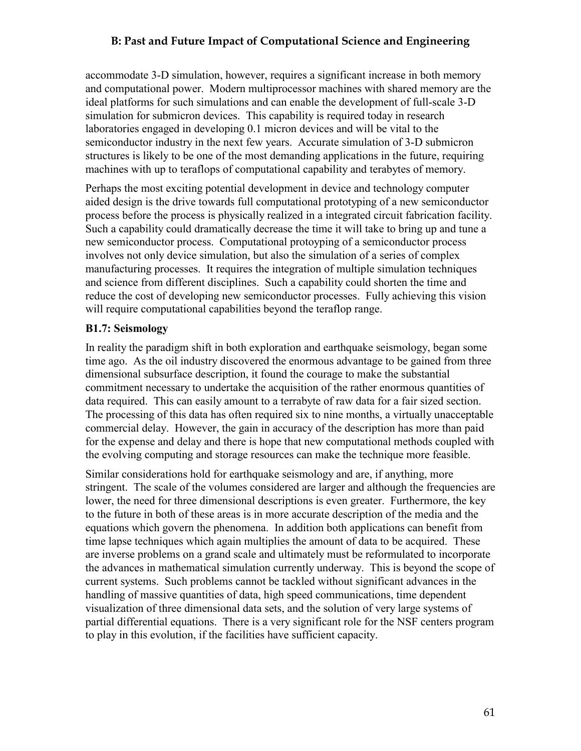# **B: Past and Future Impact of Computational Science and Engineering**

accommodate 3-D simulation, however, requires a significant increase in both memory and computational power. Modern multiprocessor machines with shared memory are the ideal platforms for such simulations and can enable the development of full-scale 3-D simulation for submicron devices. This capability is required today in research laboratories engaged in developing 0.1 micron devices and will be vital to the semiconductor industry in the next few years. Accurate simulation of 3-D submicron structures is likely to be one of the most demanding applications in the future, requiring machines with up to teraflops of computational capability and terabytes of memory.

Perhaps the most exciting potential development in device and technology computer aided design is the drive towards full computational prototyping of a new semiconductor process before the process is physically realized in a integrated circuit fabrication facility. Such a capability could dramatically decrease the time it will take to bring up and tune a new semiconductor process. Computational protoyping of a semiconductor process involves not only device simulation, but also the simulation of a series of complex manufacturing processes. It requires the integration of multiple simulation techniques and science from different disciplines. Such a capability could shorten the time and reduce the cost of developing new semiconductor processes. Fully achieving this vision will require computational capabilities beyond the teraflop range.

#### **B1.7: Seismology**

In reality the paradigm shift in both exploration and earthquake seismology, began some time ago. As the oil industry discovered the enormous advantage to be gained from three dimensional subsurface description, it found the courage to make the substantial commitment necessary to undertake the acquisition of the rather enormous quantities of data required. This can easily amount to a terrabyte of raw data for a fair sized section. The processing of this data has often required six to nine months, a virtually unacceptable commercial delay. However, the gain in accuracy of the description has more than paid for the expense and delay and there is hope that new computational methods coupled with the evolving computing and storage resources can make the technique more feasible.

Similar considerations hold for earthquake seismology and are, if anything, more stringent. The scale of the volumes considered are larger and although the frequencies are lower, the need for three dimensional descriptions is even greater. Furthermore, the key to the future in both of these areas is in more accurate description of the media and the equations which govern the phenomena. In addition both applications can benefit from time lapse techniques which again multiplies the amount of data to be acquired. These are inverse problems on a grand scale and ultimately must be reformulated to incorporate the advances in mathematical simulation currently underway. This is beyond the scope of current systems. Such problems cannot be tackled without significant advances in the handling of massive quantities of data, high speed communications, time dependent visualization of three dimensional data sets, and the solution of very large systems of partial differential equations. There is a very significant role for the NSF centers program to play in this evolution, if the facilities have sufficient capacity.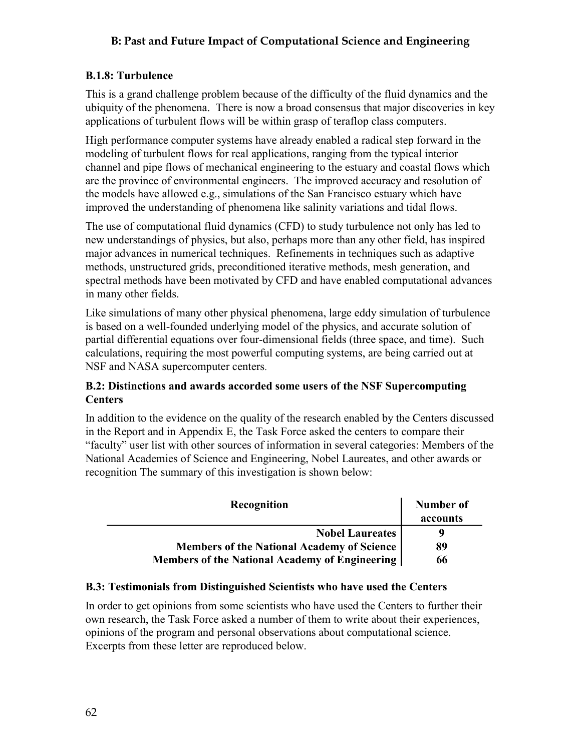# **B: Past and Future Impact of Computational Science and Engineering**

# **B.1.8: Turbulence**

This is a grand challenge problem because of the difficulty of the fluid dynamics and the ubiquity of the phenomena. There is now a broad consensus that major discoveries in key applications of turbulent flows will be within grasp of teraflop class computers.

High performance computer systems have already enabled a radical step forward in the modeling of turbulent flows for real applications, ranging from the typical interior channel and pipe flows of mechanical engineering to the estuary and coastal flows which are the province of environmental engineers. The improved accuracy and resolution of the models have allowed e.g., simulations of the San Francisco estuary which have improved the understanding of phenomena like salinity variations and tidal flows.

The use of computational fluid dynamics (CFD) to study turbulence not only has led to new understandings of physics, but also, perhaps more than any other field, has inspired major advances in numerical techniques. Refinements in techniques such as adaptive methods, unstructured grids, preconditioned iterative methods, mesh generation, and spectral methods have been motivated by CFD and have enabled computational advances in many other fields.

Like simulations of many other physical phenomena, large eddy simulation of turbulence is based on a well-founded underlying model of the physics, and accurate solution of partial differential equations over four-dimensional fields (three space, and time). Such calculations, requiring the most powerful computing systems, are being carried out at NSF and NASA supercomputer centers.

# **B.2: Distinctions and awards accorded some users of the NSF Supercomputing Centers**

In addition to the evidence on the quality of the research enabled by the Centers discussed in the Report and in Appendix E, the Task Force asked the centers to compare their "faculty" user list with other sources of information in several categories: Members of the National Academies of Science and Engineering, Nobel Laureates, and other awards or recognition The summary of this investigation is shown below:

| Recognition                                       | <b>Number of</b><br>accounts |
|---------------------------------------------------|------------------------------|
| <b>Nobel Laureates</b>                            |                              |
| <b>Members of the National Academy of Science</b> | 89                           |
| Members of the National Academy of Engineering    | 66                           |

# **B.3: Testimonials from Distinguished Scientists who have used the Centers**

In order to get opinions from some scientists who have used the Centers to further their own research, the Task Force asked a number of them to write about their experiences, opinions of the program and personal observations about computational science. Excerpts from these letter are reproduced below.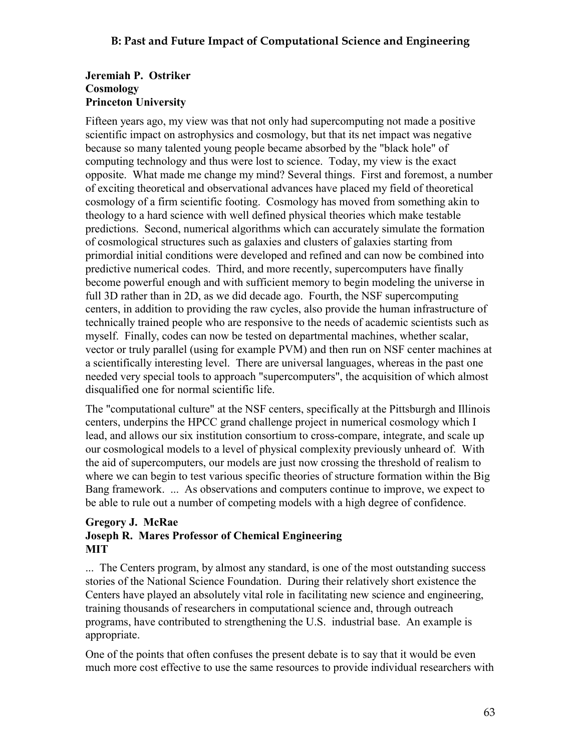# **Jeremiah P. Ostriker Cosmology Princeton University**

Fifteen years ago, my view was that not only had supercomputing not made a positive scientific impact on astrophysics and cosmology, but that its net impact was negative because so many talented young people became absorbed by the "black hole" of computing technology and thus were lost to science. Today, my view is the exact opposite. What made me change my mind? Several things. First and foremost, a number of exciting theoretical and observational advances have placed my field of theoretical cosmology of a firm scientific footing. Cosmology has moved from something akin to theology to a hard science with well defined physical theories which make testable predictions. Second, numerical algorithms which can accurately simulate the formation of cosmological structures such as galaxies and clusters of galaxies starting from primordial initial conditions were developed and refined and can now be combined into predictive numerical codes. Third, and more recently, supercomputers have finally become powerful enough and with sufficient memory to begin modeling the universe in full 3D rather than in 2D, as we did decade ago. Fourth, the NSF supercomputing centers, in addition to providing the raw cycles, also provide the human infrastructure of technically trained people who are responsive to the needs of academic scientists such as myself. Finally, codes can now be tested on departmental machines, whether scalar, vector or truly parallel (using for example PVM) and then run on NSF center machines at a scientifically interesting level. There are universal languages, whereas in the past one needed very special tools to approach "supercomputers", the acquisition of which almost disqualified one for normal scientific life.

The "computational culture" at the NSF centers, specifically at the Pittsburgh and Illinois centers, underpins the HPCC grand challenge project in numerical cosmology which I lead, and allows our six institution consortium to cross-compare, integrate, and scale up our cosmological models to a level of physical complexity previously unheard of. With the aid of supercomputers, our models are just now crossing the threshold of realism to where we can begin to test various specific theories of structure formation within the Big Bang framework. ... As observations and computers continue to improve, we expect to be able to rule out a number of competing models with a high degree of confidence.

#### **Gregory J. McRae Joseph R. Mares Professor of Chemical Engineering MIT**

... The Centers program, by almost any standard, is one of the most outstanding success stories of the National Science Foundation. During their relatively short existence the Centers have played an absolutely vital role in facilitating new science and engineering, training thousands of researchers in computational science and, through outreach programs, have contributed to strengthening the U.S. industrial base. An example is appropriate.

One of the points that often confuses the present debate is to say that it would be even much more cost effective to use the same resources to provide individual researchers with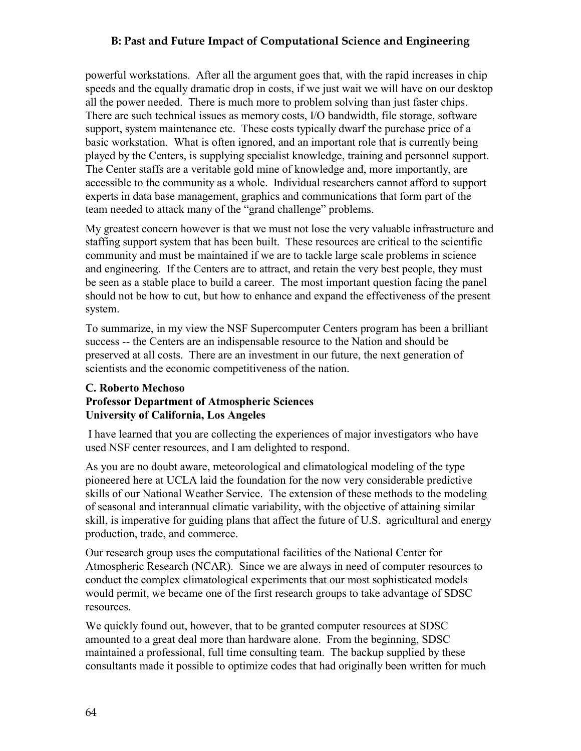# **B: Past and Future Impact of Computational Science and Engineering**

powerful workstations. After all the argument goes that, with the rapid increases in chip speeds and the equally dramatic drop in costs, if we just wait we will have on our desktop all the power needed. There is much more to problem solving than just faster chips. There are such technical issues as memory costs, I/O bandwidth, file storage, software support, system maintenance etc. These costs typically dwarf the purchase price of a basic workstation. What is often ignored, and an important role that is currently being played by the Centers, is supplying specialist knowledge, training and personnel support. The Center staffs are a veritable gold mine of knowledge and, more importantly, are accessible to the community as a whole. Individual researchers cannot afford to support experts in data base management, graphics and communications that form part of the team needed to attack many of the "grand challenge" problems.

My greatest concern however is that we must not lose the very valuable infrastructure and staffing support system that has been built. These resources are critical to the scientific community and must be maintained if we are to tackle large scale problems in science and engineering. If the Centers are to attract, and retain the very best people, they must be seen as a stable place to build a career. The most important question facing the panel should not be how to cut, but how to enhance and expand the effectiveness of the present system.

To summarize, in my view the NSF Supercomputer Centers program has been a brilliant success -- the Centers are an indispensable resource to the Nation and should be preserved at all costs. There are an investment in our future, the next generation of scientists and the economic competitiveness of the nation.

# **C. Roberto Mechoso Professor Department of Atmospheric Sciences University of California, Los Angeles**

 I have learned that you are collecting the experiences of major investigators who have used NSF center resources, and I am delighted to respond.

As you are no doubt aware, meteorological and climatological modeling of the type pioneered here at UCLA laid the foundation for the now very considerable predictive skills of our National Weather Service. The extension of these methods to the modeling of seasonal and interannual climatic variability, with the objective of attaining similar skill, is imperative for guiding plans that affect the future of U.S. agricultural and energy production, trade, and commerce.

Our research group uses the computational facilities of the National Center for Atmospheric Research (NCAR). Since we are always in need of computer resources to conduct the complex climatological experiments that our most sophisticated models would permit, we became one of the first research groups to take advantage of SDSC resources.

We quickly found out, however, that to be granted computer resources at SDSC amounted to a great deal more than hardware alone. From the beginning, SDSC maintained a professional, full time consulting team. The backup supplied by these consultants made it possible to optimize codes that had originally been written for much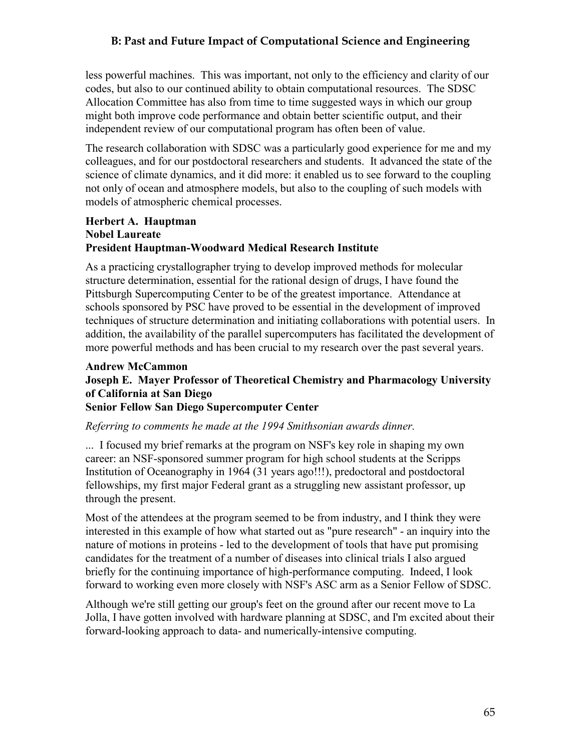# **B: Past and Future Impact of Computational Science and Engineering**

less powerful machines. This was important, not only to the efficiency and clarity of our codes, but also to our continued ability to obtain computational resources. The SDSC Allocation Committee has also from time to time suggested ways in which our group might both improve code performance and obtain better scientific output, and their independent review of our computational program has often been of value.

The research collaboration with SDSC was a particularly good experience for me and my colleagues, and for our postdoctoral researchers and students. It advanced the state of the science of climate dynamics, and it did more: it enabled us to see forward to the coupling not only of ocean and atmosphere models, but also to the coupling of such models with models of atmospheric chemical processes.

#### **Herbert A. Hauptman Nobel Laureate President Hauptman-Woodward Medical Research Institute**

As a practicing crystallographer trying to develop improved methods for molecular structure determination, essential for the rational design of drugs, I have found the Pittsburgh Supercomputing Center to be of the greatest importance. Attendance at schools sponsored by PSC have proved to be essential in the development of improved techniques of structure determination and initiating collaborations with potential users. In addition, the availability of the parallel supercomputers has facilitated the development of more powerful methods and has been crucial to my research over the past several years.

#### **Andrew McCammon**

# **Joseph E. Mayer Professor of Theoretical Chemistry and Pharmacology University of California at San Diego**

### **Senior Fellow San Diego Supercomputer Center**

#### *Referring to comments he made at the 1994 Smithsonian awards dinner.*

... I focused my brief remarks at the program on NSF's key role in shaping my own career: an NSF-sponsored summer program for high school students at the Scripps Institution of Oceanography in 1964 (31 years ago!!!), predoctoral and postdoctoral fellowships, my first major Federal grant as a struggling new assistant professor, up through the present.

Most of the attendees at the program seemed to be from industry, and I think they were interested in this example of how what started out as "pure research" - an inquiry into the nature of motions in proteins - led to the development of tools that have put promising candidates for the treatment of a number of diseases into clinical trials I also argued briefly for the continuing importance of high-performance computing. Indeed, I look forward to working even more closely with NSF's ASC arm as a Senior Fellow of SDSC.

Although we're still getting our group's feet on the ground after our recent move to La Jolla, I have gotten involved with hardware planning at SDSC, and I'm excited about their forward-looking approach to data- and numerically-intensive computing.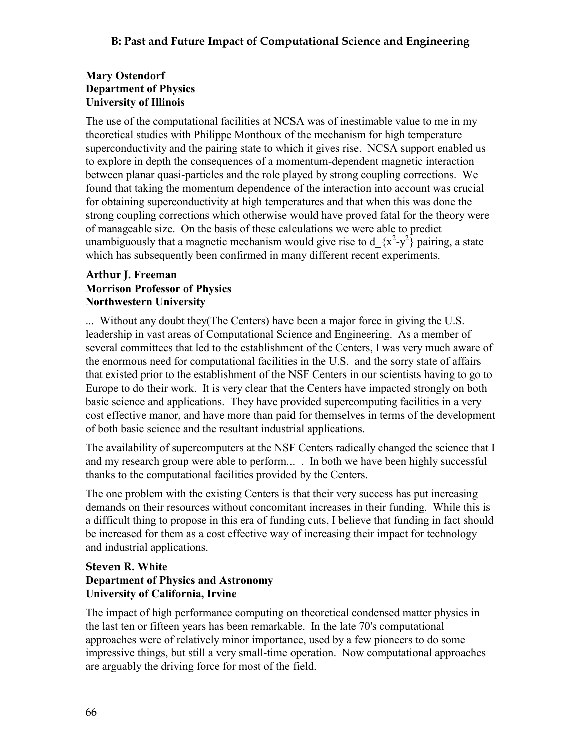# **Mary Ostendorf Department of Physics University of Illinois**

The use of the computational facilities at NCSA was of inestimable value to me in my theoretical studies with Philippe Monthoux of the mechanism for high temperature superconductivity and the pairing state to which it gives rise. NCSA support enabled us to explore in depth the consequences of a momentum-dependent magnetic interaction between planar quasi-particles and the role played by strong coupling corrections. We found that taking the momentum dependence of the interaction into account was crucial for obtaining superconductivity at high temperatures and that when this was done the strong coupling corrections which otherwise would have proved fatal for the theory were of manageable size. On the basis of these calculations we were able to predict unambiguously that a magnetic mechanism would give rise to  $d_{x}^{2}-y^{2}$  pairing, a state which has subsequently been confirmed in many different recent experiments.

# **Arthur J. Freeman Morrison Professor of Physics Northwestern University**

... Without any doubt they(The Centers) have been a major force in giving the U.S. leadership in vast areas of Computational Science and Engineering. As a member of several committees that led to the establishment of the Centers, I was very much aware of the enormous need for computational facilities in the U.S. and the sorry state of affairs that existed prior to the establishment of the NSF Centers in our scientists having to go to Europe to do their work. It is very clear that the Centers have impacted strongly on both basic science and applications. They have provided supercomputing facilities in a very cost effective manor, and have more than paid for themselves in terms of the development of both basic science and the resultant industrial applications.

The availability of supercomputers at the NSF Centers radically changed the science that I and my research group were able to perform... . In both we have been highly successful thanks to the computational facilities provided by the Centers.

The one problem with the existing Centers is that their very success has put increasing demands on their resources without concomitant increases in their funding. While this is a difficult thing to propose in this era of funding cuts, I believe that funding in fact should be increased for them as a cost effective way of increasing their impact for technology and industrial applications.

# **Steven R. White Department of Physics and Astronomy University of California, Irvine**

The impact of high performance computing on theoretical condensed matter physics in the last ten or fifteen years has been remarkable. In the late 70's computational approaches were of relatively minor importance, used by a few pioneers to do some impressive things, but still a very small-time operation. Now computational approaches are arguably the driving force for most of the field.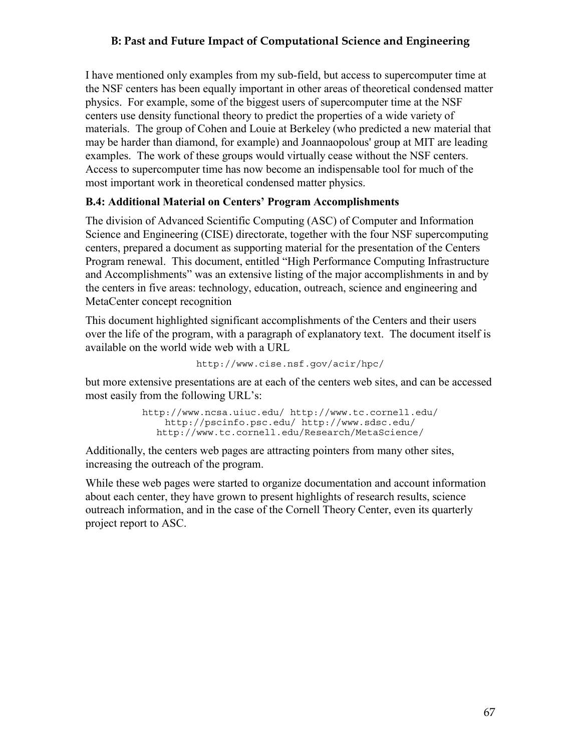# **B: Past and Future Impact of Computational Science and Engineering**

I have mentioned only examples from my sub-field, but access to supercomputer time at the NSF centers has been equally important in other areas of theoretical condensed matter physics. For example, some of the biggest users of supercomputer time at the NSF centers use density functional theory to predict the properties of a wide variety of materials. The group of Cohen and Louie at Berkeley (who predicted a new material that may be harder than diamond, for example) and Joannaopolous' group at MIT are leading examples. The work of these groups would virtually cease without the NSF centers. Access to supercomputer time has now become an indispensable tool for much of the most important work in theoretical condensed matter physics.

# **B.4: Additional Material on Centers' Program Accomplishments**

The division of Advanced Scientific Computing (ASC) of Computer and Information Science and Engineering (CISE) directorate, together with the four NSF supercomputing centers, prepared a document as supporting material for the presentation of the Centers Program renewal. This document, entitled "High Performance Computing Infrastructure and Accomplishments" was an extensive listing of the major accomplishments in and by the centers in five areas: technology, education, outreach, science and engineering and MetaCenter concept recognition

This document highlighted significant accomplishments of the Centers and their users over the life of the program, with a paragraph of explanatory text. The document itself is available on the world wide web with a URL

http://www.cise.nsf.gov/acir/hpc/

but more extensive presentations are at each of the centers web sites, and can be accessed most easily from the following URL's:

```
http://www.ncsa.uiuc.edu/ http://www.tc.cornell.edu/
    http://pscinfo.psc.edu/ http://www.sdsc.edu/
  http://www.tc.cornell.edu/Research/MetaScience/
```
Additionally, the centers web pages are attracting pointers from many other sites, increasing the outreach of the program.

While these web pages were started to organize documentation and account information about each center, they have grown to present highlights of research results, science outreach information, and in the case of the Cornell Theory Center, even its quarterly project report to ASC.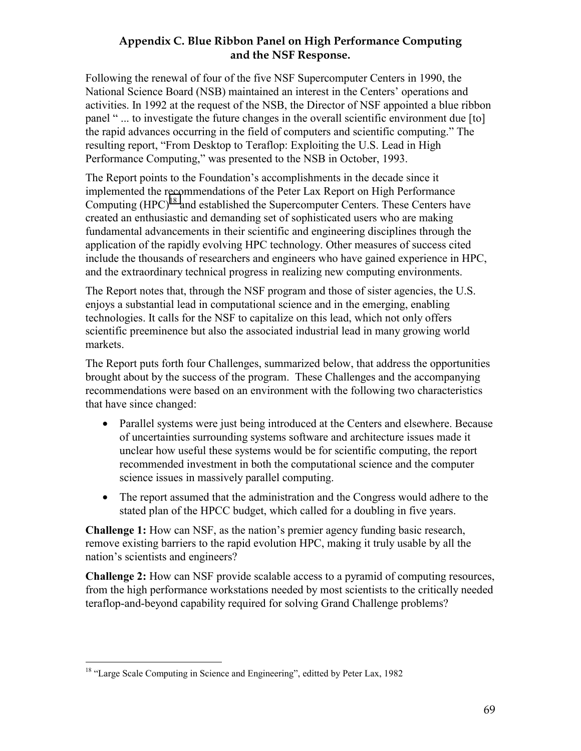# **Appendix C. Blue Ribbon Panel on High Performance Computing and the NSF Response.**

Following the renewal of four of the five NSF Supercomputer Centers in 1990, the National Science Board (NSB) maintained an interest in the Centers' operations and activities. In 1992 at the request of the NSB, the Director of NSF appointed a blue ribbon panel " ... to investigate the future changes in the overall scientific environment due [to] the rapid advances occurring in the field of computers and scientific computing." The resulting report, "From Desktop to Teraflop: Exploiting the U.S. Lead in High Performance Computing," was presented to the NSB in October, 1993.

The Report points to the Foundation's accomplishments in the decade since it implemented the recommendations of the Peter Lax Report on High Performance Computing  $(HPC)^{18}$  and established the Supercomputer Centers. These Centers have created an enthusiastic and demanding set of sophisticated users who are making fundamental advancements in their scientific and engineering disciplines through the application of the rapidly evolving HPC technology. Other measures of success cited include the thousands of researchers and engineers who have gained experience in HPC, and the extraordinary technical progress in realizing new computing environments.

The Report notes that, through the NSF program and those of sister agencies, the U.S. enjoys a substantial lead in computational science and in the emerging, enabling technologies. It calls for the NSF to capitalize on this lead, which not only offers scientific preeminence but also the associated industrial lead in many growing world markets.

The Report puts forth four Challenges, summarized below, that address the opportunities brought about by the success of the program. These Challenges and the accompanying recommendations were based on an environment with the following two characteristics that have since changed:

- Parallel systems were just being introduced at the Centers and elsewhere. Because of uncertainties surrounding systems software and architecture issues made it unclear how useful these systems would be for scientific computing, the report recommended investment in both the computational science and the computer science issues in massively parallel computing.
- The report assumed that the administration and the Congress would adhere to the stated plan of the HPCC budget, which called for a doubling in five years.

**Challenge 1:** How can NSF, as the nation's premier agency funding basic research, remove existing barriers to the rapid evolution HPC, making it truly usable by all the nation's scientists and engineers?

**Challenge 2:** How can NSF provide scalable access to a pyramid of computing resources, from the high performance workstations needed by most scientists to the critically needed teraflop-and-beyond capability required for solving Grand Challenge problems?

 $\overline{a}$ 

<sup>&</sup>lt;sup>18</sup> "Large Scale Computing in Science and Engineering", editted by Peter Lax, 1982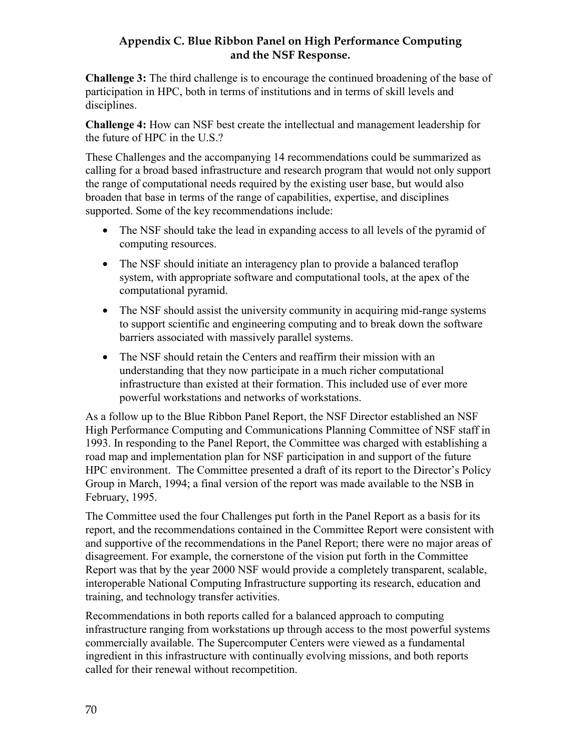# **Appendix C. Blue Ribbon Panel on High Performance Computing and the NSF Response.**

**Challenge 3:** The third challenge is to encourage the continued broadening of the base of participation in HPC, both in terms of institutions and in terms of skill levels and disciplines.

**Challenge 4:** How can NSF best create the intellectual and management leadership for the future of HPC in the U.S.?

These Challenges and the accompanying 14 recommendations could be summarized as calling for a broad based infrastructure and research program that would not only support the range of computational needs required by the existing user base, but would also broaden that base in terms of the range of capabilities, expertise, and disciplines supported. Some of the key recommendations include:

- The NSF should take the lead in expanding access to all levels of the pyramid of computing resources.
- The NSF should initiate an interagency plan to provide a balanced teraflop system, with appropriate software and computational tools, at the apex of the computational pyramid.
- The NSF should assist the university community in acquiring mid-range systems to support scientific and engineering computing and to break down the software barriers associated with massively parallel systems.
- The NSF should retain the Centers and reaffirm their mission with an understanding that they now participate in a much richer computational infrastructure than existed at their formation. This included use of ever more powerful workstations and networks of workstations.

As a follow up to the Blue Ribbon Panel Report, the NSF Director established an NSF High Performance Computing and Communications Planning Committee of NSF staff in 1993. In responding to the Panel Report, the Committee was charged with establishing a road map and implementation plan for NSF participation in and support of the future HPC environment. The Committee presented a draft of its report to the Director's Policy Group in March, 1994; a final version of the report was made available to the NSB in February, 1995.

The Committee used the four Challenges put forth in the Panel Report as a basis for its report, and the recommendations contained in the Committee Report were consistent with and supportive of the recommendations in the Panel Report; there were no major areas of disagreement. For example, the cornerstone of the vision put forth in the Committee Report was that by the year 2000 NSF would provide a completely transparent, scalable, interoperable National Computing Infrastructure supporting its research, education and training, and technology transfer activities.

Recommendations in both reports called for a balanced approach to computing infrastructure ranging from workstations up through access to the most powerful systems commercially available. The Supercomputer Centers were viewed as a fundamental ingredient in this infrastructure with continually evolving missions, and both reports called for their renewal without recompetition.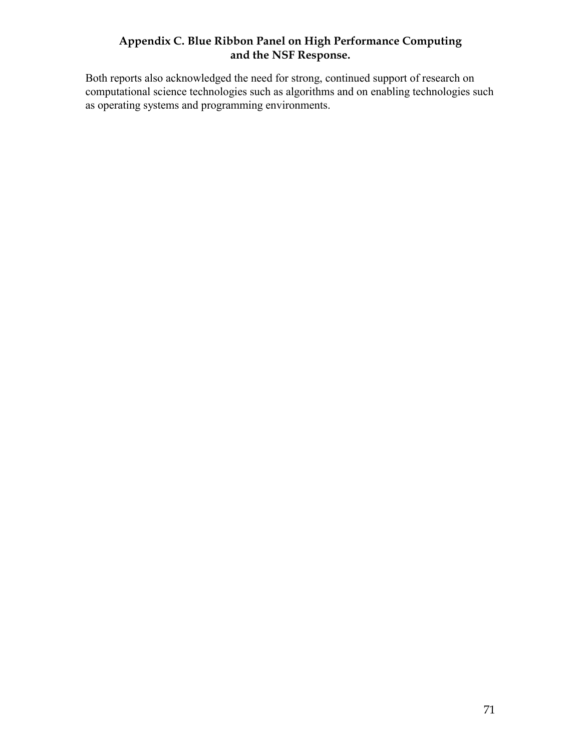# **Appendix C. Blue Ribbon Panel on High Performance Computing and the NSF Response.**

Both reports also acknowledged the need for strong, continued support of research on computational science technologies such as algorithms and on enabling technologies such as operating systems and programming environments.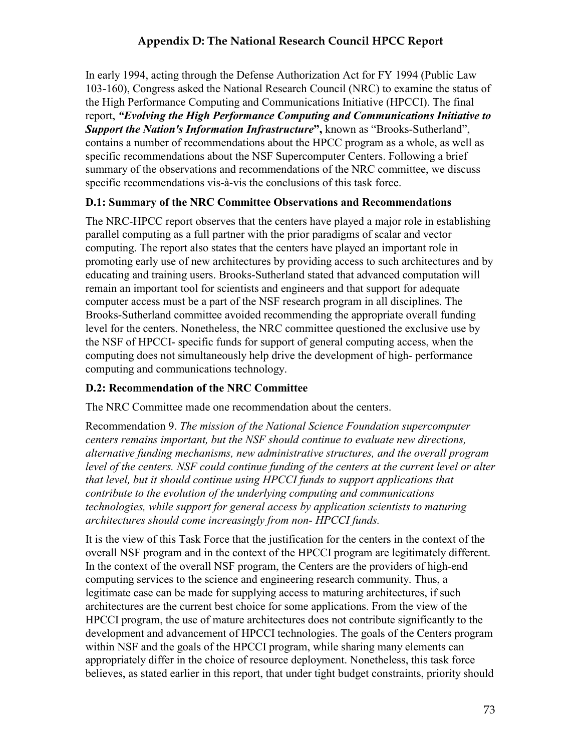# **Appendix D: The National Research Council HPCC Report**

In early 1994, acting through the Defense Authorization Act for FY 1994 (Public Law 103-160), Congress asked the National Research Council (NRC) to examine the status of the High Performance Computing and Communications Initiative (HPCCI). The final report, *"Evolving the High Performance Computing and Communications Initiative to Support the Nation's Information Infrastructure***",** known as "Brooks-Sutherland", contains a number of recommendations about the HPCC program as a whole, as well as specific recommendations about the NSF Supercomputer Centers. Following a brief summary of the observations and recommendations of the NRC committee, we discuss specific recommendations vis-à-vis the conclusions of this task force.

# **D.1: Summary of the NRC Committee Observations and Recommendations**

The NRC-HPCC report observes that the centers have played a major role in establishing parallel computing as a full partner with the prior paradigms of scalar and vector computing. The report also states that the centers have played an important role in promoting early use of new architectures by providing access to such architectures and by educating and training users. Brooks-Sutherland stated that advanced computation will remain an important tool for scientists and engineers and that support for adequate computer access must be a part of the NSF research program in all disciplines. The Brooks-Sutherland committee avoided recommending the appropriate overall funding level for the centers. Nonetheless, the NRC committee questioned the exclusive use by the NSF of HPCCI- specific funds for support of general computing access, when the computing does not simultaneously help drive the development of high- performance computing and communications technology.

# **D.2: Recommendation of the NRC Committee**

The NRC Committee made one recommendation about the centers.

Recommendation 9. *The mission of the National Science Foundation supercomputer centers remains important, but the NSF should continue to evaluate new directions, alternative funding mechanisms, new administrative structures, and the overall program level of the centers. NSF could continue funding of the centers at the current level or alter that level, but it should continue using HPCCI funds to support applications that contribute to the evolution of the underlying computing and communications technologies, while support for general access by application scientists to maturing architectures should come increasingly from non- HPCCI funds.* 

It is the view of this Task Force that the justification for the centers in the context of the overall NSF program and in the context of the HPCCI program are legitimately different. In the context of the overall NSF program, the Centers are the providers of high-end computing services to the science and engineering research community. Thus, a legitimate case can be made for supplying access to maturing architectures, if such architectures are the current best choice for some applications. From the view of the HPCCI program, the use of mature architectures does not contribute significantly to the development and advancement of HPCCI technologies. The goals of the Centers program within NSF and the goals of the HPCCI program, while sharing many elements can appropriately differ in the choice of resource deployment. Nonetheless, this task force believes, as stated earlier in this report, that under tight budget constraints, priority should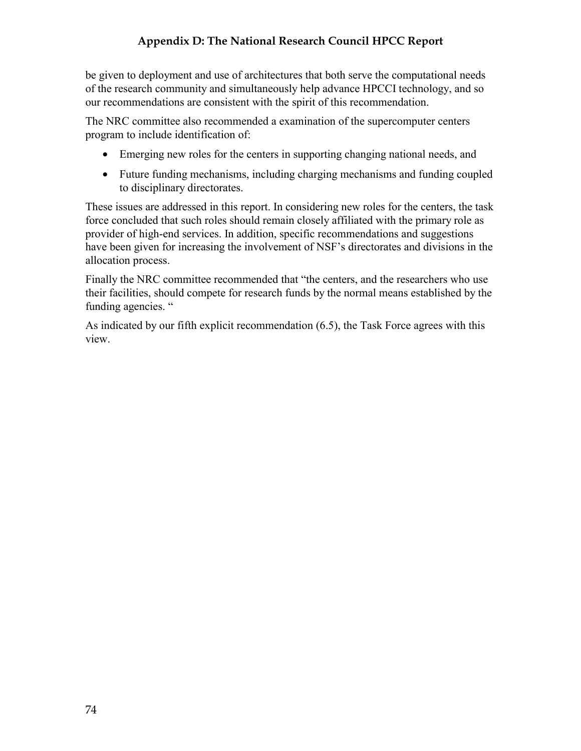# **Appendix D: The National Research Council HPCC Report**

be given to deployment and use of architectures that both serve the computational needs of the research community and simultaneously help advance HPCCI technology, and so our recommendations are consistent with the spirit of this recommendation.

The NRC committee also recommended a examination of the supercomputer centers program to include identification of:

- Emerging new roles for the centers in supporting changing national needs, and
- Future funding mechanisms, including charging mechanisms and funding coupled to disciplinary directorates.

These issues are addressed in this report. In considering new roles for the centers, the task force concluded that such roles should remain closely affiliated with the primary role as provider of high-end services. In addition, specific recommendations and suggestions have been given for increasing the involvement of NSF's directorates and divisions in the allocation process.

Finally the NRC committee recommended that "the centers, and the researchers who use their facilities, should compete for research funds by the normal means established by the funding agencies. "

As indicated by our fifth explicit recommendation (6.5), the Task Force agrees with this view.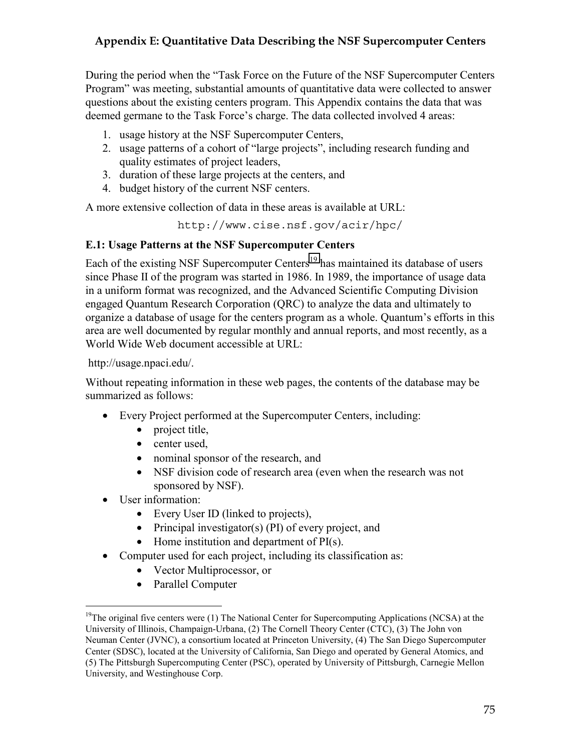During the period when the "Task Force on the Future of the NSF Supercomputer Centers Program" was meeting, substantial amounts of quantitative data were collected to answer questions about the existing centers program. This Appendix contains the data that was deemed germane to the Task Force's charge. The data collected involved 4 areas:

- 1. usage history at the NSF Supercomputer Centers,
- 2. usage patterns of a cohort of "large projects", including research funding and quality estimates of project leaders,
- 3. duration of these large projects at the centers, and
- 4. budget history of the current NSF centers.

A more extensive collection of data in these areas is available at URL:

http://www.cise.nsf.gov/acir/hpc/

# **E.1: Usage Patterns at the NSF Supercomputer Centers**

Each of the existing NSF Supercomputer Centers<sup>19</sup> has maintained its database of users since Phase II of the program was started in 1986. In 1989, the importance of usage data in a uniform format was recognized, and the Advanced Scientific Computing Division engaged Quantum Research Corporation (QRC) to analyze the data and ultimately to organize a database of usage for the centers program as a whole. Quantum's efforts in this area are well documented by regular monthly and annual reports, and most recently, as a World Wide Web document accessible at URL:

http://usage.npaci.edu/.

Without repeating information in these web pages, the contents of the database may be summarized as follows:

- Every Project performed at the Supercomputer Centers, including:
	- project title,
	- center used,
	- nominal sponsor of the research, and
	- NSF division code of research area (even when the research was not sponsored by NSF).
- User information:

 $\overline{a}$ 

- Every User ID (linked to projects),
- Principal investigator(s) (PI) of every project, and
- Home institution and department of PI(s).
- Computer used for each project, including its classification as:
	- Vector Multiprocessor, or
	- Parallel Computer

 $19$ The original five centers were (1) The National Center for Supercomputing Applications (NCSA) at the University of Illinois, Champaign-Urbana, (2) The Cornell Theory Center (CTC), (3) The John von Neuman Center (JVNC), a consortium located at Princeton University, (4) The San Diego Supercomputer Center (SDSC), located at the University of California, San Diego and operated by General Atomics, and (5) The Pittsburgh Supercomputing Center (PSC), operated by University of Pittsburgh, Carnegie Mellon University, and Westinghouse Corp.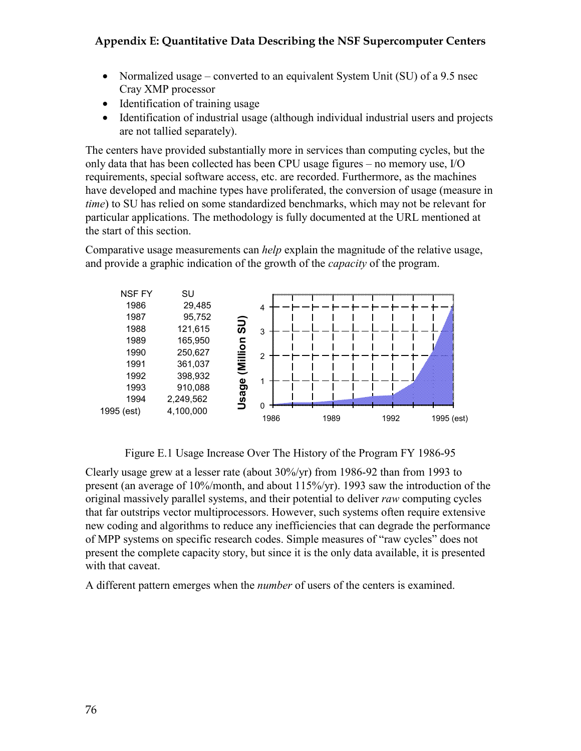- Normalized usage converted to an equivalent System Unit (SU) of a 9.5 nsec Cray XMP processor
- Identification of training usage
- Identification of industrial usage (although individual industrial users and projects are not tallied separately).

The centers have provided substantially more in services than computing cycles, but the only data that has been collected has been CPU usage figures – no memory use, I/O requirements, special software access, etc. are recorded. Furthermore, as the machines have developed and machine types have proliferated, the conversion of usage (measure in *time*) to SU has relied on some standardized benchmarks, which may not be relevant for particular applications. The methodology is fully documented at the URL mentioned at the start of this section.

Comparative usage measurements can *help* explain the magnitude of the relative usage, and provide a graphic indication of the growth of the *capacity* of the program.



Figure E.1 Usage Increase Over The History of the Program FY 1986-95

Clearly usage grew at a lesser rate (about 30%/yr) from 1986-92 than from 1993 to present (an average of 10%/month, and about 115%/yr). 1993 saw the introduction of the original massively parallel systems, and their potential to deliver *raw* computing cycles that far outstrips vector multiprocessors. However, such systems often require extensive new coding and algorithms to reduce any inefficiencies that can degrade the performance of MPP systems on specific research codes. Simple measures of "raw cycles" does not present the complete capacity story, but since it is the only data available, it is presented with that caveat.

A different pattern emerges when the *number* of users of the centers is examined.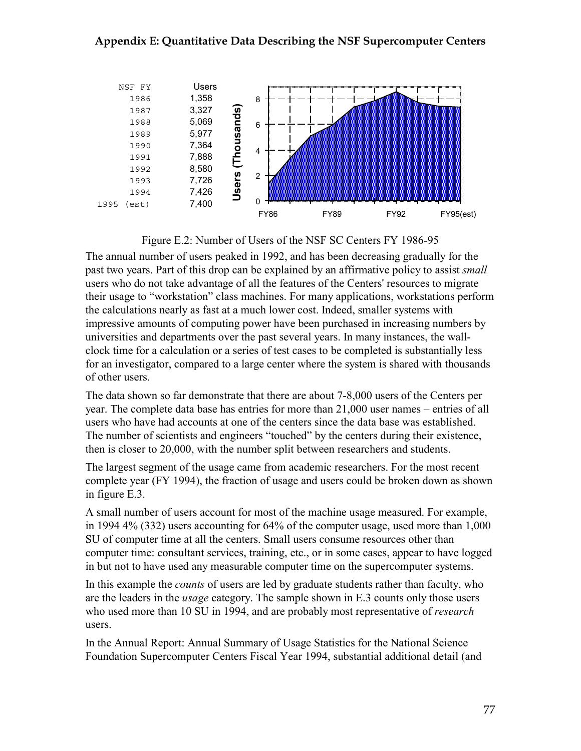



The annual number of users peaked in 1992, and has been decreasing gradually for the past two years. Part of this drop can be explained by an affirmative policy to assist *small* users who do not take advantage of all the features of the Centers' resources to migrate their usage to "workstation" class machines. For many applications, workstations perform the calculations nearly as fast at a much lower cost. Indeed, smaller systems with impressive amounts of computing power have been purchased in increasing numbers by universities and departments over the past several years. In many instances, the wallclock time for a calculation or a series of test cases to be completed is substantially less for an investigator, compared to a large center where the system is shared with thousands of other users.

The data shown so far demonstrate that there are about 7-8,000 users of the Centers per year. The complete data base has entries for more than 21,000 user names – entries of all users who have had accounts at one of the centers since the data base was established. The number of scientists and engineers "touched" by the centers during their existence, then is closer to 20,000, with the number split between researchers and students.

The largest segment of the usage came from academic researchers. For the most recent complete year (FY 1994), the fraction of usage and users could be broken down as shown in figure E.3.

A small number of users account for most of the machine usage measured. For example, in 1994 4% (332) users accounting for 64% of the computer usage, used more than 1,000 SU of computer time at all the centers. Small users consume resources other than computer time: consultant services, training, etc., or in some cases, appear to have logged in but not to have used any measurable computer time on the supercomputer systems.

In this example the *counts* of users are led by graduate students rather than faculty, who are the leaders in the *usage* category. The sample shown in E.3 counts only those users who used more than 10 SU in 1994, and are probably most representative of *research* users.

In the Annual Report: Annual Summary of Usage Statistics for the National Science Foundation Supercomputer Centers Fiscal Year 1994, substantial additional detail (and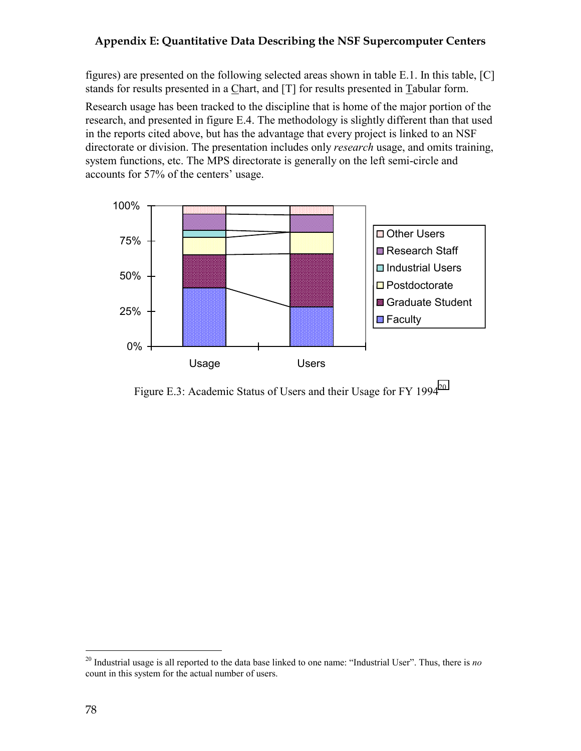figures) are presented on the following selected areas shown in table E.1. In this table, [C] stands for results presented in a Chart, and [T] for results presented in Tabular form.

Research usage has been tracked to the discipline that is home of the major portion of the research, and presented in figure E.4. The methodology is slightly different than that used in the reports cited above, but has the advantage that every project is linked to an NSF directorate or division. The presentation includes only *research* usage, and omits training, system functions, etc. The MPS directorate is generally on the left semi-circle and accounts for 57% of the centers' usage.



Figure E.3: Academic Status of Users and their Usage for FY 1994<sup>20</sup>

 $\overline{a}$ 

<sup>20</sup> Industrial usage is all reported to the data base linked to one name: "Industrial User". Thus, there is *no* count in this system for the actual number of users.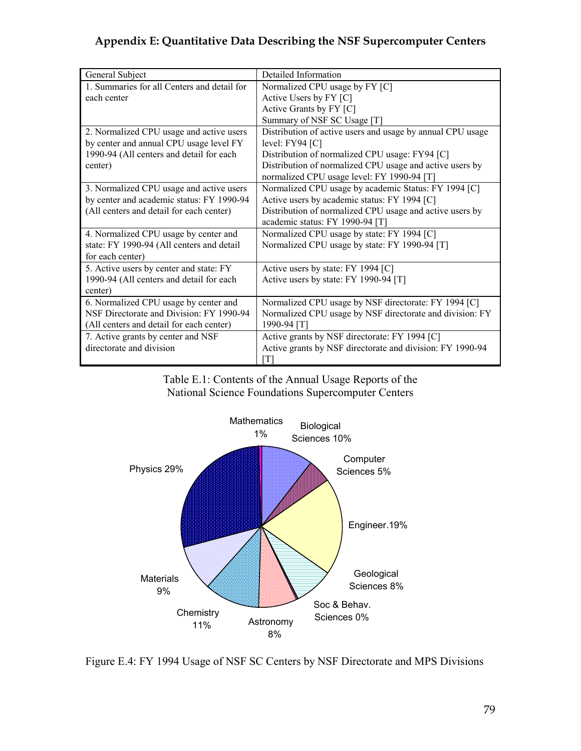| General Subject                             | Detailed Information                                       |
|---------------------------------------------|------------------------------------------------------------|
| 1. Summaries for all Centers and detail for | Normalized CPU usage by FY [C]                             |
| each center                                 | Active Users by FY [C]                                     |
|                                             | Active Grants by FY [C]                                    |
|                                             | Summary of NSF SC Usage [T]                                |
| 2. Normalized CPU usage and active users    | Distribution of active users and usage by annual CPU usage |
| by center and annual CPU usage level FY     | level: $FY94$ $[C]$                                        |
| 1990-94 (All centers and detail for each    | Distribution of normalized CPU usage: FY94 [C]             |
| center)                                     | Distribution of normalized CPU usage and active users by   |
|                                             | normalized CPU usage level: FY 1990-94 [T]                 |
| 3. Normalized CPU usage and active users    | Normalized CPU usage by academic Status: FY 1994 [C]       |
| by center and academic status: FY 1990-94   | Active users by academic status: FY 1994 [C]               |
| (All centers and detail for each center)    | Distribution of normalized CPU usage and active users by   |
|                                             | academic status: FY 1990-94 [T]                            |
| 4. Normalized CPU usage by center and       | Normalized CPU usage by state: FY 1994 [C]                 |
| state: FY 1990-94 (All centers and detail   | Normalized CPU usage by state: FY 1990-94 [T]              |
| for each center)                            |                                                            |
| 5. Active users by center and state: FY     | Active users by state: FY 1994 [C]                         |
| 1990-94 (All centers and detail for each    | Active users by state: FY 1990-94 [T]                      |
| center)                                     |                                                            |
| 6. Normalized CPU usage by center and       | Normalized CPU usage by NSF directorate: FY 1994 [C]       |
| NSF Directorate and Division: FY 1990-94    | Normalized CPU usage by NSF directorate and division: FY   |
| (All centers and detail for each center)    | 1990-94 [T]                                                |
| 7. Active grants by center and NSF          | Active grants by NSF directorate: FY 1994 [C]              |
| directorate and division                    | Active grants by NSF directorate and division: FY 1990-94  |
|                                             | [T]                                                        |

Table E.1: Contents of the Annual Usage Reports of the National Science Foundations Supercomputer Centers



Figure E.4: FY 1994 Usage of NSF SC Centers by NSF Directorate and MPS Divisions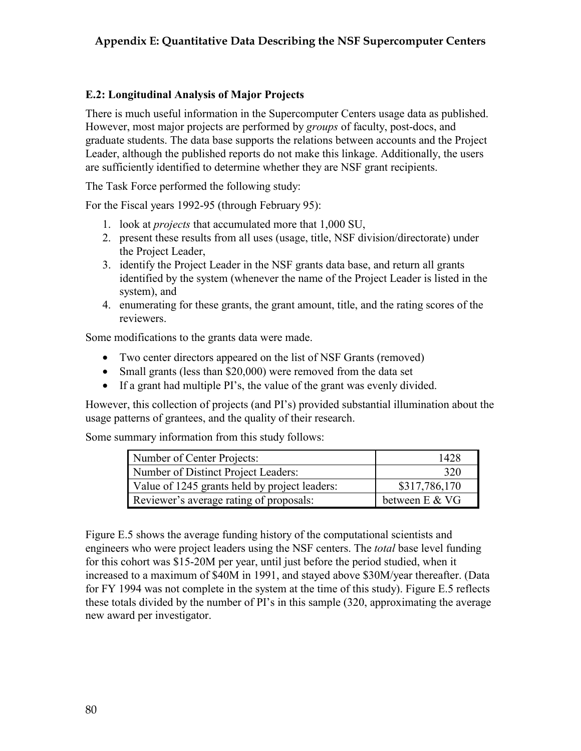#### **E.2: Longitudinal Analysis of Major Projects**

There is much useful information in the Supercomputer Centers usage data as published. However, most major projects are performed by *groups* of faculty, post-docs, and graduate students. The data base supports the relations between accounts and the Project Leader, although the published reports do not make this linkage. Additionally, the users are sufficiently identified to determine whether they are NSF grant recipients.

The Task Force performed the following study:

For the Fiscal years 1992-95 (through February 95):

- 1. look at *projects* that accumulated more that 1,000 SU,
- 2. present these results from all uses (usage, title, NSF division/directorate) under the Project Leader,
- 3. identify the Project Leader in the NSF grants data base, and return all grants identified by the system (whenever the name of the Project Leader is listed in the system), and
- 4. enumerating for these grants, the grant amount, title, and the rating scores of the reviewers.

Some modifications to the grants data were made.

- Two center directors appeared on the list of NSF Grants (removed)
- Small grants (less than \$20,000) were removed from the data set
- If a grant had multiple PI's, the value of the grant was evenly divided.

However, this collection of projects (and PI's) provided substantial illumination about the usage patterns of grantees, and the quality of their research.

Some summary information from this study follows:

| Number of Center Projects:                    | 1428           |
|-----------------------------------------------|----------------|
| Number of Distinct Project Leaders:           | 320            |
| Value of 1245 grants held by project leaders: | \$317,786,170  |
| Reviewer's average rating of proposals:       | between E & VG |

Figure E.5 shows the average funding history of the computational scientists and engineers who were project leaders using the NSF centers. The *total* base level funding for this cohort was \$15-20M per year, until just before the period studied, when it increased to a maximum of \$40M in 1991, and stayed above \$30M/year thereafter. (Data for FY 1994 was not complete in the system at the time of this study). Figure E.5 reflects these totals divided by the number of PI's in this sample (320, approximating the average new award per investigator.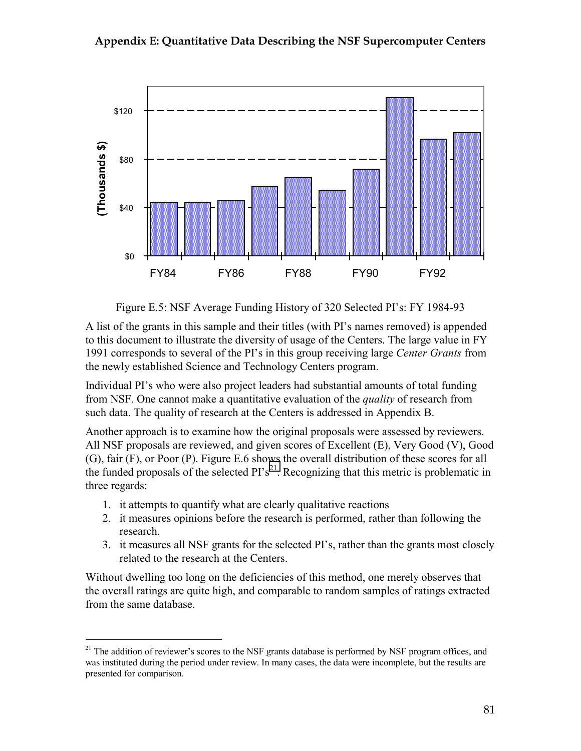

Figure E.5: NSF Average Funding History of 320 Selected PI's: FY 1984-93

A list of the grants in this sample and their titles (with PI's names removed) is appended to this document to illustrate the diversity of usage of the Centers. The large value in FY 1991 corresponds to several of the PI's in this group receiving large *Center Grants* from the newly established Science and Technology Centers program.

Individual PI's who were also project leaders had substantial amounts of total funding from NSF. One cannot make a quantitative evaluation of the *quality* of research from such data. The quality of research at the Centers is addressed in Appendix B.

Another approach is to examine how the original proposals were assessed by reviewers. All NSF proposals are reviewed, and given scores of Excellent (E), Very Good (V), Good (G), fair (F), or Poor (P). Figure E.6 shows the overall distribution of these scores for all the funded proposals of the selected  $PI's^{21}$ . Recognizing that this metric is problematic in three regards:

1. it attempts to quantify what are clearly qualitative reactions

 $\overline{a}$ 

- 2. it measures opinions before the research is performed, rather than following the research.
- 3. it measures all NSF grants for the selected PI's, rather than the grants most closely related to the research at the Centers.

Without dwelling too long on the deficiencies of this method, one merely observes that the overall ratings are quite high, and comparable to random samples of ratings extracted from the same database.

<sup>&</sup>lt;sup>21</sup> The addition of reviewer's scores to the NSF grants database is performed by NSF program offices, and was instituted during the period under review. In many cases, the data were incomplete, but the results are presented for comparison.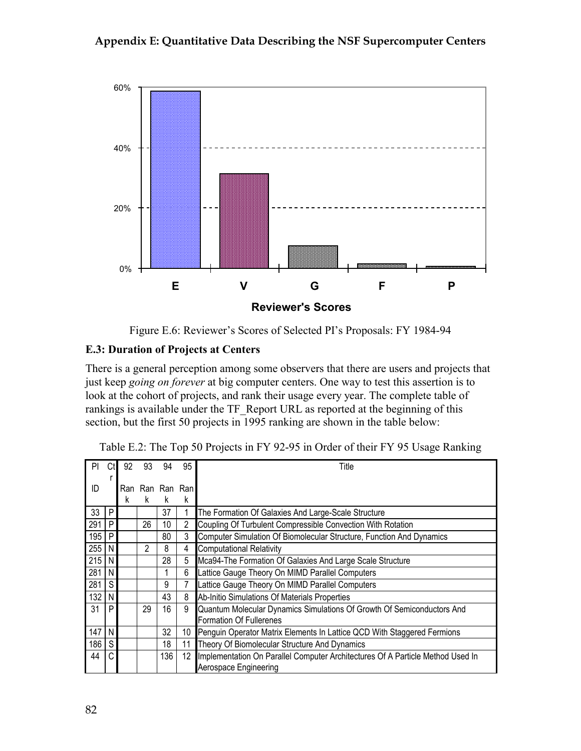

Figure E.6: Reviewer's Scores of Selected PI's Proposals: FY 1984-94

#### **E.3: Duration of Projects at Centers**

There is a general perception among some observers that there are users and projects that just keep *going on forever* at big computer centers. One way to test this assertion is to look at the cohort of projects, and rank their usage every year. The complete table of rankings is available under the TF\_Report URL as reported at the beginning of this section, but the first 50 projects in 1995 ranking are shown in the table below:

| PI  |    | 92 | 93              | 94              | 95 | Title                                                                          |
|-----|----|----|-----------------|-----------------|----|--------------------------------------------------------------------------------|
|     |    |    |                 |                 |    |                                                                                |
| ID  |    |    | Ran Ran Ran Ran |                 |    |                                                                                |
|     |    | k  | k               | k               | k  |                                                                                |
| 33  | P  |    |                 | 37              |    | The Formation Of Galaxies And Large-Scale Structure                            |
| 291 | P  |    | 26              | 10 <sup>1</sup> | 2  | Coupling Of Turbulent Compressible Convection With Rotation                    |
| 195 | P  |    |                 | 80              | 3  | Computer Simulation Of Biomolecular Structure, Function And Dynamics           |
| 255 | N  |    | $\mathfrak{p}$  | 8               | 4  | <b>Computational Relativity</b>                                                |
| 215 | N  |    |                 | 28              | 5  | Mca94-The Formation Of Galaxies And Large Scale Structure                      |
| 281 | N  |    |                 |                 | 6  | Lattice Gauge Theory On MIMD Parallel Computers                                |
| 281 | S. |    |                 | 9               |    | Lattice Gauge Theory On MIMD Parallel Computers                                |
| 132 | N  |    |                 | 43              | 8  | Ab-Initio Simulations Of Materials Properties                                  |
| 31  | P  |    | 29              | 16              | 9  | Quantum Molecular Dynamics Simulations Of Growth Of Semiconductors And         |
|     |    |    |                 |                 |    | Formation Of Fullerenes                                                        |
| 147 | N  |    |                 | 32              | 10 | Penguin Operator Matrix Elements In Lattice QCD With Staggered Fermions        |
| 186 | S  |    |                 | 18              | 11 | Theory Of Biomolecular Structure And Dynamics                                  |
| 44  | C. |    |                 | 136             | 12 | Implementation On Parallel Computer Architectures Of A Particle Method Used In |
|     |    |    |                 |                 |    | Aerospace Engineering                                                          |

Table E.2: The Top 50 Projects in FY 92-95 in Order of their FY 95 Usage Ranking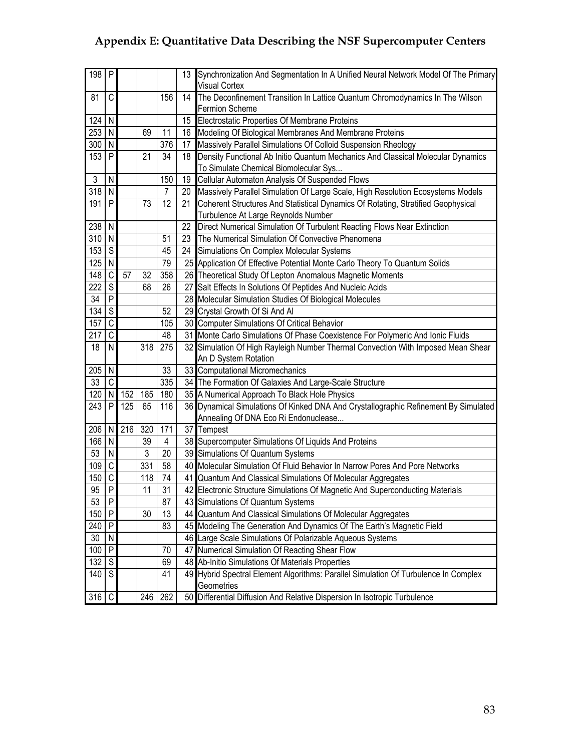| $198$ P          |                         |     |         |                | 13 | Synchronization And Segmentation In A Unified Neural Network Model Of The Primary<br><b>Visual Cortex</b> |
|------------------|-------------------------|-----|---------|----------------|----|-----------------------------------------------------------------------------------------------------------|
|                  | C                       |     |         |                | 14 |                                                                                                           |
| 81               |                         |     |         | 156            |    | The Deconfinement Transition In Lattice Quantum Chromodynamics In The Wilson<br>Fermion Scheme            |
| 124              | N                       |     |         |                | 15 | Electrostatic Properties Of Membrane Proteins                                                             |
| 253              | I N                     |     | 69      | 11             |    | 16 Modeling Of Biological Membranes And Membrane Proteins                                                 |
| $300$ N          |                         |     |         | 376            | 17 | Massively Parallel Simulations Of Colloid Suspension Rheology                                             |
| 153              | P                       |     | 21      | 34             | 18 | Density Functional Ab Initio Quantum Mechanics And Classical Molecular Dynamics                           |
|                  |                         |     |         |                |    | To Simulate Chemical Biomolecular Sys                                                                     |
| 3                | $\mathsf{N}$            |     |         | 150            | 19 | Cellular Automaton Analysis Of Suspended Flows                                                            |
| $\overline{318}$ | N                       |     |         | 7              | 20 | Massively Parallel Simulation Of Large Scale, High Resolution Ecosystems Models                           |
| 191              | P                       |     | 73      | 12             | 21 | Coherent Structures And Statistical Dynamics Of Rotating, Stratified Geophysical                          |
|                  |                         |     |         |                |    | Turbulence At Large Reynolds Number                                                                       |
| $238$ N          |                         |     |         |                | 22 | Direct Numerical Simulation Of Turbulent Reacting Flows Near Extinction                                   |
| 310              | $\overline{N}$          |     |         | 51             | 23 | The Numerical Simulation Of Convective Phenomena                                                          |
| 153              | ${\mathbb S}$           |     |         | 45             | 24 | Simulations On Complex Molecular Systems                                                                  |
| 125              | N <sub>1</sub>          |     |         | 79             |    | 25 Application Of Effective Potential Monte Carlo Theory To Quantum Solids                                |
| 148              | $\mathsf{C}$            | 57  | 32      | 358            |    | 26 Theoretical Study Of Lepton Anomalous Magnetic Moments                                                 |
| 222              | $\overline{s}$          |     | 68      | 26             |    | 27 Salt Effects In Solutions Of Peptides And Nucleic Acids                                                |
| 34               | $\overline{P}$          |     |         |                |    | 28 Molecular Simulation Studies Of Biological Molecules                                                   |
| 134              | $\overline{\mathsf{s}}$ |     |         | 52             |    | 29 Crystal Growth Of Si And Al                                                                            |
| 157              | $\mathsf{C}$            |     |         | 105            |    | 30 Computer Simulations Of Critical Behavior                                                              |
| 217              | $\mathsf C$             |     |         | 48             |    | 31 Monte Carlo Simulations Of Phase Coexistence For Polymeric And Ionic Fluids                            |
| 18               | N                       |     | 318     | 275            |    | 32 Simulation Of High Rayleigh Number Thermal Convection With Imposed Mean Shear                          |
|                  |                         |     |         |                |    | An D System Rotation                                                                                      |
| 205              | N                       |     |         | 33             |    | 33 Computational Micromechanics                                                                           |
| 33               | $\mathsf{C}$            |     |         | 335            |    | 34 The Formation Of Galaxies And Large-Scale Structure                                                    |
| 120              | $\mathsf{N}$            |     | 152 185 | 180            |    | 35 A Numerical Approach To Black Hole Physics                                                             |
| 243              | P                       | 125 | 65      | 116            |    | 36 Dynamical Simulations Of Kinked DNA And Crystallographic Refinement By Simulated                       |
|                  |                         |     |         |                |    | Annealing Of DNA Eco Ri Endonuclease                                                                      |
| 206              | N                       | 216 | 320     | 171            |    | 37 Tempest                                                                                                |
| 166              | $\overline{N}$          |     | 39      | $\overline{4}$ |    | 38 Supercomputer Simulations Of Liquids And Proteins                                                      |
| 53               | N                       |     | 3       | 20             |    | 39 Simulations Of Quantum Systems                                                                         |
| 109              | $\overline{C}$          |     | 331     | 58             |    | 40 Molecular Simulation Of Fluid Behavior In Narrow Pores And Pore Networks                               |
| 150              | $\mathsf{C}$            |     | 118     | 74             |    | 41 Quantum And Classical Simulations Of Molecular Aggregates                                              |
| 95               | $\sf P$                 |     | 11      | 31             |    | 42 Electronic Structure Simulations Of Magnetic And Superconducting Materials                             |
| 53               | $\mathsf{P}$            |     |         | 87             |    | 43 Simulations Of Quantum Systems                                                                         |
| 150              | IP.                     |     | 30      | 13             |    | 44 Quantum And Classical Simulations Of Molecular Aggregates                                              |
| 240              | $\mathsf{P}$            |     |         | 83             |    | 45 Modeling The Generation And Dynamics Of The Earth's Magnetic Field                                     |
| 30               | N                       |     |         |                |    | 46 Large Scale Simulations Of Polarizable Aqueous Systems                                                 |
| 100              | P                       |     |         | 70             |    | 47 Numerical Simulation Of Reacting Shear Flow                                                            |
| 132 S            |                         |     |         | 69             |    | 48 Ab-Initio Simulations Of Materials Properties                                                          |
| 140              | <sub>S</sub>            |     |         | 41             |    | 49 Hybrid Spectral Element Algorithms: Parallel Simulation Of Turbulence In Complex                       |
|                  |                         |     |         |                |    | Geometries                                                                                                |
| $316$ C          |                         |     |         | 246 262        |    | 50 Differential Diffusion And Relative Dispersion In Isotropic Turbulence                                 |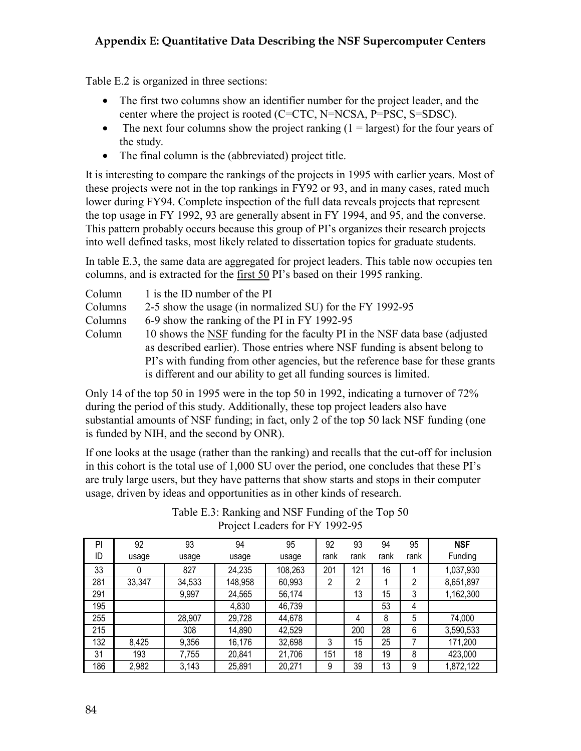Table E.2 is organized in three sections:

- The first two columns show an identifier number for the project leader, and the center where the project is rooted (C=CTC, N=NCSA, P=PSC, S=SDSC).
- The next four columns show the project ranking  $(1 = \text{largest})$  for the four years of the study.
- The final column is the (abbreviated) project title.

It is interesting to compare the rankings of the projects in 1995 with earlier years. Most of these projects were not in the top rankings in FY92 or 93, and in many cases, rated much lower during FY94. Complete inspection of the full data reveals projects that represent the top usage in FY 1992, 93 are generally absent in FY 1994, and 95, and the converse. This pattern probably occurs because this group of PI's organizes their research projects into well defined tasks, most likely related to dissertation topics for graduate students.

In table E.3, the same data are aggregated for project leaders. This table now occupies ten columns, and is extracted for the first 50 PI's based on their 1995 ranking.

| Column  | 1 is the ID number of the PI                                                   |
|---------|--------------------------------------------------------------------------------|
| Columns | 2-5 show the usage (in normalized SU) for the FY 1992-95                       |
| Columns | 6-9 show the ranking of the PI in FY 1992-95                                   |
| Column  | 10 shows the NSF funding for the faculty PI in the NSF data base (adjusted     |
|         | as described earlier). Those entries where NSF funding is absent belong to     |
|         | PI's with funding from other agencies, but the reference base for these grants |
|         | is different and our ability to get all funding sources is limited.            |

Only 14 of the top 50 in 1995 were in the top 50 in 1992, indicating a turnover of 72% during the period of this study. Additionally, these top project leaders also have substantial amounts of NSF funding; in fact, only 2 of the top 50 lack NSF funding (one is funded by NIH, and the second by ONR).

If one looks at the usage (rather than the ranking) and recalls that the cut-off for inclusion in this cohort is the total use of 1,000 SU over the period, one concludes that these PI's are truly large users, but they have patterns that show starts and stops in their computer usage, driven by ideas and opportunities as in other kinds of research.

| PI  | 92     | 93     | 94      | 95      | 92   | 93   | 94   | 95   | <b>NSF</b> |
|-----|--------|--------|---------|---------|------|------|------|------|------------|
| ID  | usage  | usage  | usage   | usage   | rank | rank | rank | rank | Funding    |
| 33  | 0      | 827    | 24,235  | 108,263 | 201  | 121  | 16   |      | 1,037,930  |
| 281 | 33,347 | 34,533 | 148,958 | 60,993  | 2    | 2    |      | 2    | 8,651,897  |
| 291 |        | 9,997  | 24,565  | 56,174  |      | 13   | 15   | 3    | 1,162,300  |
| 195 |        |        | 4,830   | 46,739  |      |      | 53   | 4    |            |
| 255 |        | 28,907 | 29,728  | 44,678  |      | 4    | 8    | 5    | 74,000     |
| 215 |        | 308    | 14,890  | 42,529  |      | 200  | 28   | 6    | 3,590,533  |
| 132 | 8,425  | 9,356  | 16,176  | 32,698  | 3    | 15   | 25   |      | 171,200    |
| 31  | 193    | 7,755  | 20,841  | 21,706  | 151  | 18   | 19   | 8    | 423,000    |
| 186 | 2,982  | 3,143  | 25,891  | 20,271  | 9    | 39   | 13   | 9    | 1,872,122  |

Table E.3: Ranking and NSF Funding of the Top 50 Project Leaders for FY 1992-95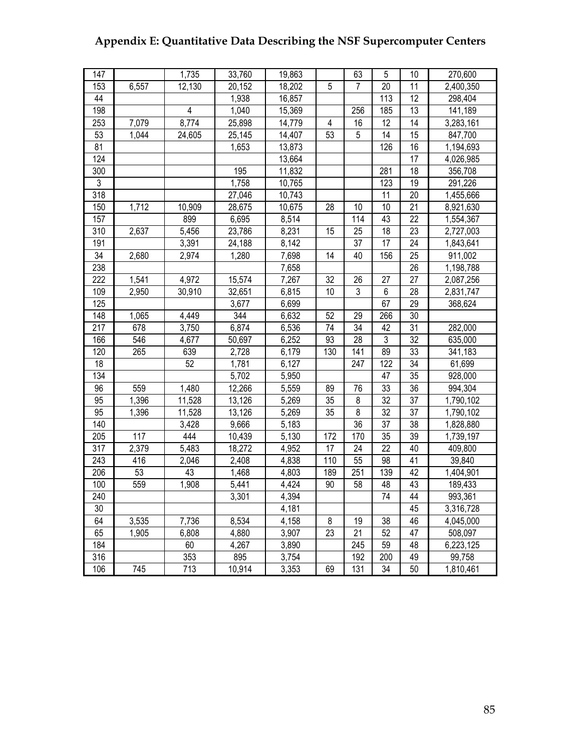| 147 |       | 1,735          | 33,760 | 19,863 |            | 63             | 5   | 10 | 270,600   |
|-----|-------|----------------|--------|--------|------------|----------------|-----|----|-----------|
| 153 | 6,557 | 12,130         | 20,152 | 18,202 | $\sqrt{5}$ | $\overline{7}$ | 20  | 11 | 2,400,350 |
| 44  |       |                | 1,938  | 16,857 |            |                | 113 | 12 | 298,404   |
| 198 |       | $\overline{4}$ | 1,040  | 15,369 |            | 256            | 185 | 13 | 141,189   |
| 253 | 7,079 | 8,774          | 25,898 | 14,779 | 4          | 16             | 12  | 14 | 3,283,161 |
| 53  | 1,044 | 24,605         | 25,145 | 14,407 | 53         | 5              | 14  | 15 | 847,700   |
| 81  |       |                | 1,653  | 13,873 |            |                | 126 | 16 | 1,194,693 |
| 124 |       |                |        | 13,664 |            |                |     | 17 | 4,026,985 |
| 300 |       |                | 195    | 11,832 |            |                | 281 | 18 | 356,708   |
| 3   |       |                | 1,758  | 10,765 |            |                | 123 | 19 | 291,226   |
| 318 |       |                | 27,046 | 10,743 |            |                | 11  | 20 | 1,455,666 |
| 150 | 1,712 | 10,909         | 28,675 | 10,675 | 28         | 10             | 10  | 21 | 8,921,630 |
| 157 |       | 899            | 6,695  | 8,514  |            | 114            | 43  | 22 | 1,554,367 |
| 310 | 2,637 | 5,456          | 23,786 | 8,231  | 15         | 25             | 18  | 23 | 2,727,003 |
| 191 |       | 3,391          | 24,188 | 8,142  |            | 37             | 17  | 24 | 1,843,641 |
| 34  | 2,680 | 2,974          | 1,280  | 7,698  | 14         | 40             | 156 | 25 | 911,002   |
| 238 |       |                |        | 7,658  |            |                |     | 26 | 1,198,788 |
| 222 | 1,541 | 4,972          | 15,574 | 7,267  | 32         | 26             | 27  | 27 | 2,087,256 |
| 109 | 2,950 | 30,910         | 32,651 | 6,815  | 10         | $\sqrt{3}$     | 6   | 28 | 2,831,747 |
| 125 |       |                | 3,677  | 6,699  |            |                | 67  | 29 | 368,624   |
| 148 | 1,065 | 4,449          | 344    | 6,632  | 52         | 29             | 266 | 30 |           |
| 217 | 678   | 3,750          | 6,874  | 6,536  | 74         | 34             | 42  | 31 | 282,000   |
| 166 | 546   | 4,677          | 50,697 | 6,252  | 93         | 28             | 3   | 32 | 635,000   |
| 120 | 265   | 639            | 2,728  | 6,179  | 130        | 141            | 89  | 33 | 341,183   |
| 18  |       | 52             | 1,781  | 6,127  |            | 247            | 122 | 34 | 61,699    |
| 134 |       |                | 5,702  | 5,950  |            |                | 47  | 35 | 928,000   |
| 96  | 559   | 1,480          | 12,266 | 5,559  | 89         | 76             | 33  | 36 | 994,304   |
| 95  | 1,396 | 11,528         | 13,126 | 5,269  | 35         | 8              | 32  | 37 | 1,790,102 |
| 95  | 1,396 | 11,528         | 13,126 | 5,269  | 35         | 8              | 32  | 37 | 1,790,102 |
| 140 |       | 3,428          | 9,666  | 5,183  |            | 36             | 37  | 38 | 1,828,880 |
| 205 | 117   | 444            | 10,439 | 5,130  | 172        | 170            | 35  | 39 | 1,739,197 |
| 317 | 2,379 | 5,483          | 18,272 | 4,952  | 17         | 24             | 22  | 40 | 409,800   |
| 243 | 416   | 2,046          | 2,408  | 4,838  | 110        | 55             | 98  | 41 | 39,840    |
| 206 | 53    | 43             | 1,468  | 4,803  | 189        | 251            | 139 | 42 | 1,404,901 |
| 100 | 559   | 1,908          | 5,441  | 4,424  | 90         | 58             | 48  | 43 | 189,433   |
| 240 |       |                | 3,301  | 4,394  |            |                | 74  | 44 | 993,361   |
| 30  |       |                |        | 4,181  |            |                |     | 45 | 3,316,728 |
| 64  | 3,535 | 7,736          | 8,534  | 4,158  | 8          | 19             | 38  | 46 | 4,045,000 |
| 65  | 1,905 | 6,808          | 4,880  | 3,907  | 23         | 21             | 52  | 47 | 508,097   |
| 184 |       | 60             | 4,267  | 3,890  |            | 245            | 59  | 48 | 6,223,125 |
| 316 |       | 353            | 895    | 3,754  |            | 192            | 200 | 49 | 99,758    |
| 106 | 745   | 713            | 10,914 | 3,353  | 69         | 131            | 34  | 50 | 1,810,461 |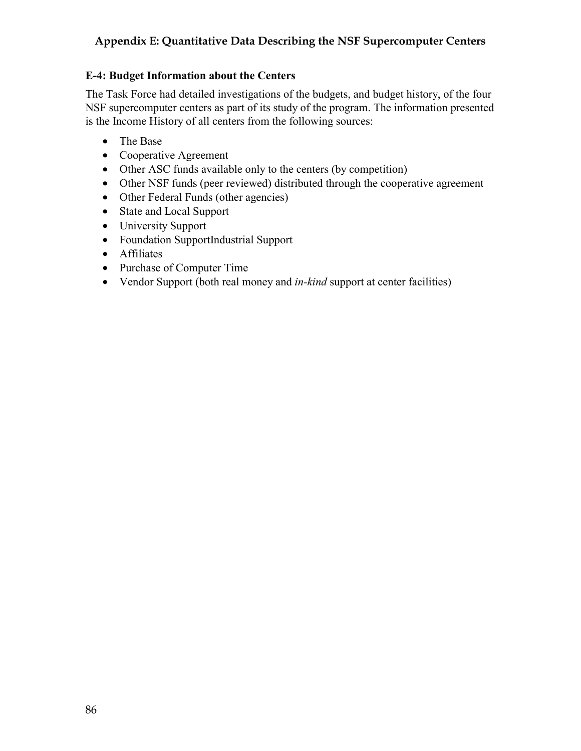# **E-4: Budget Information about the Centers**

The Task Force had detailed investigations of the budgets, and budget history, of the four NSF supercomputer centers as part of its study of the program. The information presented is the Income History of all centers from the following sources:

- The Base
- Cooperative Agreement
- Other ASC funds available only to the centers (by competition)
- Other NSF funds (peer reviewed) distributed through the cooperative agreement
- Other Federal Funds (other agencies)
- State and Local Support
- University Support
- Foundation SupportIndustrial Support
- Affiliates
- Purchase of Computer Time
- Vendor Support (both real money and *in-kind* support at center facilities)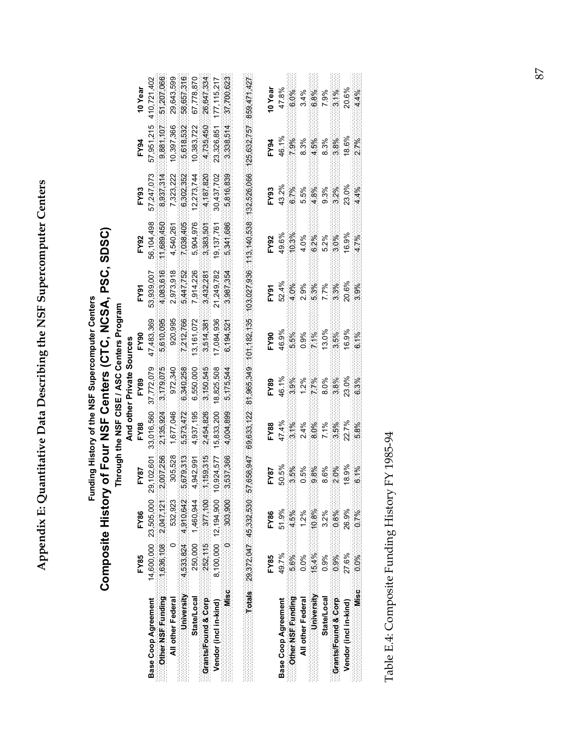Appendix E: Quantitative Data Describing the NSF Supercomputer Centers **Appendix E: Quantitative Data Describing the NSF Supercomputer Centers** 

# Composite History of Four NSF Centers (CTC, NCSA, PSC, SDSC) **Composite History of Four NSF Centers (CTC, NCSA, PSC, SDSC)** Funding History of the NSF Supercomputer Centers **Funding History of the NSF Supercomputer Centers** Through the NSF CISE / ASC Centers Program **Through the NSF CISE / ASC Centers Program**

|                                                                                                 |                       |                      |      |                           | And other Private Sources |                                             |                                                                                                                                                                                                                                                                                                    |                     |            |                                         |                        |
|-------------------------------------------------------------------------------------------------|-----------------------|----------------------|------|---------------------------|---------------------------|---------------------------------------------|----------------------------------------------------------------------------------------------------------------------------------------------------------------------------------------------------------------------------------------------------------------------------------------------------|---------------------|------------|-----------------------------------------|------------------------|
|                                                                                                 | FY85                  | <b>FY86</b>          | FY87 | FY88                      | <b>FY89</b>               | FY <sub>90</sub>                            | FY91                                                                                                                                                                                                                                                                                               | FY92                | FY93       | <b>FY94</b>                             | 10 Year                |
| Base Coop Agreement                                                                             | 14,600,000 23,505,000 |                      |      |                           |                           | 29,102,601 33,016,560 37,772,079 47,483,369 | 53,939,007                                                                                                                                                                                                                                                                                         | 56,104,498          | 57,247,073 |                                         | 57,951,215 410,721,402 |
|                                                                                                 |                       |                      |      |                           |                           |                                             |                                                                                                                                                                                                                                                                                                    |                     |            |                                         |                        |
| All other Federal                                                                               |                       | $0\quad 532,923$     |      | 305,528 1,677,046 972,340 |                           | 920,995                                     |                                                                                                                                                                                                                                                                                                    | 2,973,918 4,540,261 | 7,323,222  | 10,397,366 29,643,599                   |                        |
| <b>University</b> $4,533,824$ $4,910,642$                                                       |                       |                      |      |                           |                           |                                             | 5,679,313 5,573,472 6,340,258 7,212,766 5,447,752                                                                                                                                                                                                                                                  | 7,038,405           | 6,302,352  |                                         | $5,618,532$ 58,657,316 |
| <b>State/Local</b>                                                                              |                       | 250,000 1,460,944    |      |                           |                           | 4,942,991 4,937,195 6,550,000 13,161,072    | 7,914,226                                                                                                                                                                                                                                                                                          | 5,904,976           |            | $12,273,744$ $10,383,722$ $67,778,870$  |                        |
| $\blacksquare$ Grants/Found & Corp $\blacksquare$ 252.115 $\blacksquare$ 377.100 $\blacksquare$ |                       |                      |      |                           |                           |                                             |                                                                                                                                                                                                                                                                                                    |                     |            |                                         |                        |
| Vendor (incl in-kind)                                                                           |                       | 8,100,000 12,194,900 |      |                           |                           |                                             | 10,924,577 15,833,200 18,825,508 17,084,936 21,249,782 19,137,761                                                                                                                                                                                                                                  |                     | 30,437,702 |                                         | 23,326,851 177,115,217 |
| $MiseC$ and $O3.803$ .                                                                          |                       |                      |      |                           |                           |                                             | $-3,537,366$ $-4,004,809$ $-5,775,544$ $-6,194,521$ $-3,987,354$ $-5,341,686$ $-5,816,839$ $-3,338,514$ $-37,700,623$                                                                                                                                                                              |                     |            |                                         |                        |
|                                                                                                 |                       |                      |      |                           |                           |                                             |                                                                                                                                                                                                                                                                                                    |                     |            |                                         |                        |
| $TotalS = 29,372,047 = 45,332,530$                                                              |                       |                      |      |                           |                           |                                             | $157,658,947 \ldots 68,633;122 \ldots 81,965,349 \ldots 101,182,135 \ldots 103,027,936 \ldots 113,140,538 \ldots 132,526,066 \ldots 25,632,757 \ldots 859,471,427 \ldots 251,959 \ldots 251,959 \ldots 251,959 \ldots 251,959 \ldots 251,959 \ldots 251,959 \ldots 251,959 \ldots 251,959 \ldots $ |                     |            |                                         |                        |
|                                                                                                 | EV6E                  | EVoc                 |      |                           |                           | <b>TANGO CONTRACT CONTRACT</b>              | Pova                                                                                                                                                                                                                                                                                               | EVO?                | EV00       | $FVA$ $A \cap V_{\alpha \alpha \alpha}$ |                        |

|                                                                                           | <b>185</b>   | FY <sub>86</sub> |                                                                                                                                            | <b>FY88</b>                                                                   |                                                                                                                             |                                                            |                                                                                                                          |                                                                                                                   |                                                        |                                                          |                                                          |
|-------------------------------------------------------------------------------------------|--------------|------------------|--------------------------------------------------------------------------------------------------------------------------------------------|-------------------------------------------------------------------------------|-----------------------------------------------------------------------------------------------------------------------------|------------------------------------------------------------|--------------------------------------------------------------------------------------------------------------------------|-------------------------------------------------------------------------------------------------------------------|--------------------------------------------------------|----------------------------------------------------------|----------------------------------------------------------|
| Base Coop Agreement                                                                       | 49.7%        | 51.9%            |                                                                                                                                            |                                                                               |                                                                                                                             |                                                            |                                                                                                                          |                                                                                                                   |                                                        |                                                          |                                                          |
| <b>Contract NSF. Funding and S.6% and A.5%</b>                                            |              |                  |                                                                                                                                            |                                                                               |                                                                                                                             |                                                            |                                                                                                                          |                                                                                                                   |                                                        |                                                          |                                                          |
| All other Federal                                                                         | $0.0\%$ 1.2% |                  |                                                                                                                                            |                                                                               |                                                                                                                             |                                                            |                                                                                                                          |                                                                                                                   |                                                        |                                                          |                                                          |
| University 15.4% 10.8%                                                                    |              |                  |                                                                                                                                            |                                                                               |                                                                                                                             |                                                            |                                                                                                                          |                                                                                                                   |                                                        |                                                          |                                                          |
| State/Local                                                                               | $0.9\%$      | 3.2%             | $\begin{array}{l} \textbf{F} \textbf{Y} \textbf{87} \\ 50.5\% \\ 3.5\% \\ 3.5\% \\ 0.5\% \\ 0.5\% \\ 8.6\% \\ 2.0\% \\ 18.9\% \end{array}$ | $47.4%$<br>$3.1%$<br>$2.4%$<br>$7.1%$<br>$7.1%$<br>$2.7%$<br>$22.7%$<br>$26%$ | $\begin{array}{l} \textbf{FY89} \\ 46.1\% \\ 46.3\% \\ 1.2\% \\ 1.2\% \\ 8.0\% \\ 8.0\% \\ 23.8\% \\ 23.0\% \\ \end{array}$ | $P(90$<br>46.9%<br>3.5%<br>0.9%<br>13.0%<br>13.9%<br>16.9% | $\begin{array}{l} \textbf{FY91} \\ 52.4\% \\ 4.0\% \\ 2.9\% \\ 7.5\% \\ 7.7\% \\ 2.0\% \\ 2.0\% \\ 2.0\% \\ \end{array}$ | $\begin{array}{l} \textbf{FY92} \\ 49.6\% \\ 40.3\% \\ 4.0\% \\ 5.2\% \\ 5.2\% \\ 6.3\% \\ 16.9\% \\ \end{array}$ | FY93<br>43.2%<br>6.5%<br>5.5%<br>9.3%<br>9.3%<br>23.0% | $F$ 194<br>46.1%<br>6.3%<br>8.3%<br>4.5%<br>8.3%<br>8.3% | 10 Year<br>47.8%<br>5.0%<br>5.4%<br>5.1%<br>7.9%<br>7.1% |
| $\blacksquare$ Grants/Found & Corp $\blacksquare$ 0.9% $\blacksquare$ 0.8% $\blacksquare$ |              |                  |                                                                                                                                            |                                                                               |                                                                                                                             |                                                            |                                                                                                                          |                                                                                                                   |                                                        |                                                          |                                                          |
| Vendor (incl in-kind)                                                                     | 27.6%        | 26.9%            |                                                                                                                                            |                                                                               |                                                                                                                             |                                                            |                                                                                                                          |                                                                                                                   |                                                        |                                                          |                                                          |
| $Misc = 0.0\%$ $0.7\%$                                                                    |              |                  | 6.1%                                                                                                                                       |                                                                               |                                                                                                                             |                                                            |                                                                                                                          |                                                                                                                   |                                                        |                                                          |                                                          |

Table E.4: Composite Funding History FY 1985-94 Table E.4: Composite Funding History FY 1985-94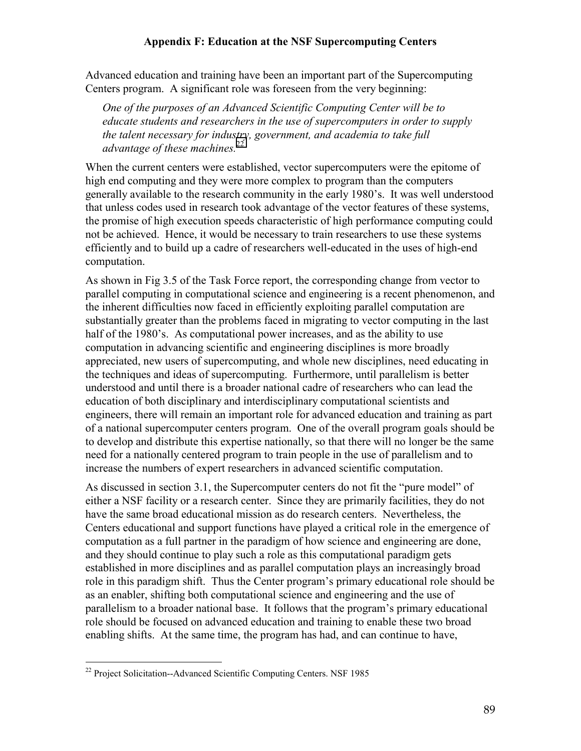Advanced education and training have been an important part of the Supercomputing Centers program. A significant role was foreseen from the very beginning:

*One of the purposes of an Advanced Scientific Computing Center will be to educate students and researchers in the use of supercomputers in order to supply the talent necessary for industry, government, and academia to take full advantage of these machines.*<sup>22</sup>

When the current centers were established, vector supercomputers were the epitome of high end computing and they were more complex to program than the computers generally available to the research community in the early 1980's. It was well understood that unless codes used in research took advantage of the vector features of these systems, the promise of high execution speeds characteristic of high performance computing could not be achieved. Hence, it would be necessary to train researchers to use these systems efficiently and to build up a cadre of researchers well-educated in the uses of high-end computation.

As shown in Fig 3.5 of the Task Force report, the corresponding change from vector to parallel computing in computational science and engineering is a recent phenomenon, and the inherent difficulties now faced in efficiently exploiting parallel computation are substantially greater than the problems faced in migrating to vector computing in the last half of the 1980's. As computational power increases, and as the ability to use computation in advancing scientific and engineering disciplines is more broadly appreciated, new users of supercomputing, and whole new disciplines, need educating in the techniques and ideas of supercomputing. Furthermore, until parallelism is better understood and until there is a broader national cadre of researchers who can lead the education of both disciplinary and interdisciplinary computational scientists and engineers, there will remain an important role for advanced education and training as part of a national supercomputer centers program. One of the overall program goals should be to develop and distribute this expertise nationally, so that there will no longer be the same need for a nationally centered program to train people in the use of parallelism and to increase the numbers of expert researchers in advanced scientific computation.

As discussed in section 3.1, the Supercomputer centers do not fit the "pure model" of either a NSF facility or a research center. Since they are primarily facilities, they do not have the same broad educational mission as do research centers. Nevertheless, the Centers educational and support functions have played a critical role in the emergence of computation as a full partner in the paradigm of how science and engineering are done, and they should continue to play such a role as this computational paradigm gets established in more disciplines and as parallel computation plays an increasingly broad role in this paradigm shift. Thus the Center program's primary educational role should be as an enabler, shifting both computational science and engineering and the use of parallelism to a broader national base. It follows that the program's primary educational role should be focused on advanced education and training to enable these two broad enabling shifts. At the same time, the program has had, and can continue to have,

 $\overline{a}$ 

<sup>&</sup>lt;sup>22</sup> Project Solicitation--Advanced Scientific Computing Centers. NSF 1985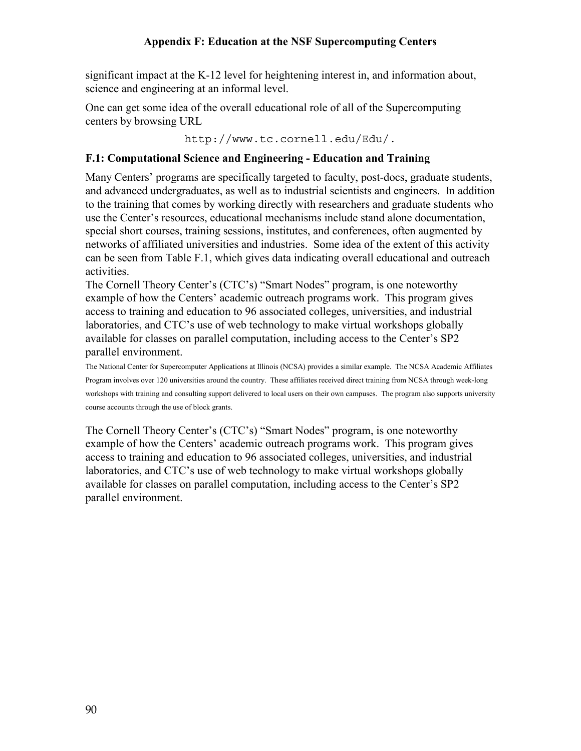significant impact at the K-12 level for heightening interest in, and information about, science and engineering at an informal level.

One can get some idea of the overall educational role of all of the Supercomputing centers by browsing URL

http://www.tc.cornell.edu/Edu/.

#### **F.1: Computational Science and Engineering - Education and Training**

Many Centers' programs are specifically targeted to faculty, post-docs, graduate students, and advanced undergraduates, as well as to industrial scientists and engineers. In addition to the training that comes by working directly with researchers and graduate students who use the Center's resources, educational mechanisms include stand alone documentation, special short courses, training sessions, institutes, and conferences, often augmented by networks of affiliated universities and industries. Some idea of the extent of this activity can be seen from Table F.1, which gives data indicating overall educational and outreach activities.

The Cornell Theory Center's (CTC's) "Smart Nodes" program, is one noteworthy example of how the Centers' academic outreach programs work. This program gives access to training and education to 96 associated colleges, universities, and industrial laboratories, and CTC's use of web technology to make virtual workshops globally available for classes on parallel computation, including access to the Center's SP2 parallel environment.

The National Center for Supercomputer Applications at Illinois (NCSA) provides a similar example. The NCSA Academic Affiliates Program involves over 120 universities around the country. These affiliates received direct training from NCSA through week-long workshops with training and consulting support delivered to local users on their own campuses. The program also supports university course accounts through the use of block grants.

The Cornell Theory Center's (CTC's) "Smart Nodes" program, is one noteworthy example of how the Centers' academic outreach programs work. This program gives access to training and education to 96 associated colleges, universities, and industrial laboratories, and CTC's use of web technology to make virtual workshops globally available for classes on parallel computation, including access to the Center's SP2 parallel environment.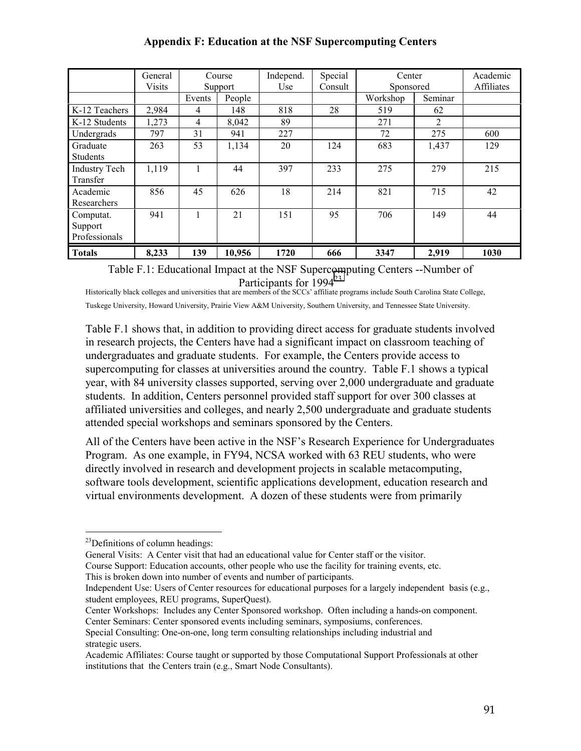|                      | General<br><b>Visits</b> |        | Course<br>Support | Independ.<br>Use | Special<br>Consult | Center<br>Sponsored |         | Academic<br>Affiliates |
|----------------------|--------------------------|--------|-------------------|------------------|--------------------|---------------------|---------|------------------------|
|                      |                          | Events | People            |                  |                    | Workshop            | Seminar |                        |
| K-12 Teachers        | 2,984                    | 4      | 148               | 818              | 28                 | 519                 | 62      |                        |
| K-12 Students        | 1,273                    | 4      | 8,042             | 89               |                    | 271                 | 2       |                        |
| Undergrads           | 797                      | 31     | 941               | 227              |                    | 72                  | 275     | 600                    |
| Graduate             | 263                      | 53     | 1,134             | 20               | 124                | 683                 | 1,437   | 129                    |
| <b>Students</b>      |                          |        |                   |                  |                    |                     |         |                        |
| <b>Industry Tech</b> | 1,119                    |        | 44                | 397              | 233                | 275                 | 279     | 215                    |
| Transfer             |                          |        |                   |                  |                    |                     |         |                        |
| Academic             | 856                      | 45     | 626               | 18               | 214                | 821                 | 715     | 42                     |
| Researchers          |                          |        |                   |                  |                    |                     |         |                        |
| Computat.            | 941                      |        | 21                | 151              | 95                 | 706                 | 149     | 44                     |
| Support              |                          |        |                   |                  |                    |                     |         |                        |
| Professionals        |                          |        |                   |                  |                    |                     |         |                        |
| <b>Totals</b>        | 8,233                    | 139    | 10,956            | 1720             | 666                | 3347                | 2,919   | 1030                   |

Table F.1: Educational Impact at the NSF Supercomputing Centers --Number of Participants for 1994<sup>23</sup>

Historically black colleges and universities that are members of the SCCs' affiliate programs include South Carolina State College, Tuskege University, Howard University, Prairie View A&M University, Southern University, and Tennessee State University.

Table F.1 shows that, in addition to providing direct access for graduate students involved in research projects, the Centers have had a significant impact on classroom teaching of undergraduates and graduate students. For example, the Centers provide access to supercomputing for classes at universities around the country. Table F.1 shows a typical year, with 84 university classes supported, serving over 2,000 undergraduate and graduate students. In addition, Centers personnel provided staff support for over 300 classes at affiliated universities and colleges, and nearly 2,500 undergraduate and graduate students attended special workshops and seminars sponsored by the Centers.

All of the Centers have been active in the NSF's Research Experience for Undergraduates Program. As one example, in FY94, NCSA worked with 63 REU students, who were directly involved in research and development projects in scalable metacomputing, software tools development, scientific applications development, education research and virtual environments development. A dozen of these students were from primarily

 $\overline{a}$ 

 $^{23}$ Definitions of column headings:

General Visits: A Center visit that had an educational value for Center staff or the visitor. Course Support: Education accounts, other people who use the facility for training events, etc.

This is broken down into number of events and number of participants.

Independent Use: Users of Center resources for educational purposes for a largely independent basis (e.g., student employees, REU programs, SuperQuest).

Center Workshops: Includes any Center Sponsored workshop. Often including a hands-on component. Center Seminars: Center sponsored events including seminars, symposiums, conferences.

Special Consulting: One-on-one, long term consulting relationships including industrial and strategic users.

Academic Affiliates: Course taught or supported by those Computational Support Professionals at other institutions that the Centers train (e.g., Smart Node Consultants).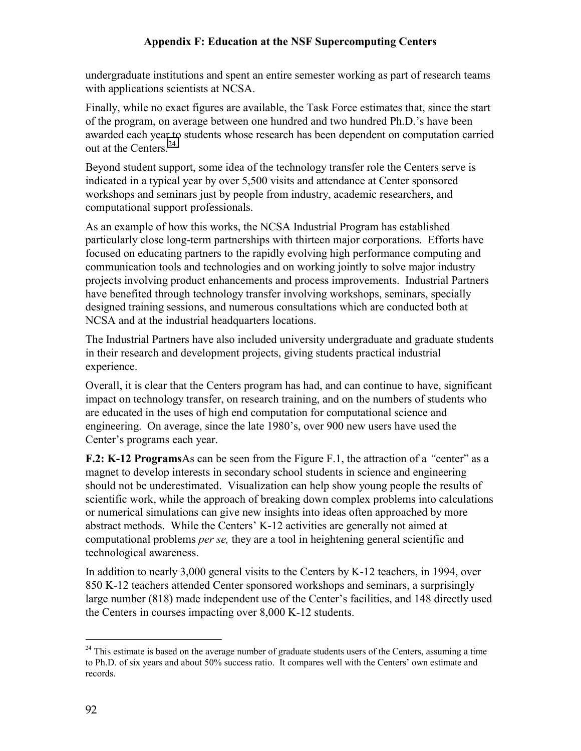undergraduate institutions and spent an entire semester working as part of research teams with applications scientists at NCSA.

Finally, while no exact figures are available, the Task Force estimates that, since the start of the program, on average between one hundred and two hundred Ph.D.'s have been awarded each year to students whose research has been dependent on computation carried out at the Centers.<sup>24</sup>

Beyond student support, some idea of the technology transfer role the Centers serve is indicated in a typical year by over 5,500 visits and attendance at Center sponsored workshops and seminars just by people from industry, academic researchers, and computational support professionals.

As an example of how this works, the NCSA Industrial Program has established particularly close long-term partnerships with thirteen major corporations. Efforts have focused on educating partners to the rapidly evolving high performance computing and communication tools and technologies and on working jointly to solve major industry projects involving product enhancements and process improvements. Industrial Partners have benefited through technology transfer involving workshops, seminars, specially designed training sessions, and numerous consultations which are conducted both at NCSA and at the industrial headquarters locations.

The Industrial Partners have also included university undergraduate and graduate students in their research and development projects, giving students practical industrial experience.

Overall, it is clear that the Centers program has had, and can continue to have, significant impact on technology transfer, on research training, and on the numbers of students who are educated in the uses of high end computation for computational science and engineering. On average, since the late 1980's, over 900 new users have used the Center's programs each year.

**F.2: K-12 Programs**As can be seen from the Figure F.1, the attraction of a *"*center" as a magnet to develop interests in secondary school students in science and engineering should not be underestimated. Visualization can help show young people the results of scientific work, while the approach of breaking down complex problems into calculations or numerical simulations can give new insights into ideas often approached by more abstract methods. While the Centers' K-12 activities are generally not aimed at computational problems *per se,* they are a tool in heightening general scientific and technological awareness.

In addition to nearly 3,000 general visits to the Centers by K-12 teachers, in 1994, over 850 K-12 teachers attended Center sponsored workshops and seminars, a surprisingly large number (818) made independent use of the Center's facilities, and 148 directly used the Centers in courses impacting over 8,000 K-12 students.

 $\overline{a}$ 

<sup>&</sup>lt;sup>24</sup> This estimate is based on the average number of graduate students users of the Centers, assuming a time to Ph.D. of six years and about 50% success ratio. It compares well with the Centers' own estimate and records.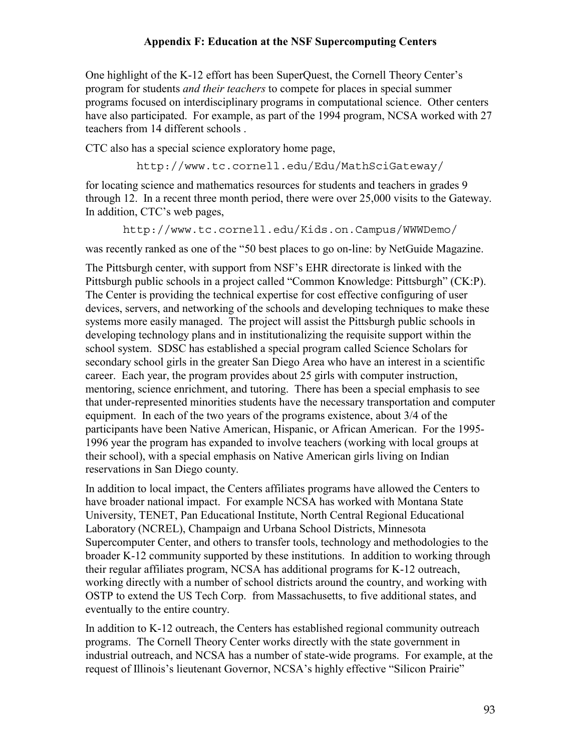One highlight of the K-12 effort has been SuperQuest, the Cornell Theory Center's program for students *and their teachers* to compete for places in special summer programs focused on interdisciplinary programs in computational science. Other centers have also participated. For example, as part of the 1994 program, NCSA worked with 27 teachers from 14 different schools .

CTC also has a special science exploratory home page,

http://www.tc.cornell.edu/Edu/MathSciGateway/

for locating science and mathematics resources for students and teachers in grades 9 through 12. In a recent three month period, there were over 25,000 visits to the Gateway. In addition, CTC's web pages,

http://www.tc.cornell.edu/Kids.on.Campus/WWWDemo/

was recently ranked as one of the "50 best places to go on-line: by NetGuide Magazine.

The Pittsburgh center, with support from NSF's EHR directorate is linked with the Pittsburgh public schools in a project called "Common Knowledge: Pittsburgh" (CK:P). The Center is providing the technical expertise for cost effective configuring of user devices, servers, and networking of the schools and developing techniques to make these systems more easily managed. The project will assist the Pittsburgh public schools in developing technology plans and in institutionalizing the requisite support within the school system. SDSC has established a special program called Science Scholars for secondary school girls in the greater San Diego Area who have an interest in a scientific career. Each year, the program provides about 25 girls with computer instruction, mentoring, science enrichment, and tutoring. There has been a special emphasis to see that under-represented minorities students have the necessary transportation and computer equipment. In each of the two years of the programs existence, about 3/4 of the participants have been Native American, Hispanic, or African American. For the 1995- 1996 year the program has expanded to involve teachers (working with local groups at their school), with a special emphasis on Native American girls living on Indian reservations in San Diego county.

In addition to local impact, the Centers affiliates programs have allowed the Centers to have broader national impact. For example NCSA has worked with Montana State University, TENET, Pan Educational Institute, North Central Regional Educational Laboratory (NCREL), Champaign and Urbana School Districts, Minnesota Supercomputer Center, and others to transfer tools, technology and methodologies to the broader K-12 community supported by these institutions. In addition to working through their regular affiliates program, NCSA has additional programs for K-12 outreach, working directly with a number of school districts around the country, and working with OSTP to extend the US Tech Corp. from Massachusetts, to five additional states, and eventually to the entire country.

In addition to K-12 outreach, the Centers has established regional community outreach programs. The Cornell Theory Center works directly with the state government in industrial outreach, and NCSA has a number of state-wide programs. For example, at the request of Illinois's lieutenant Governor, NCSA's highly effective "Silicon Prairie"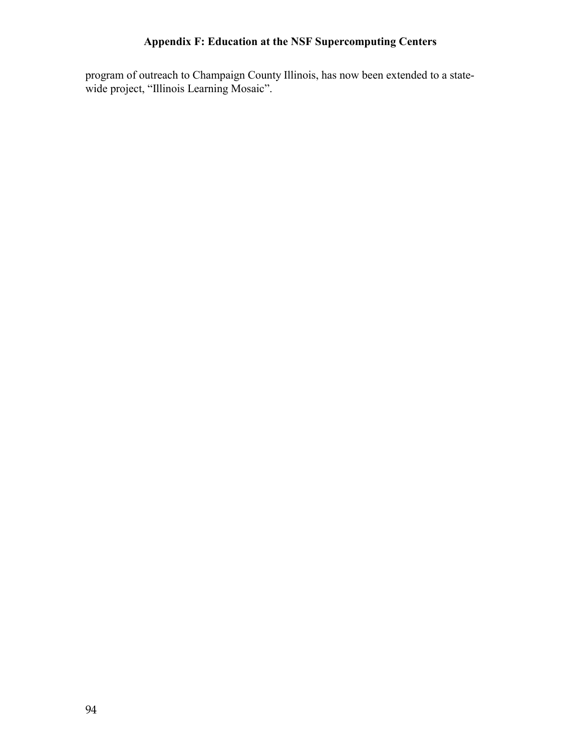program of outreach to Champaign County Illinois, has now been extended to a statewide project, "Illinois Learning Mosaic".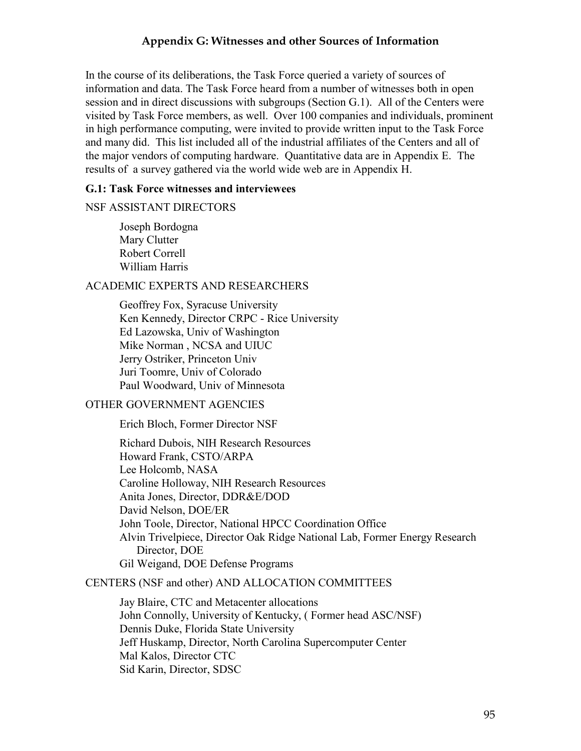#### **Appendix G: Witnesses and other Sources of Information**

In the course of its deliberations, the Task Force queried a variety of sources of information and data. The Task Force heard from a number of witnesses both in open session and in direct discussions with subgroups (Section G.1). All of the Centers were visited by Task Force members, as well. Over 100 companies and individuals, prominent in high performance computing, were invited to provide written input to the Task Force and many did. This list included all of the industrial affiliates of the Centers and all of the major vendors of computing hardware. Quantitative data are in Appendix E. The results of a survey gathered via the world wide web are in Appendix H.

#### **G.1: Task Force witnesses and interviewees**

#### NSF ASSISTANT DIRECTORS

Joseph Bordogna Mary Clutter Robert Correll William Harris

#### ACADEMIC EXPERTS AND RESEARCHERS

Geoffrey Fox, Syracuse University Ken Kennedy, Director CRPC - Rice University Ed Lazowska, Univ of Washington Mike Norman , NCSA and UIUC Jerry Ostriker, Princeton Univ Juri Toomre, Univ of Colorado Paul Woodward, Univ of Minnesota

#### OTHER GOVERNMENT AGENCIES

Erich Bloch, Former Director NSF

Richard Dubois, NIH Research Resources Howard Frank, CSTO/ARPA Lee Holcomb, NASA Caroline Holloway, NIH Research Resources Anita Jones, Director, DDR&E/DOD David Nelson, DOE/ER John Toole, Director, National HPCC Coordination Office Alvin Trivelpiece, Director Oak Ridge National Lab, Former Energy Research Director, DOE Gil Weigand, DOE Defense Programs

#### CENTERS (NSF and other) AND ALLOCATION COMMITTEES

Jay Blaire, CTC and Metacenter allocations John Connolly, University of Kentucky, ( Former head ASC/NSF) Dennis Duke, Florida State University Jeff Huskamp, Director, North Carolina Supercomputer Center Mal Kalos, Director CTC Sid Karin, Director, SDSC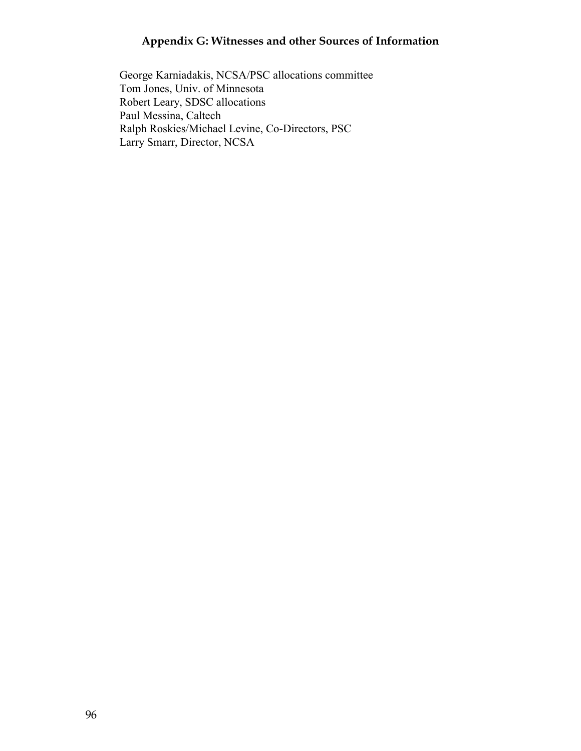# **Appendix G: Witnesses and other Sources of Information**

George Karniadakis, NCSA/PSC allocations committee Tom Jones, Univ. of Minnesota Robert Leary, SDSC allocations Paul Messina, Caltech Ralph Roskies/Michael Levine, Co-Directors, PSC Larry Smarr, Director, NCSA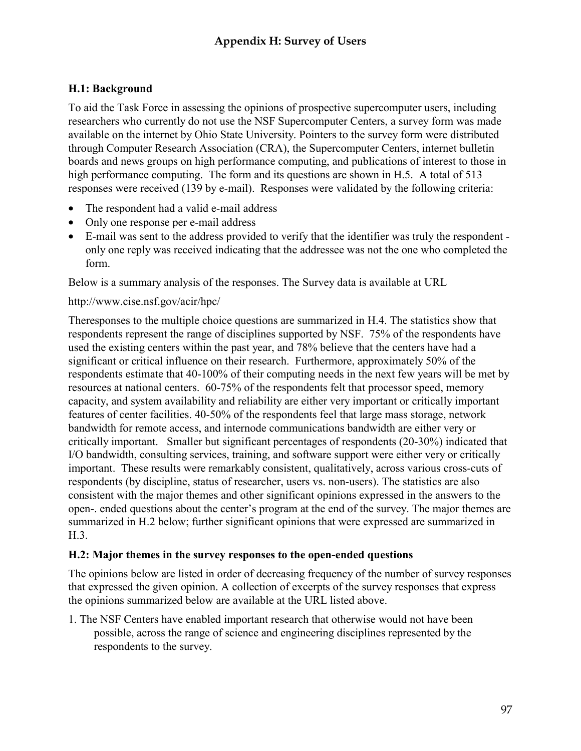## **H.1: Background**

To aid the Task Force in assessing the opinions of prospective supercomputer users, including researchers who currently do not use the NSF Supercomputer Centers, a survey form was made available on the internet by Ohio State University. Pointers to the survey form were distributed through Computer Research Association (CRA), the Supercomputer Centers, internet bulletin boards and news groups on high performance computing, and publications of interest to those in high performance computing. The form and its questions are shown in H.5. A total of 513 responses were received (139 by e-mail). Responses were validated by the following criteria:

- The respondent had a valid e-mail address
- Only one response per e-mail address
- E-mail was sent to the address provided to verify that the identifier was truly the respondent only one reply was received indicating that the addressee was not the one who completed the form.

Below is a summary analysis of the responses. The Survey data is available at URL

### http://www.cise.nsf.gov/acir/hpc/

Theresponses to the multiple choice questions are summarized in H.4. The statistics show that respondents represent the range of disciplines supported by NSF. 75% of the respondents have used the existing centers within the past year, and 78% believe that the centers have had a significant or critical influence on their research. Furthermore, approximately 50% of the respondents estimate that 40-100% of their computing needs in the next few years will be met by resources at national centers. 60-75% of the respondents felt that processor speed, memory capacity, and system availability and reliability are either very important or critically important features of center facilities. 40-50% of the respondents feel that large mass storage, network bandwidth for remote access, and internode communications bandwidth are either very or critically important. Smaller but significant percentages of respondents (20-30%) indicated that I/O bandwidth, consulting services, training, and software support were either very or critically important. These results were remarkably consistent, qualitatively, across various cross-cuts of respondents (by discipline, status of researcher, users vs. non-users). The statistics are also consistent with the major themes and other significant opinions expressed in the answers to the open-. ended questions about the center's program at the end of the survey. The major themes are summarized in H.2 below; further significant opinions that were expressed are summarized in H.3.

### **H.2: Major themes in the survey responses to the open-ended questions**

The opinions below are listed in order of decreasing frequency of the number of survey responses that expressed the given opinion. A collection of excerpts of the survey responses that express the opinions summarized below are available at the URL listed above.

1. The NSF Centers have enabled important research that otherwise would not have been possible, across the range of science and engineering disciplines represented by the respondents to the survey.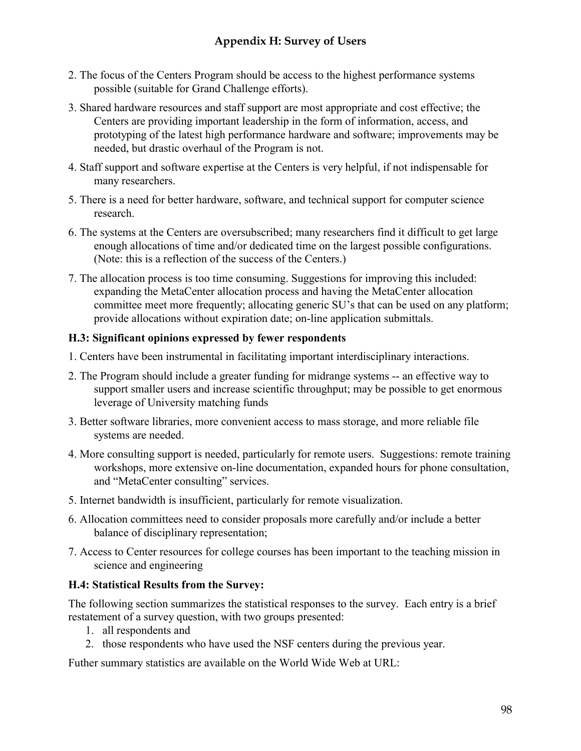- 2. The focus of the Centers Program should be access to the highest performance systems possible (suitable for Grand Challenge efforts).
- 3. Shared hardware resources and staff support are most appropriate and cost effective; the Centers are providing important leadership in the form of information, access, and prototyping of the latest high performance hardware and software; improvements may be needed, but drastic overhaul of the Program is not.
- 4. Staff support and software expertise at the Centers is very helpful, if not indispensable for many researchers.
- 5. There is a need for better hardware, software, and technical support for computer science research.
- 6. The systems at the Centers are oversubscribed; many researchers find it difficult to get large enough allocations of time and/or dedicated time on the largest possible configurations. (Note: this is a reflection of the success of the Centers.)
- 7. The allocation process is too time consuming. Suggestions for improving this included: expanding the MetaCenter allocation process and having the MetaCenter allocation committee meet more frequently; allocating generic SU's that can be used on any platform; provide allocations without expiration date; on-line application submittals.

## **H.3: Significant opinions expressed by fewer respondents**

- 1. Centers have been instrumental in facilitating important interdisciplinary interactions.
- 2. The Program should include a greater funding for midrange systems -- an effective way to support smaller users and increase scientific throughput; may be possible to get enormous leverage of University matching funds
- 3. Better software libraries, more convenient access to mass storage, and more reliable file systems are needed.
- 4. More consulting support is needed, particularly for remote users. Suggestions: remote training workshops, more extensive on-line documentation, expanded hours for phone consultation, and "MetaCenter consulting" services.
- 5. Internet bandwidth is insufficient, particularly for remote visualization.
- 6. Allocation committees need to consider proposals more carefully and/or include a better balance of disciplinary representation;
- 7. Access to Center resources for college courses has been important to the teaching mission in science and engineering

## **H.4: Statistical Results from the Survey:**

The following section summarizes the statistical responses to the survey. Each entry is a brief restatement of a survey question, with two groups presented:

- 1. all respondents and
- 2. those respondents who have used the NSF centers during the previous year.

Futher summary statistics are available on the World Wide Web at URL: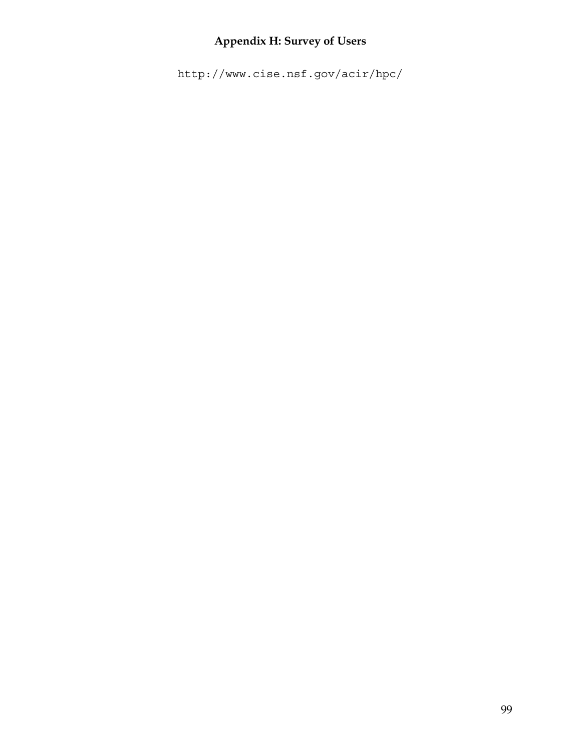## **Appendix H: Survey of Users**

http://www.cise.nsf.gov/acir/hpc/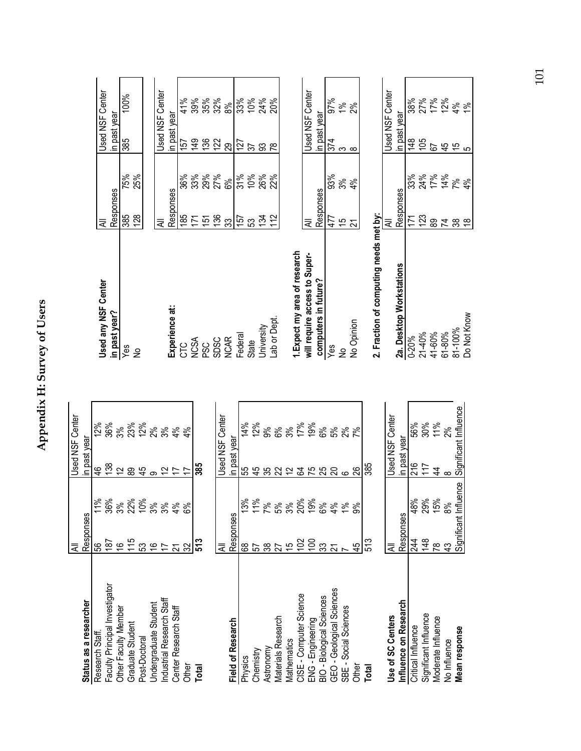|                                | ₹                     |                  | <b>Used NSF Center</b> |        |
|--------------------------------|-----------------------|------------------|------------------------|--------|
| Status as a researcher         | Responses             |                  | in past year           |        |
| Research Staff                 | မ္မ                   | 11%              | \$                     | 12%    |
| Faculty Principal Investigator | 187                   | 36%              | 138                    | 36%    |
| Other Faculty Member           | $\frac{6}{1}$         | 3%               | 12                     | 3%     |
| Graduate Student               | 115                   | 22%              | 89                     | 23%    |
| Post-Doctoral                  | 53                    | 10%              | $\frac{45}{5}$         | 12%    |
| Undergraduate Student          | $\frac{6}{5}$         | 3%               | တ                      | 2%     |
| Industrial Research Staff      | $\overline{1}$        | 3%               |                        | 3%     |
| Center Research Staff          | 21                    | 4%               | $\frac{2}{7}$          | 4%     |
| Other                          | 32                    | 6%               |                        | 4%     |
| Total                          |                       |                  | 385                    |        |
|                                |                       |                  |                        |        |
|                                | ₹                     |                  | Used NSF               | Center |
| <b>Field of Research</b>       | Responses             |                  | n past year            |        |
| Physics                        | 89                    | 3%               | 55                     | 14%    |
| Chemistry                      | 57                    | 11%              |                        | 12%    |
| Astronomy                      |                       | 7%               |                        | 9%     |
| Materials Research             | 3875                  | 5%               | おおみに                   | 6%     |
| Mathematics                    |                       | 3%               |                        | 3%     |
| CISE - Computer Science        | 102                   | 20%              | $\mathfrak{F}$         | 17%    |
| ENG - Engineering              | $\overline{5}$        | 19%              | 75                     | 19%    |
| BIO - Biological Sciences      | 33                    | 8%               |                        | 6%     |
| GEO - Geological Sciences      | $\overline{z}$        | 4%               | $\mathcal{S}$          | 5%     |
| SBE - Social Sciences          |                       | $\frac{96}{6}$   | $\circ$                | 2%     |
| Other                          | 45                    | ൭്               | 88                     | 7%     |
| Total                          | 513                   |                  | 385                    |        |
| Use of SC Centers              | ₹                     |                  | Used NSF               | Center |
| Influence on Research          | Responses             |                  | in past year           |        |
| Critical Influence             | 244                   | 48%              | 216                    | 56%    |
| Significant Influence          | 148                   |                  | 117                    | 30%    |
| Moderate Influence             | $\frac{8}{1}$         | 29%<br>15%<br>8% | 4                      | 11%    |
| No Influence                   | $\frac{3}{4}$         |                  | $\infty$               | 2%     |
| Mean response                  | Significant Influence |                  | Significant Influence  |        |

| <b>Used any NSF Center</b>             | ₹             |     | <b>Used NSF Center</b> |  |
|----------------------------------------|---------------|-----|------------------------|--|
| in past year?                          | Responses     |     | in past year           |  |
| Yes                                    | 385           | 75% | 100%<br>385            |  |
| ş                                      | 128           | 25% |                        |  |
|                                        |               |     |                        |  |
|                                        | ₹             |     | Jsed NSF Center        |  |
| Experience at:                         | Responses     |     | in past year           |  |
| 910                                    | 185           | 36% | 41%<br>157             |  |
| <b>NCSA</b>                            | 171           | 33% | 39%<br>149             |  |
| <b>SSC</b>                             | $\frac{5}{2}$ | 29% | 35%                    |  |
| <b>SDSC</b>                            |               | 27% | 32%<br>136             |  |
| <b>NCAR</b>                            | ్ల            | 6%  | 8%<br>29               |  |
| Federal                                | 157           | 31% | 33%<br>127             |  |
| State                                  | က္တ           | 10% | 10%<br>57              |  |
| University                             | 134           | 26% | 24%<br>SS              |  |
| Lab or Dept.                           | 112           | 22% | 20%<br>œ               |  |
|                                        |               |     |                        |  |
| 1. Expect my area of research          |               |     |                        |  |
| will require access to Super-          | ₹             |     | Used NSF Center        |  |
| computers in future?                   | Responses     |     | in past year           |  |
| Yes                                    | 477           | 93% | 97%<br>374             |  |
| ₹                                      | 15            | 3%  | $\frac{5}{6}$<br>S     |  |
| No Opinion                             | 21            | 4%  | న్య<br>$\infty$        |  |
| 2. Fraction of computing needs met by: |               |     |                        |  |

| State                        | 53       | $\sum_{k=1}^{\infty}$ |
|------------------------------|----------|-----------------------|
| Jniversity                   | 134      | 26%                   |
| Lab or Dept.                 | 12<br>11 | $22\%$                |
|                              |          |                       |
| . Expect my area of research |          |                       |

| 2. Fraction of computing needs met by: |           |               |                        |                |
|----------------------------------------|-----------|---------------|------------------------|----------------|
|                                        | ₹         |               | <b>Jsed NSF Center</b> |                |
| 2a. Desktop Workstations               | Responses |               | in past year           |                |
| 0-20%                                  | 71        | 33%           | $\frac{48}{1}$         | 38%            |
| 21-40%                                 | 123       | 24%           | 105                    |                |
| 41-60%                                 | တ္ထ       | 17%           | 52                     | 27%<br>17%     |
| $61 - 80%$                             | 24        | 14%           | 45                     |                |
| 81-100%                                | တ္တ       | $\frac{5}{6}$ |                        | $\frac{5}{6}$  |
| <b>Do Not Know</b>                     |           | 4%            |                        | $\frac{96}{5}$ |

# Appendix H: Survey of Users **Appendix H: Survey of Users**

101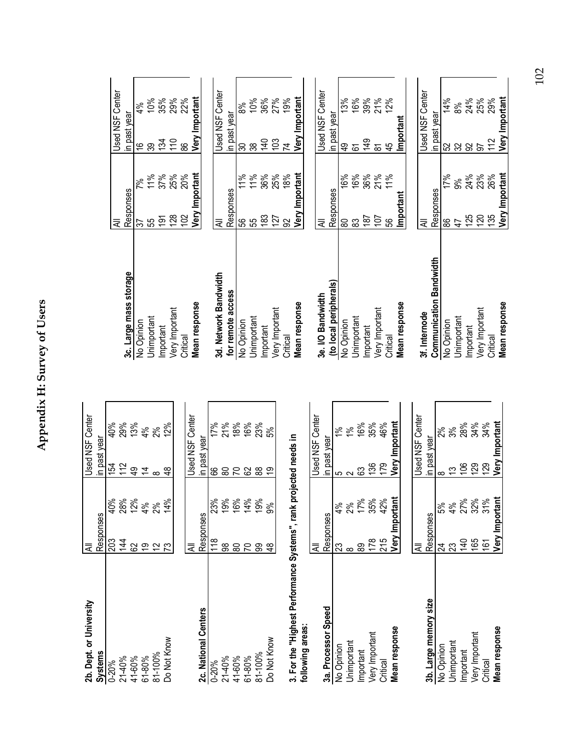|   | Ĭ               |   |  |
|---|-----------------|---|--|
|   |                 | 5 |  |
|   | ļ               |   |  |
|   |                 |   |  |
|   |                 | 1 |  |
|   |                 |   |  |
| t |                 |   |  |
|   |                 |   |  |
|   |                 |   |  |
|   |                 |   |  |
|   | j               |   |  |
|   | י<br>י יי יי יי |   |  |
|   |                 | ī |  |
|   |                 |   |  |

| 2b. Dept. or University                                           | ₹              |                          |                | <b>Used NSF Center</b> |
|-------------------------------------------------------------------|----------------|--------------------------|----------------|------------------------|
| <b>Systems</b>                                                    | Responses      |                          | in past year   |                        |
| $0 - 20%$                                                         | 203            | 40%                      | 154            | 40%                    |
| 21-40%                                                            | 144            |                          | 112            |                        |
| 41-60%                                                            | 8              | <b>28%</b><br>12%        | $\frac{6}{7}$  | 29%<br>13%<br>4%       |
| $61 - 80%$                                                        | 6              | 4%                       | $\overline{4}$ |                        |
| 81-100%                                                           | $\tilde{c}$    | 2%                       | ∞              | 2%                     |
| Do Not Know                                                       | 73             | 14%                      | Ҿ              | 12%                    |
|                                                                   |                |                          |                |                        |
|                                                                   | ₹              |                          |                | <b>Used NSF Center</b> |
| 2c. National Centers                                              | Responses      |                          | in past year   |                        |
| $0 - 20%$                                                         | $\frac{8}{10}$ |                          | 8              | 17%                    |
| 21-40%                                                            | န္တ            | 23%<br>19%               | 80             | 21%                    |
| 41-60%                                                            | 80             |                          | 5              |                        |
| $61 - 80%$                                                        | 20             | <b>16%</b><br>14%<br>19% | 62             | 18%<br>16%<br>23%      |
| 81-100%                                                           | 8              |                          | 88             |                        |
| Do Not Know                                                       | $\frac{8}{4}$  | ട്                       | $\overline{9}$ | 5%                     |
|                                                                   |                |                          |                |                        |
| 3. For the "Highest Performance Systems", rank projected needs in |                |                          |                |                        |
| following areas:                                                  |                |                          |                |                        |
|                                                                   | ₹              |                          |                | <b>Jsed NSF Center</b> |
| 3a. Processor Speed                                               | Responses      |                          | in past year   |                        |
| No Opinion                                                        | 23             | 4%                       | 5              | $\geq$                 |
| Unimportant                                                       | $\infty$       | 2%                       | $\sim$         | $\frac{8}{5}$          |
| Important                                                         | 8              | 17%<br>35%               | යි             | 16%<br>35%             |
| Very Important                                                    | 178            |                          | 136            |                        |
| Critical                                                          | 215            | 42%                      | 179            | 46%                    |
| Mean response                                                     | Very Important |                          |                | Very Important         |

| $\frac{1}{2}$ , $\frac{1}{2}$ , $\frac{1}{2}$ , $\frac{1}{2}$ , $\frac{1}{2}$ | $\frac{1}{2}$  | $\frac{1}{2}$ | $\frac{2}{3}$   | $\frac{1}{2}$ |  |
|-------------------------------------------------------------------------------|----------------|---------------|-----------------|---------------|--|
| Critical                                                                      | 215            | 42%           | 179             | 46%           |  |
| Mean response                                                                 | Very Important |               | Very Important  |               |  |
|                                                                               |                |               |                 |               |  |
|                                                                               |                |               | Jsed NSF Center |               |  |
| 3b. Large memory size                                                         | Responses      |               | in past year    |               |  |
| No Opinion                                                                    |                | 5%            |                 | న్            |  |
| Jnimportant                                                                   |                | 4%            |                 | $3\%$         |  |
| Important                                                                     | $\frac{1}{4}$  | 27%           | S               |               |  |
| Very Important                                                                | 165            | 32%           | $\mathbb{S}^2$  | 28%<br>34%    |  |
| Critical                                                                      | 161            | 31%           | <u>87</u>       | 34%           |  |
| Mean response                                                                 | Very Important |               | Very Important  |               |  |
|                                                                               |                |               |                 |               |  |

|                                | ₹              |                | Used NSF Center            |
|--------------------------------|----------------|----------------|----------------------------|
| 3c. Large mass storage         | Responses      |                | in past year               |
| No Opinion                     | 57             | 7%             | 4%<br>$\frac{6}{1}$        |
| Jnimportant                    | 55             | 11%            | 10%<br>89                  |
| Important                      | $\frac{5}{2}$  | 37%            | 35%<br>$\frac{34}{5}$      |
| Very Important                 | 128            | 25%            | 29%<br>110                 |
| Critical                       | 102            | 20%            | 22%<br>88                  |
| Mean response                  | Very Important |                | Very Important             |
|                                |                |                |                            |
| 3d. Network Bandwidth          | ₹              |                | Used NSF Center            |
| for remote access              | Responses      |                | in past year               |
| No Opinion                     | မွ             | $\frac{8}{11}$ | 8%<br>80                   |
| Jnimportant                    | 55             | 11%            | 10%<br>38                  |
| Important                      | 183            | 36%            | 36%<br>$\frac{40}{5}$      |
| Very Important                 | 127            | 25%            | 27%<br>103                 |
| Critical                       | S              | 18%            | 19%<br>$\overline{z}$      |
| Mean response                  | Very Important |                | Very Important             |
|                                |                |                |                            |
| 3e. I/O Bandwidth              | ₹              |                | <b>Used NSF Center</b>     |
| (to local peripherals)         | Responses      |                | in past year               |
| No Opinion                     | 8              | 16%            | 13%<br>ą,                  |
| Unimportant                    | <u>ဆွ</u>      | 16%            | 16%<br><u>යි</u>           |
| Important                      | 187            | 36%            | 39%<br>149                 |
| Very Important                 | 107            | 21%            | 21%<br>$\overline{\infty}$ |
| Critical                       | 99             | 11%            | 12%<br>45                  |
| Mean response                  | Important      |                | Important                  |
|                                |                |                |                            |
| 3f. Internode                  | ₹              |                | Center<br>Used NSF         |
| <b>Communication Bandwidth</b> | Responses      |                | in past year               |
| No Opinion                     | 88             | 17%            | 14%                        |
| Unimportant                    | $\overline{4}$ | ೫              | 8%<br>52 32                |
| Important                      | 125            | 24%            | 24%<br>$\infty$            |
| Very Important                 | 120            | 23%            | 25%<br>57                  |
| Critical                       | 135            | 26%            | 29%<br>112                 |
| Mean response                  | Very Important |                | Very Important             |

102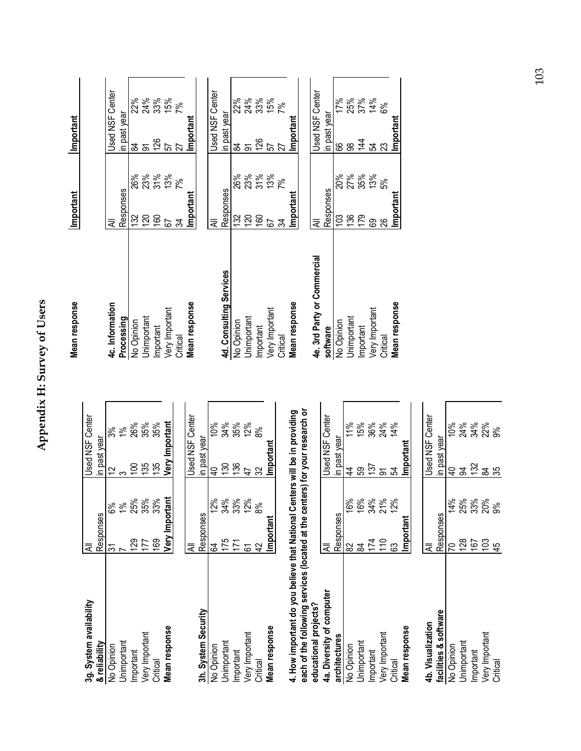Appendix H: Survey of Users **Appendix H: Survey of Users** 

| 3g. System availability                                                                                                                                                             | ₹              |               | <b>Used NSF Center</b> |                |
|-------------------------------------------------------------------------------------------------------------------------------------------------------------------------------------|----------------|---------------|------------------------|----------------|
| & reliability                                                                                                                                                                       | Responses      |               | in past year           |                |
| No Opinion                                                                                                                                                                          | స్             | ಠಿಸಿ          | 51                     | 3%             |
| Unimportant                                                                                                                                                                         |                | $\frac{8}{3}$ | က                      | $\frac{56}{5}$ |
| Important                                                                                                                                                                           | <b>29</b>      | 25%           | $\overline{100}$       | 26%            |
| Very Important                                                                                                                                                                      | 177            | 35%           | 135                    | 35%            |
| Critical                                                                                                                                                                            | 169            | 33%           | 135                    | 35%            |
| Mean response                                                                                                                                                                       | Very Important |               | Very Important         |                |
|                                                                                                                                                                                     |                |               |                        |                |
|                                                                                                                                                                                     | ₹              |               | Used NSF Center        |                |
| 3h. System Security                                                                                                                                                                 | Responses      |               | in past year           |                |
| No Opinion                                                                                                                                                                          | S4             | 12%           | ¥                      | 10%            |
| Unimportant                                                                                                                                                                         | 175            | 34%           | 130                    | 34%            |
| Important                                                                                                                                                                           | 171            | 33%           | 136                    | 35%            |
| Very Important                                                                                                                                                                      | <u>යි</u>      | 12%           | $\overline{4}$         | 12%            |
| Critical                                                                                                                                                                            | $\overline{4}$ | 8%            | $\mathfrak{B}$         | 8%             |
| Mean response                                                                                                                                                                       | Important      |               | Important              |                |
| each of the following services (located at the centers) for your research or<br>4. How important do you believe that National Centers will be in providing<br>educational projects? |                |               |                        |                |
| 4a. Diversity of computer                                                                                                                                                           | ₹              |               | Used NSF               | Center         |
| architectures                                                                                                                                                                       | Responses      |               | in past yea            |                |
| No Opinion                                                                                                                                                                          | 82             | 16%           | 4                      | 11%            |
| Jnimportant                                                                                                                                                                         | ಹ              | 16%           | 59                     | 15%            |
| Important                                                                                                                                                                           | 174            | 34%           | 137                    | 36%            |
| Very Important                                                                                                                                                                      | 110            | 21%           | $\overline{5}$         | 24%            |
| Critical                                                                                                                                                                            | යි             | 12%           | 54                     | 14%            |
| Mean response                                                                                                                                                                       | Important      |               | Important              |                |
|                                                                                                                                                                                     |                |               |                        |                |
| 4b. Visualization                                                                                                                                                                   | ₹              |               | Used NSF               | Center         |
| software<br>facilities &                                                                                                                                                            | Responses      |               | past year<br>$\equiv$  |                |
| No Opinion                                                                                                                                                                          | 20             | 14%           | ş                      | 10%            |
| Jnimportant                                                                                                                                                                         | 128            | 25%           | 3                      | 24%            |
| Important                                                                                                                                                                           | 167            | 33%           | 132                    | 34%            |
| Very Important                                                                                                                                                                      | 103            | 20%           | $\overline{8}$         | 22%            |
| Critical                                                                                                                                                                            | 45             | გ×<br>თ       | 35                     | 9%             |

| Mean response               | Important |            | Important              |               |
|-----------------------------|-----------|------------|------------------------|---------------|
|                             |           |            |                        |               |
| 4c. Information             | ₹         |            | <b>Jsed NSF Center</b> |               |
| Processing                  | Responses |            | in past year           |               |
| No Opinion                  | 132       | 26%        | 84                     | 22%           |
| Jnimportant                 | 120       | 23%        | ଚ                      | 24%           |
| Important                   | 160       | 31%<br>13% | $126$<br>$57$          |               |
| Very Important              | 5         |            |                        | 33%<br>15%    |
| Critical                    | ಸ         | 7%         | 27                     | $\frac{5}{6}$ |
| Mean response               | Important |            | Important              |               |
|                             |           |            |                        |               |
|                             | ₹         |            | Jsed NSF Center        |               |
| 4d. Consulting Services     | Responses |            | in past year           |               |
| No Opinion                  | 132       | 26%        | $\frac{8}{4}$          | 22%           |
| Jnimportant                 | 120       | 23%        | ৯                      | 24%           |
| Important                   | 160       | 31%        | 126                    | 33%           |
| Very Important              | 5         | 13%        | 57                     | 15%           |
| Critical                    | 54        | 7%         | 27                     | $7\%$         |
| Mean response               | Important |            | Important              |               |
|                             |           |            |                        |               |
| 4e. 3rd Party or Commercial | ₹         |            | <b>Jsed NSF Center</b> |               |
| software                    | Responses |            | in past year           |               |
| No Opinion                  | 103       | 20%        | 89                     | 17%           |
| Jnimportant                 | 136       | 27%        | 88                     | 25%           |
| Important                   | 179       | 35%        | 144                    | 37%<br>14%    |
| Very Important              | 89        | 13%        | 54                     |               |
| Critical                    | 26        | 5%         | 23                     | 6%            |
| Mean response               | Important |            | Important              |               |

103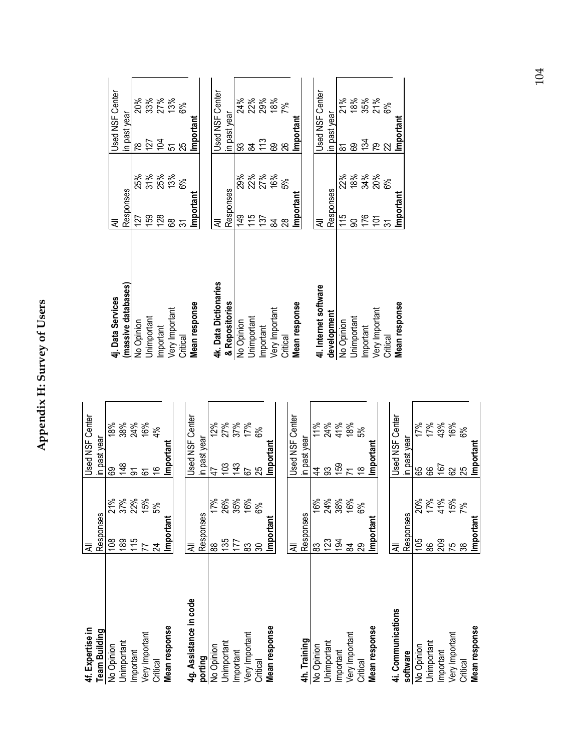# Appendix H: Survey of Users **Appendix H: Survey of Users**

| 4f. Expertise in       | ₹              |            | Used NSF Center        |
|------------------------|----------------|------------|------------------------|
| <b>Team Building</b>   | Responses      |            | in past year           |
| No Opinion             | $\frac{8}{10}$ | 21%        | 18%<br>ဥ               |
| Unimportant            | $\frac{89}{2}$ | 37%        | 38%<br>148             |
| Important              | 115            | 22%        | 24%<br>ଚ୍ଚ             |
| Very Important         | 77             | 15%        | 16%<br>67              |
| Critical               | $\overline{z}$ | 5%         | 4%<br>$\frac{6}{5}$    |
| Mean response          | Important      |            | Important              |
|                        |                |            |                        |
| 4g. Assistance in code | ₹              |            | <b>Jsed NSF Center</b> |
| porting                | Responses      |            | in past year           |
| No Opinion             | 88             | 17%        | 12%<br>47              |
| Jnimportant            | 135            | 26%        | 27%<br>103             |
| Important              | 177            | 35%        | 37%<br>$\frac{43}{5}$  |
| Very Important         | <u>တွ</u>      | 16%        | 17%<br>5               |
| Critical               | 80             | 6%         | 8%<br>25               |
| Mean response          | Important      |            | Important              |
|                        |                |            |                        |
|                        | ₹              |            | <b>Jsed NSF Center</b> |
| 4h. Training           | Responses      |            | in past year           |
| No Opinion             | 83             | 16%        | 11%<br>$\frac{4}{3}$   |
| Unimportant            | 123            | 24%        | 24%<br>္တ              |
| Important              | 194            | 38%<br>16% | 41%<br>159             |
| Very Important         | S4             |            | 18%<br>$\overline{1}$  |
| Critical               | 29             | 6%         | 5%<br>$\frac{8}{1}$    |
| Mean response          | Important      |            | Important              |
|                        |                |            |                        |
| 4i. Communications     | ₹              |            | Center<br>Used NSF     |
| software               | Responses      |            | in past year           |
| No Opinion             | 105            | 20%        | 17%<br>89              |
| Unimportant            | 88             | 17%        | 17%<br>89              |
| Important              | 209            | 41%        | 43%<br>167             |
| Very Important         | 75             | 15%        | 16%<br>62              |
| Critical               | 38             | 7%         | 6%<br>25               |
| Mean response          | Important      |            | Important              |

| 4j. Data Services     | ₹              |            |                | <b>Used NSF Center</b> |
|-----------------------|----------------|------------|----------------|------------------------|
| (massive databases)   | Responses      |            | in past year   |                        |
| No Opinion            | 127            | 25%        | $\frac{8}{2}$  | 20%                    |
| Jnimportant           | 159            | 31%        | 127            |                        |
| Important             | 128            | 25%<br>13% | $\overline{5}$ | 33<br>27<br>13%        |
| Very Important        | 8              |            | 5              |                        |
| Critical              | స్             | 6%         | 25             | 8%                     |
| Mean response         | Important      |            | Important      |                        |
|                       |                |            |                |                        |
| 4k. Data Dictionaries | ₹              |            |                | <b>Used NSF Center</b> |
| & Repositories        | Responses      |            | in past year   |                        |
| No Opinion            | $\frac{49}{5}$ | 29%        | ဌ              | 24%                    |
| Jnimportant           | 115            | 22%        | 84             | 22%                    |
| Important             | 137            | 27%<br>16% | 13             | 29%                    |
| Very Important        | S4             |            | 89             | 18%                    |
| Critical              | 28             | 5%         | 26             | $7\%$                  |
| Mean response         | Importan       |            | Important      |                        |
|                       |                |            |                |                        |
| 41. Internet software | ₹              |            |                | <b>Used NSF Center</b> |
| development           | Responses      |            | in past year   |                        |
| No Opinion            | $\frac{21}{1}$ | 22%        | ౚ              | 21%                    |
| Jnimportant           | Ձ              | 18%        | ගි             | 18%                    |
| Important             | 176            | 34%        | 134            | 35%                    |
| Very Important        | $\overline{5}$ | 20%        | <u>ನಿ</u>      | 21%                    |
| Critical              | ᠷ              | 6%         |                | 6%                     |
| Mean response         | Important      |            | Important      |                        |
|                       |                |            |                |                        |

104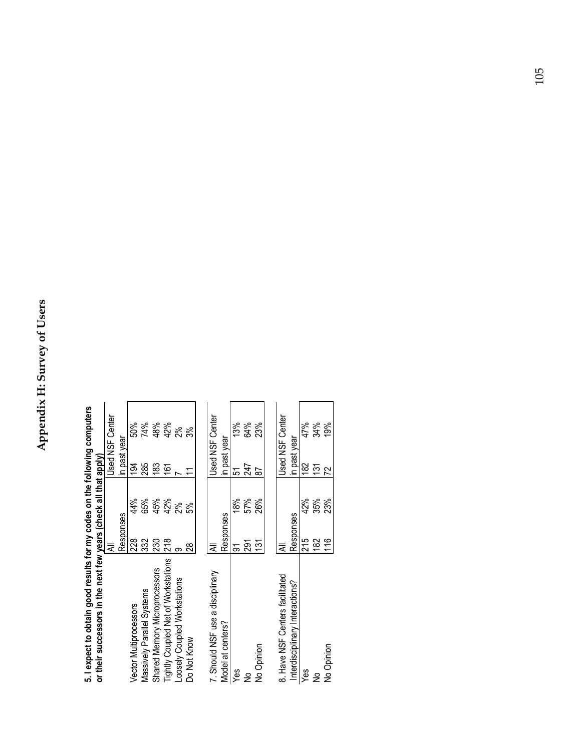| י לא האמונוס איז האמונוס איז האמונוס או האמונוס או האמונוס או האמונוס או האמונוס או האמונוס או האמונוס או האמו<br>or their successors in the next few years (check all that apply) |                |     |                          |     |
|------------------------------------------------------------------------------------------------------------------------------------------------------------------------------------|----------------|-----|--------------------------|-----|
|                                                                                                                                                                                    |                |     | Used NSF Center          |     |
|                                                                                                                                                                                    | Responses      |     | in past year             |     |
| Vector Multiprocessors                                                                                                                                                             | 228            | 44% | $\widetilde{\mathrm{g}}$ | 50% |
| Massively Parallel Systems                                                                                                                                                         | 332            | 65% | 285                      | 74% |
| Shared Memory Microprocessors                                                                                                                                                      | 230            | 45% | 183                      | 48% |
| <b>Tightly Coupled Net of Workstations</b>                                                                                                                                         | 218            | 42% | $\widetilde{6}$          | 42% |
| Loosely Coupled Workstations                                                                                                                                                       | တ              | 2%  | 2%                       |     |
| Do Not Know                                                                                                                                                                        | జ              | 5%  | ళ్లే<br>Ξ                |     |
|                                                                                                                                                                                    |                |     |                          |     |
| 7. Should NSF use a disciplinary                                                                                                                                                   | ₹              |     | Used NSF Center          |     |
| Model at centers?                                                                                                                                                                  | Responses      |     | in past year             |     |
| Yes                                                                                                                                                                                | ৯              | 18% | 5                        | 13% |
| ₴                                                                                                                                                                                  | <u>ରୁ</u>      | 57% | 247                      | 64% |
| No Opinion                                                                                                                                                                         | $\frac{13}{1}$ | 26% | 59                       | 23% |
|                                                                                                                                                                                    |                |     |                          |     |
| 8. Have NSF Centers facilitated                                                                                                                                                    | ⋜              |     | <b>Used NSF Center</b>   |     |
| Interdisciplinary Interactions?                                                                                                                                                    | Responses      |     | in past year             |     |
| Yes                                                                                                                                                                                | 215            | 42% | $\frac{2}{8}$            | 47% |
| ş                                                                                                                                                                                  | $\frac{82}{5}$ | 35% | $\frac{5}{13}$           | 34% |
| No Opinion                                                                                                                                                                         | 116            | 23% | 22                       | 19% |
|                                                                                                                                                                                    |                |     |                          |     |

**5. I expect to obtain good results for my codes on the following computers**  5. Lexpect to obtain good results for my codes on the following computers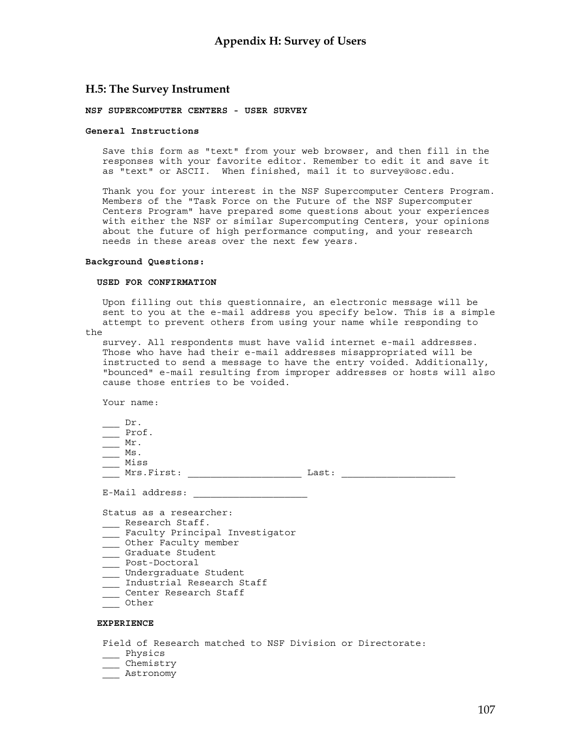#### **H.5: The Survey Instrument**

#### **NSF SUPERCOMPUTER CENTERS - USER SURVEY**

#### **General Instructions**

Save this form as "text" from your web browser, and then fill in the responses with your favorite editor. Remember to edit it and save it as "text" or ASCII. When finished, mail it to survey@osc.edu.

Thank you for your interest in the NSF Supercomputer Centers Program. Members of the "Task Force on the Future of the NSF Supercomputer Centers Program" have prepared some questions about your experiences with either the NSF or similar Supercomputing Centers, your opinions about the future of high performance computing, and your research needs in these areas over the next few years.

#### **Background Questions:**

#### **USED FOR CONFIRMATION**

Upon filling out this questionnaire, an electronic message will be sent to you at the e-mail address you specify below. This is a simple attempt to prevent others from using your name while responding to

the

survey. All respondents must have valid internet e-mail addresses. Those who have had their e-mail addresses misappropriated will be instructed to send a message to have the entry voided. Additionally, "bounced" e-mail resulting from improper addresses or hosts will also cause those entries to be voided.

Your name:

- $\rightharpoonup$  Dr.
- \_\_\_ Prof.
- $\frac{Mr}{r}$ .
- $\frac{M}{2}$  Ms.
- \_\_\_ Miss

\_\_\_ Mrs.First: \_\_\_\_\_\_\_\_\_\_\_\_\_\_\_\_\_\_\_\_ Last: \_\_\_\_\_\_\_\_\_\_\_\_\_\_\_\_\_\_\_\_

E-Mail address:

Status as a researcher:

- \_\_\_ Research Staff.
- \_\_\_ Faculty Principal Investigator
- \_\_\_\_ Other Faculty member
- \_\_\_ Graduate Student
- \_\_\_ Post-Doctoral
- \_\_\_ Undergraduate Student
- \_\_\_ Industrial Research Staff
- \_\_\_ Center Research Staff \_\_\_ Other
- 

#### **EXPERIENCE**

Field of Research matched to NSF Division or Directorate:

- \_\_ Physics
- \_\_\_ Chemistry
- \_\_\_ Astronomy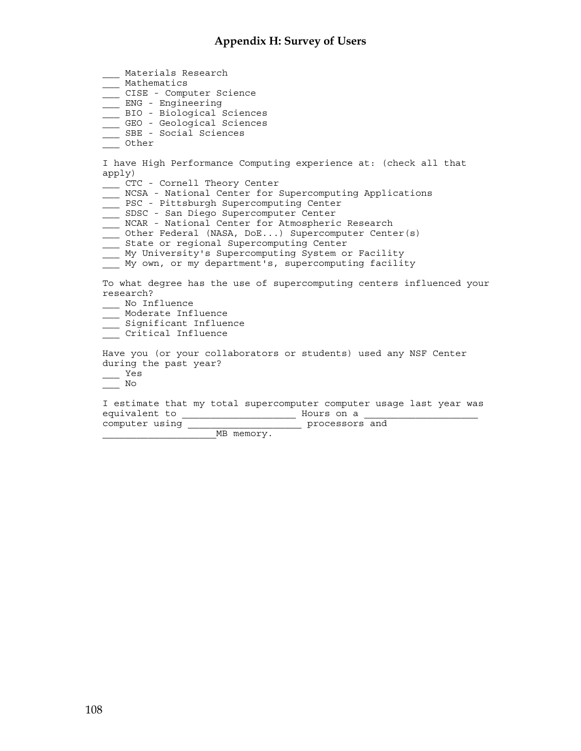\_\_\_ Materials Research \_\_\_ Mathematics \_\_\_ CISE - Computer Science \_\_\_ ENG - Engineering BIO - Biological Sciences \_\_\_ GEO - Geological Sciences \_\_\_ SBE - Social Sciences \_\_\_ Other I have High Performance Computing experience at: (check all that apply) \_\_\_ CTC - Cornell Theory Center \_\_\_ NCSA - National Center for Supercomputing Applications \_\_\_ PSC - Pittsburgh Supercomputing Center \_\_\_ SDSC - San Diego Supercomputer Center \_\_\_ NCAR - National Center for Atmospheric Research \_\_\_ Other Federal (NASA, DoE...) Supercomputer Center(s) \_\_\_ State or regional Supercomputing Center \_\_\_ My University's Supercomputing System or Facility \_\_\_ My own, or my department's, supercomputing facility To what degree has the use of supercomputing centers influenced your research? \_\_\_ No Influence \_\_\_ Moderate Influence \_\_\_ Significant Influence \_\_\_ Critical Influence Have you (or your collaborators or students) used any NSF Center during the past year? \_\_\_ Yes  $\frac{N}{\sqrt{N}}$ I estimate that my total supercomputer computer usage last year was equivalent to \_\_\_\_\_\_\_\_\_\_\_\_\_\_\_\_\_\_\_\_ Hours on a \_\_\_\_\_\_\_\_\_\_\_\_\_\_\_\_\_\_\_\_ computer using example of the processors and MB memory.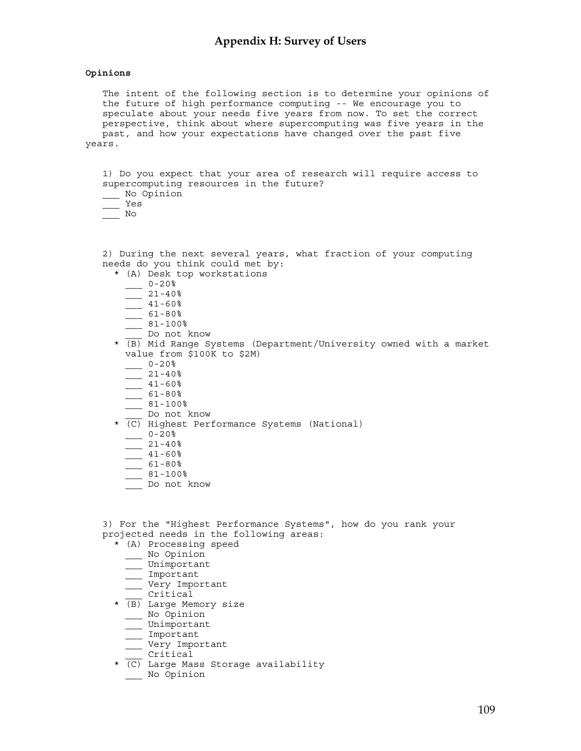#### **Opinions**

The intent of the following section is to determine your opinions of the future of high performance computing -- We encourage you to speculate about your needs five years from now. To set the correct perspective, think about where supercomputing was five years in the past, and how your expectations have changed over the past five years.

1) Do you expect that your area of research will require access to supercomputing resources in the future? \_\_\_ No Opinion

- \_\_\_ Yes
- $\frac{1}{\sqrt{1-\frac{1}{n}}}$  No

2) During the next several years, what fraction of your computing needs do you think could met by: \* (A) Desk top workstations  $0-20%$  $21 - 40%$  $-41-60%$  $-61-80%$  $81 - 100$ % Do not know \* (B) Mid Range Systems (Department/University owned with a market value from \$100K to \$2M)  $-20%$  $-21-40%$  $-41-60%$  $.61-80%$ \_\_\_ 81-100% \_\_\_ Do not know \* (C) Highest Performance Systems (National)  $0-20%$  $21 - 40%$  $-41-60%$  $-$  61-80%  $-$  81-100% \_\_\_ Do not know 3) For the "Highest Performance Systems", how do you rank your projected needs in the following areas: \* (A) Processing speed \_\_\_ No Opinion \_\_\_ Unimportant

- \_\_\_ Important
- \_\_\_ Very Important
- \_\_\_ Critical
- \* (B) Large Memory size
	- \_\_\_ No Opinion
	- \_\_\_ Unimportant
	- Important
	- \_\_\_ Very Important
- \_\_\_ Critical
- \* (C) Large Mass Storage availability \_\_\_ No Opinion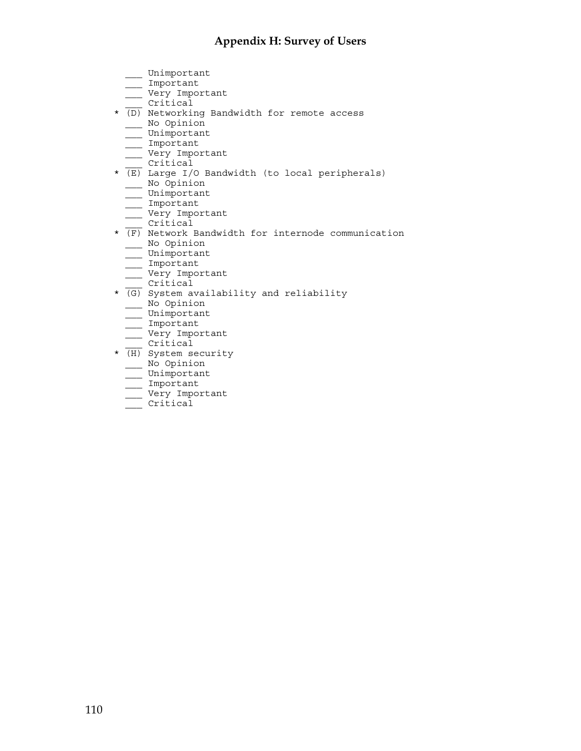## **Appendix H: Survey of Users**

- \_\_\_ Unimportant
- \_\_\_ Important
- \_\_\_ Very Important
- \_\_\_ Critical
- \* (D) Networking Bandwidth for remote access
	- \_\_\_ No Opinion
	- \_\_\_ Unimportant
	- \_\_\_ Important
	- \_\_\_ Very Important
	- \_\_\_ Critical
- $\star$  (E) Large I/O Bandwidth (to local peripherals) \_\_\_ No Opinion
	- $\equiv$  Unimportant
	- \_\_\_ Important
	- \_\_\_ Very Important
	- \_\_\_ Critical
- $\overline{\text{F}}$  Network Bandwidth for internode communication \_\_\_ No Opinion
	- \_\_\_ Unimportant
	- \_\_\_ Important
	- \_\_\_ Very Important
- \_\_\_ Critical
- $\star$  (G) System availability and reliability
	- \_\_\_ No Opinion
	- \_\_\_ Unimportant
	- \_\_\_ Important
	- \_\_\_ Very Important
- \_\_\_ Critical
- \* (H) System security
	- \_\_\_ No Opinion \_\_\_ Unimportant
	- \_\_\_ Important
	-
	- \_\_\_ Very Important
	- \_\_\_ Critical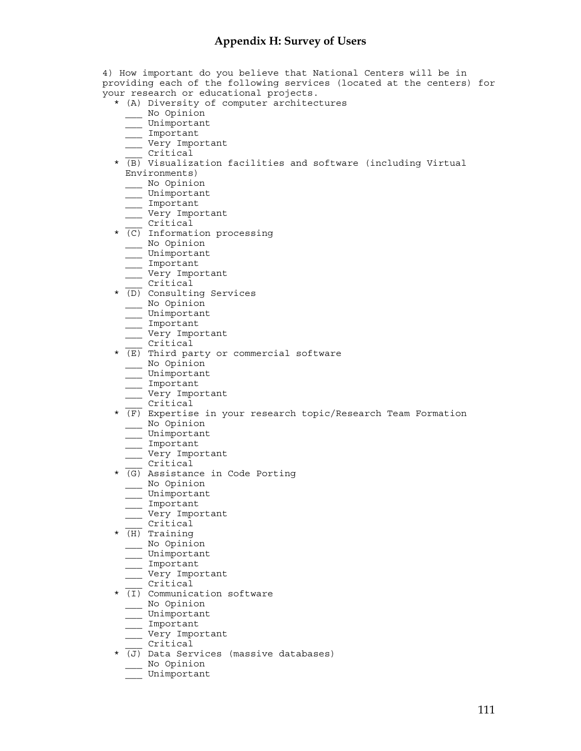4) How important do you believe that National Centers will be in providing each of the following services (located at the centers) for your research or educational projects. \* (A) Diversity of computer architectures \_\_\_ No Opinion \_\_\_ Unimportant \_\_\_ Important \_\_\_ Very Important \_\_\_ Critical \* (B) Visualization facilities and software (including Virtual Environments) \_\_\_ No Opinion \_\_\_ Unimportant \_\_\_ Important \_\_\_ Very Important \_\_\_ Critical \* (C) Information processing \_\_\_ No Opinion \_\_\_ Unimportant \_\_\_ Important \_\_\_ Very Important \_\_\_ Critical \* (D) Consulting Services \_\_\_ No Opinion \_\_\_ Unimportant \_\_\_ Important \_\_\_ Very Important \_\_\_ Critical  $\star$  (E) Third party or commercial software \_\_\_ No Opinion \_\_\_ Unimportant \_\_\_ Important \_\_\_ Very Important \_\_\_ Critical  $\overline{\text{F}}$  Expertise in your research topic/Research Team Formation \_\_\_ No Opinion \_\_\_ Unimportant \_\_\_ Important \_\_\_ Very Important \_\_\_ Critical \* (G) Assistance in Code Porting \_\_\_ No Opinion \_\_\_ Unimportant \_\_\_ Important \_\_\_ Very Important \_\_\_ Critical  $\star$   $\overline{(H)}$  Training \_\_\_ No Opinion  $\frac{1}{\sqrt{2}}$  Unimportant \_\_\_ Important \_\_\_ Very Important \_\_\_ Critical \* (I) Communication software \_\_\_ No Opinion \_\_\_ Unimportant \_\_\_ Important \_\_\_ Very Important \_\_\_ Critical \* (J) Data Services (massive databases) \_\_\_ No Opinion \_\_\_ Unimportant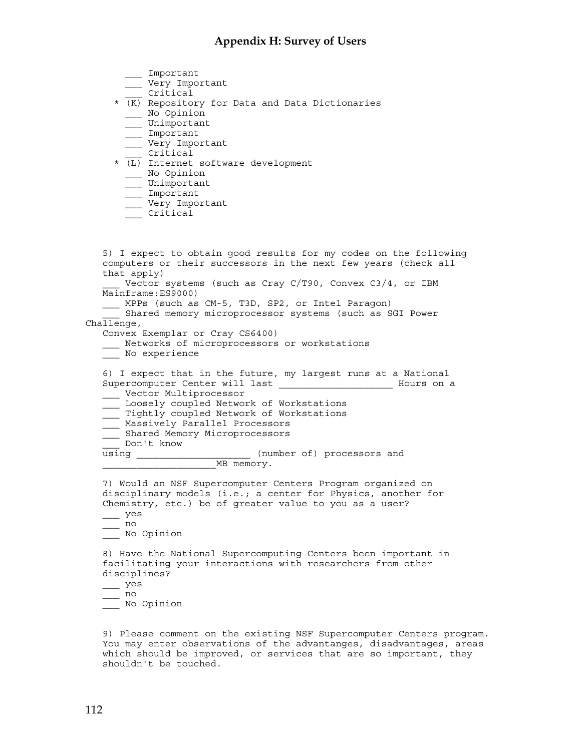#### **Appendix H: Survey of Users**

- \_\_\_ Important
- \_\_\_ Very Important
- \_\_\_ Critical
- \* (K) Repository for Data and Data Dictionaries \_\_\_ No Opinion
	- \_\_\_ Unimportant
	- \_\_\_ Important
	- \_\_\_ Very Important
- \_\_\_ Critical
- \* (L) Internet software development
	- \_\_\_ No Opinion
	- \_\_\_ Unimportant
	- \_\_\_ Important
	- \_\_\_ Very Important
	- \_\_\_ Critical

5) I expect to obtain good results for my codes on the following computers or their successors in the next few years (check all that apply) Vector systems (such as Cray C/T90, Convex C3/4, or IBM Mainframe:ES9000) \_\_\_ MPPs (such as CM-5, T3D, SP2, or Intel Paragon) Shared memory microprocessor systems (such as SGI Power  $Challene,$ Convex Exemplar or Cray CS6400) \_\_\_ Networks of microprocessors or workstations \_\_\_ No experience 6) I expect that in the future, my largest runs at a National Supercomputer Center will last \_\_\_\_\_\_\_\_\_\_\_\_\_\_\_\_\_\_\_\_\_\_\_\_\_\_ Hours on a \_\_\_ Vector Multiprocessor \_\_\_ Loosely coupled Network of Workstations \_\_\_ Tightly coupled Network of Workstations <u>\_\_</u> Massively Parallel Processors \_\_\_ Shared Memory Microprocessors Don't know (number of) processors and \_\_\_\_\_\_\_\_\_\_\_\_\_\_\_\_\_\_\_\_MB memory. 7) Would an NSF Supercomputer Centers Program organized on disciplinary models (i.e.; a center for Physics, another for Chemistry, etc.) be of greater value to you as a user? \_\_\_ yes  $\overline{\phantom{0}}$  no \_\_\_ No Opinion 8) Have the National Supercomputing Centers been important in facilitating your interactions with researchers from other disciplines?  $\equiv$  yes  $\frac{1}{\sqrt{2}}$  no \_\_\_ No Opinion

9) Please comment on the existing NSF Supercomputer Centers program. You may enter observations of the advantanges, disadvantages, areas which should be improved, or services that are so important, they shouldn't be touched.